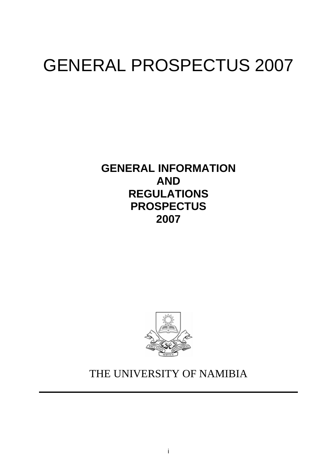# GENERAL PROSPECTUS 2007

**GENERAL INFORMATION AND REGULATIONS PROSPECTUS 2007**



# THE UNIVERSITY OF NAMIBIA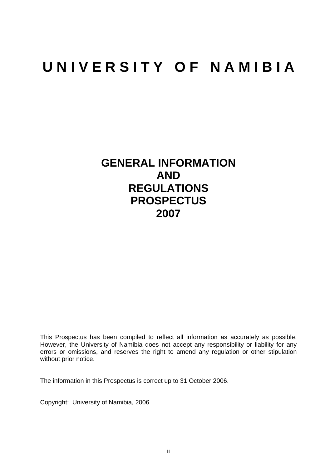# **U N I V E R S I T Y O F N A M I B I A**

# **GENERAL INFORMATION AND REGULATIONS PROSPECTUS 2007**

This Prospectus has been compiled to reflect all information as accurately as possible. However, the University of Namibia does not accept any responsibility or liability for any errors or omissions, and reserves the right to amend any regulation or other stipulation without prior notice.

The information in this Prospectus is correct up to 31 October 2006.

Copyright: University of Namibia, 2006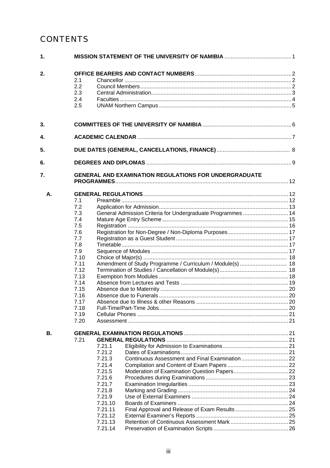### **CONTENTS**

| 1. |         |                                                              |  |  |
|----|---------|--------------------------------------------------------------|--|--|
| 2. |         |                                                              |  |  |
|    | 2.1     |                                                              |  |  |
|    | 2.2     |                                                              |  |  |
|    | 2.3     |                                                              |  |  |
|    | 24      |                                                              |  |  |
|    | 2.5     |                                                              |  |  |
| 3. |         |                                                              |  |  |
| 4. |         |                                                              |  |  |
| 5. |         |                                                              |  |  |
|    |         |                                                              |  |  |
| 6. |         |                                                              |  |  |
| 7. |         | <b>GENERAL AND EXAMINATION REGULATIONS FOR UNDERGRADUATE</b> |  |  |
| А. |         |                                                              |  |  |
|    | 7.1     |                                                              |  |  |
|    | 7.2     |                                                              |  |  |
|    | 7.3     | General Admission Criteria for Undergraduate Programmes  14  |  |  |
|    | 7.4     |                                                              |  |  |
|    | 7.5     |                                                              |  |  |
|    | 7.6     |                                                              |  |  |
|    | 7.7     |                                                              |  |  |
|    | 7.8     |                                                              |  |  |
|    | 7.9     |                                                              |  |  |
|    | 7.10    |                                                              |  |  |
|    | 7.11    | Amendment of Study Programme / Curriculum / Module(s)  18    |  |  |
|    | 7.12    |                                                              |  |  |
|    | 7.13    |                                                              |  |  |
|    | 7.14    |                                                              |  |  |
|    | 7.15    |                                                              |  |  |
|    | 7.16    |                                                              |  |  |
|    | 7.17    |                                                              |  |  |
|    | 7.18    |                                                              |  |  |
|    | 7.19    |                                                              |  |  |
|    | 7.20    |                                                              |  |  |
| В. |         |                                                              |  |  |
|    | 7.21    |                                                              |  |  |
|    | 7.21.1  |                                                              |  |  |
|    | 7.21.2  |                                                              |  |  |
|    | 7.21.3  |                                                              |  |  |
|    | 7.21.4  |                                                              |  |  |
|    | 7.21.5  |                                                              |  |  |
|    | 7.21.6  |                                                              |  |  |
|    | 7.21.7  |                                                              |  |  |
|    | 7.21.8  |                                                              |  |  |
|    | 7.21.9  |                                                              |  |  |
|    | 7.21.10 |                                                              |  |  |
|    | 7.21.11 | Final Approval and Release of Exam Results 25                |  |  |
|    | 7.21.12 |                                                              |  |  |
|    | 7.21.13 |                                                              |  |  |
|    | 7.21.14 |                                                              |  |  |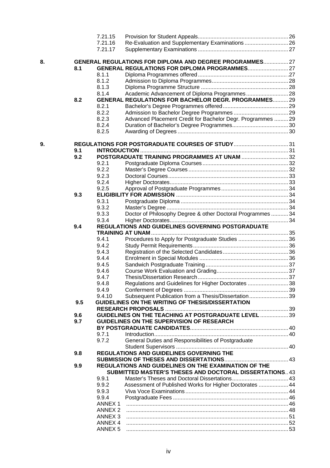|    |     | 7.21.15                                  |                                                             |  |
|----|-----|------------------------------------------|-------------------------------------------------------------|--|
|    |     | 7.21.16                                  | Re-Evaluation and Supplementary Examinations  26            |  |
|    |     | 7.21.17                                  |                                                             |  |
| 8. |     |                                          | GENERAL REGULATIONS FOR DIPLOMA AND DEGREE PROGRAMMES 27    |  |
|    | 8.1 |                                          |                                                             |  |
|    |     | 8.1.1                                    |                                                             |  |
|    |     | 8.1.2                                    |                                                             |  |
|    |     | 8.1.3                                    |                                                             |  |
|    |     | 8.1.4                                    | Academic Advancement of Diploma Programmes 28               |  |
|    | 8.2 |                                          | <b>GENERAL REGULATIONS FOR BACHELOR DEGR. PROGRAMMES 29</b> |  |
|    |     | 8.2.1                                    |                                                             |  |
|    |     | 8.2.2                                    |                                                             |  |
|    |     | 8.2.3                                    | Advanced Placement Credit for Bachelor Degr. Programmes  29 |  |
|    |     | 8.2.4                                    |                                                             |  |
|    |     | 8.2.5                                    |                                                             |  |
| 9. |     |                                          | REGULATIONS FOR POSTGRADUATE COURSES OF STUDY31             |  |
|    | 9.1 |                                          |                                                             |  |
|    | 9.2 |                                          | POSTGRADUATE TRAINING PROGRAMMES AT UNAM  32                |  |
|    |     | 9.2.1                                    |                                                             |  |
|    |     | 9.2.2                                    |                                                             |  |
|    |     | 9.2.3                                    |                                                             |  |
|    |     | 9.2.4                                    |                                                             |  |
|    |     | 9.2.5                                    |                                                             |  |
|    | 9.3 |                                          |                                                             |  |
|    |     | 9.3.1                                    |                                                             |  |
|    |     | 9.3.2                                    |                                                             |  |
|    |     | 9.3.3                                    | Doctor of Philosophy Degree & other Doctoral Programmes34   |  |
|    |     | 9.3.4                                    |                                                             |  |
|    | 9.4 |                                          | <b>REGULATIONS AND GUIDELINES GOVERNING POSTGRADUATE</b>    |  |
|    |     |                                          |                                                             |  |
|    |     | 9.4.1                                    | Procedures to Apply for Postgraduate Studies 36             |  |
|    |     | 9.4.2                                    |                                                             |  |
|    |     | 9.4.3                                    |                                                             |  |
|    |     | 9.4.4                                    |                                                             |  |
|    |     | 9.4.5                                    |                                                             |  |
|    |     | 9.4.6                                    |                                                             |  |
|    |     | 9.4.7                                    |                                                             |  |
|    |     | 9.4.8                                    | Regulations and Guidelines for Higher Doctorates 38         |  |
|    |     | 9.4.9                                    |                                                             |  |
|    |     | 9.4.10                                   | Subsequent Publication from a Thesis/Dissertation39         |  |
|    | 9.5 |                                          | GUIDELINES ON THE WRITING OF THESIS/DISSERTATION            |  |
|    |     |                                          |                                                             |  |
|    | 9.6 |                                          | <b>GUIDELINES ON THE TEACHING AT POSTGRADUATE LEVEL  39</b> |  |
|    | 9.7 |                                          | GUIDELINES ON THE SUPERVISION OF RESEARCH                   |  |
|    |     |                                          |                                                             |  |
|    |     | 9.7.1                                    |                                                             |  |
|    |     | 9.7.2                                    | General Duties and Responsibilities of Postgraduate         |  |
|    |     |                                          |                                                             |  |
|    | 9.8 |                                          | REGULATIONS AND GUIDELINES GOVERNING THE                    |  |
|    |     |                                          |                                                             |  |
|    | 9.9 |                                          | REGULATIONS AND GUIDELINES ON THE EXAMINATION OF THE        |  |
|    |     |                                          | SUBMITTED MASTER'S THESES AND DOCTORAL DISSERTATIONS43      |  |
|    |     | 9.9.1                                    |                                                             |  |
|    |     | 9.9.2                                    | Assessment of Published Works for Higher Doctorates  44     |  |
|    |     | 9.9.3                                    |                                                             |  |
|    |     | 9.9.4                                    |                                                             |  |
|    |     |                                          |                                                             |  |
|    |     | ANNEX <sub>1</sub><br>ANNEX <sub>2</sub> |                                                             |  |
|    |     | ANNEX 3                                  |                                                             |  |
|    |     |                                          |                                                             |  |
|    |     | ANNEX 4                                  |                                                             |  |
|    |     | <b>ANNEX 5</b>                           |                                                             |  |

8.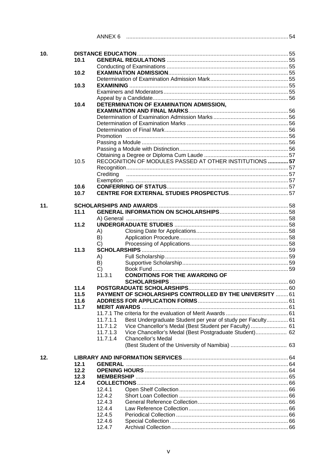|     |      | ANNEX 6          |                                                                 |  |
|-----|------|------------------|-----------------------------------------------------------------|--|
|     |      |                  |                                                                 |  |
| 10. | 10.1 |                  |                                                                 |  |
|     |      |                  |                                                                 |  |
|     | 10.2 |                  |                                                                 |  |
|     |      |                  |                                                                 |  |
|     | 10.3 |                  |                                                                 |  |
|     |      |                  |                                                                 |  |
|     |      |                  |                                                                 |  |
|     | 10.4 |                  | DETERMINATION OF EXAMINATION ADMISSION.                         |  |
|     |      |                  |                                                                 |  |
|     |      |                  |                                                                 |  |
|     |      |                  |                                                                 |  |
|     |      |                  |                                                                 |  |
|     |      |                  |                                                                 |  |
|     |      |                  |                                                                 |  |
|     |      |                  |                                                                 |  |
|     | 10.5 |                  | RECOGNITION OF MODULES PASSED AT OTHER INSTITUTIONS  57         |  |
|     |      | Creditina        |                                                                 |  |
|     |      |                  |                                                                 |  |
|     | 10.6 |                  |                                                                 |  |
|     | 10.7 |                  |                                                                 |  |
|     |      |                  |                                                                 |  |
| 11. |      |                  |                                                                 |  |
|     | 11.1 |                  |                                                                 |  |
|     |      |                  |                                                                 |  |
|     | 11.2 |                  |                                                                 |  |
|     |      | A)<br>B)         |                                                                 |  |
|     |      | C)               |                                                                 |  |
|     | 11.3 |                  |                                                                 |  |
|     |      | A)               |                                                                 |  |
|     |      | B)               |                                                                 |  |
|     |      | C)               |                                                                 |  |
|     |      | 11.3.1           | <b>CONDITIONS FOR THE AWARDING OF</b>                           |  |
|     | 11.4 |                  |                                                                 |  |
|     | 11.5 |                  | <b>PAYMENT OF SCHOLARSHIPS CONTROLLED BY THE UNIVERSITY  61</b> |  |
|     | 11.6 |                  |                                                                 |  |
|     | 11.7 |                  |                                                                 |  |
|     |      |                  |                                                                 |  |
|     |      | 11.7.1.1         | Best Undergraduate Student per year of study per Faculty 61     |  |
|     |      | 11.7.1.2         | Vice Chancellor's Medal (Best Student per Faculty)  61          |  |
|     |      | 11.7.1.3         | Vice Chancellor's Medal (Best Postgraduate Student) 62          |  |
|     |      | 11.7.1.4         | Chancellor's Medal                                              |  |
|     |      |                  |                                                                 |  |
| 12. |      |                  |                                                                 |  |
|     | 12.1 |                  |                                                                 |  |
|     | 12.2 |                  |                                                                 |  |
|     | 12.3 |                  |                                                                 |  |
|     | 12.4 |                  |                                                                 |  |
|     |      | 12.4.1           |                                                                 |  |
|     |      | 12.4.2           |                                                                 |  |
|     |      | 12.4.3           |                                                                 |  |
|     |      | 12.4.4<br>12.4.5 |                                                                 |  |
|     |      | 12.4.6           |                                                                 |  |
|     |      | 12.4.7           |                                                                 |  |
|     |      |                  |                                                                 |  |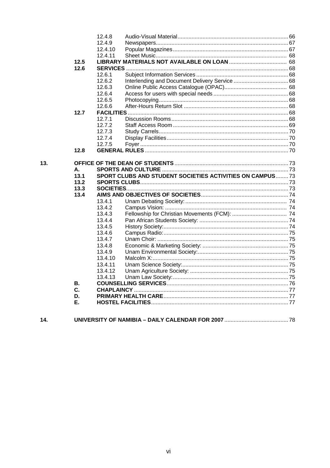|     |            | 12.4.8            |                                                                  |  |
|-----|------------|-------------------|------------------------------------------------------------------|--|
|     |            | 12.4.9            |                                                                  |  |
|     |            | 12.4.10           |                                                                  |  |
|     |            | 12.4.11           |                                                                  |  |
|     | 12.5       |                   |                                                                  |  |
|     | 12.6       |                   |                                                                  |  |
|     |            | 12.6.1            |                                                                  |  |
|     |            | 12.6.2            |                                                                  |  |
|     |            | 12.6.3            |                                                                  |  |
|     |            | 12.6.4            |                                                                  |  |
|     |            | 12.6.5            |                                                                  |  |
|     |            | 12.6.6            |                                                                  |  |
|     | 12.7       |                   |                                                                  |  |
|     |            | 12.7.1            |                                                                  |  |
|     |            | 12.7.2            |                                                                  |  |
|     |            | 12.7.3            |                                                                  |  |
|     |            | 12.7.4            |                                                                  |  |
|     |            | 12.7.5            |                                                                  |  |
|     | 12.8       |                   |                                                                  |  |
|     |            |                   |                                                                  |  |
| 13. |            |                   |                                                                  |  |
|     | А.<br>13.1 |                   | <b>SPORT CLUBS AND STUDENT SOCIETIES ACTIVITIES ON CAMPUS 73</b> |  |
|     | 13.2       |                   |                                                                  |  |
|     | 13.3       |                   |                                                                  |  |
|     | 13.4       |                   |                                                                  |  |
|     |            | 13.4.1            |                                                                  |  |
|     |            | 13.4.2            |                                                                  |  |
|     |            |                   |                                                                  |  |
|     |            |                   |                                                                  |  |
|     |            | 13.4.3            |                                                                  |  |
|     |            | 13.4.4            |                                                                  |  |
|     |            | 13.4.5            |                                                                  |  |
|     |            | 13.4.6            |                                                                  |  |
|     |            | 13.4.7            |                                                                  |  |
|     |            | 13.4.8            |                                                                  |  |
|     |            | 13.4.9<br>13.4.10 |                                                                  |  |
|     |            | 13.4.11           |                                                                  |  |
|     |            | 13.4.12           |                                                                  |  |
|     |            | 13.4.13           |                                                                  |  |
|     | В.         |                   |                                                                  |  |
|     | C.         |                   |                                                                  |  |
|     | D.         |                   |                                                                  |  |

| 14. |  |
|-----|--|
|     |  |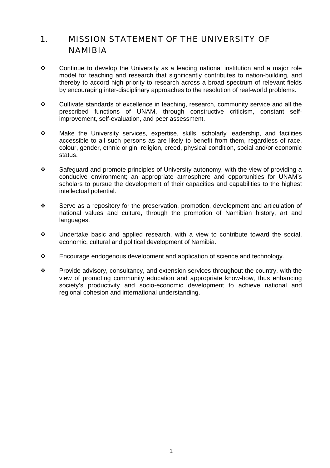### 1. MISSION STATEMENT OF THE UNIVERSITY OF NAMIBIA

- $\div$  Continue to develop the University as a leading national institution and a major role model for teaching and research that significantly contributes to nation-building, and thereby to accord high priority to research across a broad spectrum of relevant fields by encouraging inter-disciplinary approaches to the resolution of real-world problems.
- Cultivate standards of excellence in teaching, research, community service and all the prescribed functions of UNAM, through constructive criticism, constant selfimprovement, self-evaluation, and peer assessment.
- Make the University services, expertise, skills, scholarly leadership, and facilities accessible to all such persons as are likely to benefit from them, regardless of race, colour, gender, ethnic origin, religion, creed, physical condition, social and/or economic status.
- Safeguard and promote principles of University autonomy, with the view of providing a conducive environment; an appropriate atmosphere and opportunities for UNAM's scholars to pursue the development of their capacities and capabilities to the highest intellectual potential.
- $\cdot \cdot$  Serve as a repository for the preservation, promotion, development and articulation of national values and culture, through the promotion of Namibian history, art and languages.
- $\div$  Undertake basic and applied research, with a view to contribute toward the social, economic, cultural and political development of Namibia.
- $\div$  Encourage endogenous development and application of science and technology.
- Provide advisory, consultancy, and extension services throughout the country, with the view of promoting community education and appropriate know-how, thus enhancing society's productivity and socio-economic development to achieve national and regional cohesion and international understanding.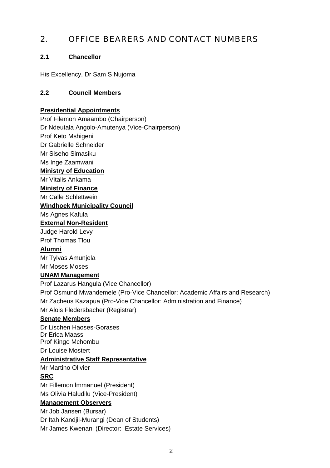### 2. OFFICE BEARERS AND CONTACT NUMBERS

### **2.1 Chancellor**

His Excellency, Dr Sam S Nujoma

### **2.2 Council Members**

### **Presidential Appointments**

Prof Filemon Amaambo (Chairperson)

Dr Ndeutala Angolo-Amutenya (Vice-Chairperson)

Prof Keto Mshigeni

Dr Gabrielle Schneider

Mr Siseho Simasiku

Ms Inge Zaamwani

#### **Ministry of Education**

Mr Vitalis Ankama

#### **Ministry of Finance**

Mr Calle Schlettwein

### **Windhoek Municipality Council**

Ms Agnes Kafula

### **External Non-Resident**

Judge Harold Levy Prof Thomas Tlou

### **Alumni**

Mr Tylvas Amunjela Mr Moses Moses

### **UNAM Management**

Prof Lazarus Hangula (Vice Chancellor) Prof Osmund Mwandemele (Pro-Vice Chancellor: Academic Affairs and Research) Mr Zacheus Kazapua (Pro-Vice Chancellor: Administration and Finance) Mr Alois Fledersbacher (Registrar)

### **Senate Members**

Dr Lischen Haoses-Gorases Dr Erica Maass Prof Kingo Mchombu Dr Louise Mostert

### **Administrative Staff Representative**

Mr Martino Olivier

### **SRC**

Mr Fillemon lmmanuel (President) Ms Olivia Haludilu (Vice-President)

### **Management Observers**

Mr Job Jansen (Bursar) Dr Itah Kandjii-Murangi (Dean of Students) Mr James Kwenani (Director: Estate Services)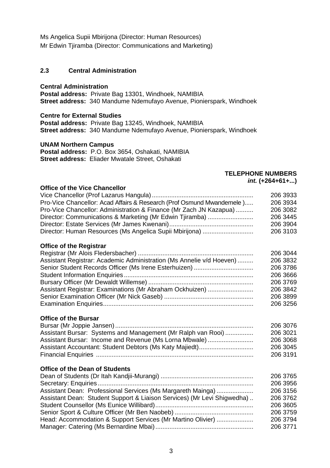Ms Angelica Supii Mbirijona (Director: Human Resources) Mr Edwin Tjiramba (Director: Communications and Marketing)

### **2.3 Central Administration**

#### **Central Administration**

**Postal address:** Private Bag 13301, Windhoek, NAMIBIA **Street address:** 340 Mandume Ndemufayo Avenue, Pionierspark, Windhoek

#### **Centre for External Studies**

**Postal address:** Private Bag 13245, Windhoek, NAMIBIA **Street address:** 340 Mandume Ndemufayo Avenue, Pionierspark, Windhoek

#### **UNAM Northern Campus**

**Postal address:** P.O. Box 3654, Oshakati, NAMIBIA **Street address:** Eliader Mwatale Street, Oshakati

### **TELEPHONE NUMBERS**

*int.* **(+264+61+...)**

### **Office of the Vice Chancellor**

| Pro-Vice Chancellor: Acad Affairs & Research (Prof Osmund Mwandemele)   | 206 3933<br>206 3934 |
|-------------------------------------------------------------------------|----------------------|
| Pro-Vice Chancellor: Administration & Finance (Mr Zach JN Kazapua)      | 206 3082             |
| Director: Communications & Marketing (Mr Edwin Tjiramba)                | 206 3445             |
|                                                                         | 206 3904             |
| Director: Human Resources (Ms Angelica Supii Mbirijona)                 | 206 3103             |
|                                                                         |                      |
| <b>Office of the Registrar</b>                                          |                      |
|                                                                         | 206 3044             |
| Assistant Registrar: Academic Administration (Ms Annelie v/d Hoeven)    | 206 3832             |
| Senior Student Records Officer (Ms Irene Esterhuizen)                   | 206 3786             |
|                                                                         | 206 3666             |
|                                                                         | 206 3769             |
| Assistant Registrar: Examinations (Mr Abraham Ockhuizen)                | 206 3842             |
|                                                                         | 206 3899             |
|                                                                         | 206 3256             |
|                                                                         |                      |
| <b>Office of the Bursar</b>                                             |                      |
|                                                                         | 206 3076             |
| Assistant Bursar: Systems and Management (Mr Ralph van Rooi)            | 206 3021             |
| Assistant Bursar: Income and Revenue (Ms Lorna Mbwale)                  | 206 3068             |
| Assistant Accountant: Student Debtors (Ms Katy Majiedt)                 | 206 3045             |
|                                                                         | 206 3191             |
|                                                                         |                      |
| Office of the Dean of Students                                          |                      |
|                                                                         | 206 3765             |
|                                                                         | 206 3956             |
| Assistant Dean: Professional Services (Ms Margareth Mainga)             | 206 3156             |
| Assistant Dean: Student Support & Liaison Services) (Mr Levi Shigwedha) | 206 3762             |
|                                                                         | 206 3605             |
|                                                                         | 206 3759             |
| Head: Accommodation & Support Services (Mr Martino Olivier)             | 206 3794             |
|                                                                         | 206 3771             |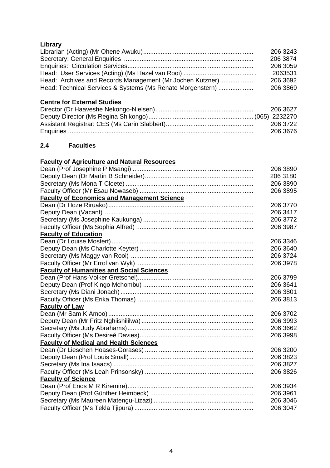### **Library**

|                                                            | 206 3243 |
|------------------------------------------------------------|----------|
|                                                            | 206 3874 |
|                                                            | 206 3059 |
|                                                            | 2063531  |
| Head: Archives and Records Management (Mr Jochen Kutzner)  | 206 3692 |
| Head: Technical Services & Systems (Ms Renate Morgenstern) | 206 3869 |
|                                                            |          |

### **Centre for External Studies**

| 206 3627 |
|----------|
|          |
| 206 3722 |
| 206 3676 |

### **2.4 Faculties**

### **Faculty of Agriculture and Natural Resources**

|                                                    | 206 3890 |
|----------------------------------------------------|----------|
|                                                    | 206 3180 |
|                                                    | 206 3890 |
|                                                    | 206 3895 |
| <b>Faculty of Economics and Management Science</b> |          |
|                                                    | 206 3770 |
|                                                    | 206 3417 |
|                                                    | 206 3772 |
|                                                    | 206 3987 |
| <b>Faculty of Education</b>                        |          |
|                                                    | 206 3346 |
|                                                    | 206 3640 |
|                                                    | 206 3724 |
|                                                    | 206 3978 |
| <b>Faculty of Humanities and Social Sciences</b>   |          |
|                                                    | 206 3799 |
|                                                    | 206 3641 |
|                                                    | 206 3801 |
|                                                    | 206 3813 |
| <b>Faculty of Law</b>                              |          |
|                                                    | 206 3702 |
|                                                    | 206 3993 |
|                                                    | 206 3662 |
|                                                    | 206 3998 |
| <b>Faculty of Medical and Health Sciences</b>      |          |
|                                                    | 206 3200 |
|                                                    | 206 3823 |
|                                                    | 206 3827 |
|                                                    | 206 3826 |
| <b>Faculty of Science</b>                          |          |
|                                                    | 206 3934 |
|                                                    | 206 3961 |
|                                                    | 206 3046 |
|                                                    | 206 3047 |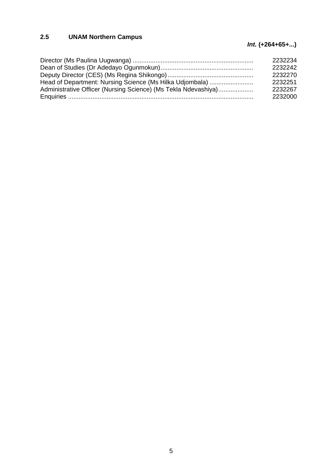### **2.5 UNAM Northern Campus**

### *Int.* **(+264+65+...)**

| 2232234 |
|---------|
| 2232242 |
| 2232270 |
| 2232251 |
| 2232267 |
| 2232000 |
|         |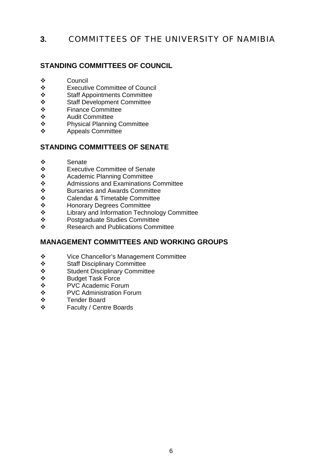### **3.** COMMITTEES OF THE UNIVERSITY OF NAMIBIA

### **STANDING COMMITTEES OF COUNCIL**

- $\sim$  Council
- Executive Committee of Council
- Staff Appointments Committee
- Staff Development Committee
- ❖ Finance Committee<br>❖ Audit Committee
- Audit Committee
- ❖ Physical Planning Committee<br>❖ Anneals Committee
- Appeals Committee

### **STANDING COMMITTEES OF SENATE**

- ❖ Senate<br>❖ Fxecuti
- ❖ Executive Committee of Senate<br>❖ Academic Planning Committee
- ❖ Academic Planning Committee<br>❖ Admissions and Examinations 0
- ❖ Admissions and Examinations Committee<br>❖ Bursaries and Awards Committee
- ❖ Bursaries and Awards Committee<br>❖ Calendar & Timetable Committee
- ❖ Calendar & Timetable Committee<br>❖ Honorary Degrees Committee
- ❖ Honorary Degrees Committee<br>❖ Library and Information Techno
- ❖ Library and Information Technology Committee<br>❖ Postgraduate Studies Committee
- ❖ Postgraduate Studies Committee<br>❖ Research and Publications Comm
- Research and Publications Committee

### **MANAGEMENT COMMITTEES AND WORKING GROUPS**

- Vice Chancellor's Management Committee
- Staff Disciplinary Committee
- Student Disciplinary Committee
- ❖ Budget Task Force<br>❖ PVC Academic For
- ❖ PVC Academic Forum<br>❖ PVC Administration Fo
- PVC Administration Forum
- ❖ Tender Board<br>❖ Faculty / Centi
- Faculty / Centre Boards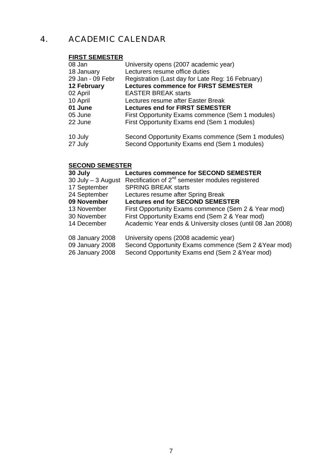### 4. ACADEMIC CALENDAR

### **FIRST SEMESTER**

| 08 Jan             | University opens (2007 academic year)                                                             |
|--------------------|---------------------------------------------------------------------------------------------------|
| 18 January         | Lecturers resume office duties                                                                    |
| 29 Jan - 09 Febr   | Registration (Last day for Late Reg: 16 February)                                                 |
| 12 February        | <b>Lectures commence for FIRST SEMESTER</b>                                                       |
| 02 April           | <b>EASTER BREAK starts</b>                                                                        |
| 10 April           | Lectures resume after Easter Break                                                                |
| 01 June            | <b>Lectures end for FIRST SEMESTER</b>                                                            |
| 05 June            | First Opportunity Exams commence (Sem 1 modules)                                                  |
| 22 June            | First Opportunity Exams end (Sem 1 modules)                                                       |
| 10 July<br>27 July | Second Opportunity Exams commence (Sem 1 modules)<br>Second Opportunity Exams end (Sem 1 modules) |
|                    |                                                                                                   |

### **SECOND SEMESTER**

| 30 July               | <b>Lectures commence for SECOND SEMESTER</b>                 |
|-----------------------|--------------------------------------------------------------|
| $30$ July $-3$ August | Rectification of 2 <sup>nd</sup> semester modules registered |
| 17 September          | <b>SPRING BREAK starts</b>                                   |
| 24 September          | Lectures resume after Spring Break                           |
| 09 November           | <b>Lectures end for SECOND SEMESTER</b>                      |
| 13 November           | First Opportunity Exams commence (Sem 2 & Year mod)          |
| 30 November           | First Opportunity Exams end (Sem 2 & Year mod)               |
| 14 December           | Academic Year ends & University closes (until 08 Jan 2008)   |
| 08 January 2008       | University opens (2008 academic year)                        |
| 09 January 2008       | Second Opportunity Exams commence (Sem 2 & Year mod)         |
| 26 January 2008       | Second Opportunity Exams end (Sem 2 & Year mod)              |
|                       |                                                              |
|                       |                                                              |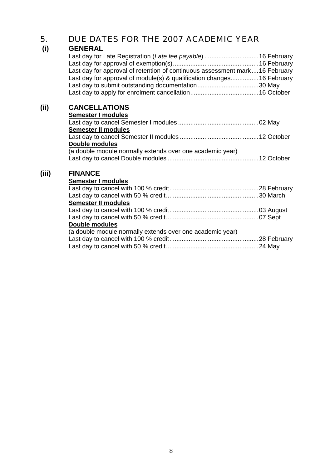### 5. DUE DATES FOR THE 2007 ACADEMIC YEAR

| (i)   | <b>GENERAL</b><br>Last day for approval of retention of continuous assessment mark16 February<br>Last day for approval of module(s) & qualification changes16 February |  |
|-------|------------------------------------------------------------------------------------------------------------------------------------------------------------------------|--|
| (i)   | <b>CANCELLATIONS</b>                                                                                                                                                   |  |
|       | Semester I modules                                                                                                                                                     |  |
|       |                                                                                                                                                                        |  |
|       | Semester II modules                                                                                                                                                    |  |
|       |                                                                                                                                                                        |  |
|       | Double modules                                                                                                                                                         |  |
|       | (a double module normally extends over one academic year)                                                                                                              |  |
|       |                                                                                                                                                                        |  |
| (iii) | <b>FINANCE</b>                                                                                                                                                         |  |
|       | Semester I modules                                                                                                                                                     |  |
|       |                                                                                                                                                                        |  |
|       |                                                                                                                                                                        |  |
|       | Semester II modules                                                                                                                                                    |  |
|       |                                                                                                                                                                        |  |
|       |                                                                                                                                                                        |  |
|       | Double modules                                                                                                                                                         |  |
|       | (a double module normally extends over one academic year)                                                                                                              |  |
|       |                                                                                                                                                                        |  |
|       |                                                                                                                                                                        |  |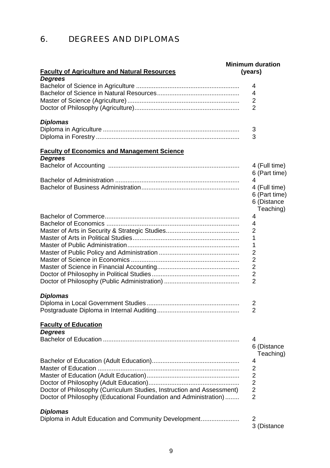### 6. DEGREES AND DIPLOMAS

|                                                                                                                                           | <b>Minimum duration</b> |
|-------------------------------------------------------------------------------------------------------------------------------------------|-------------------------|
| <b>Faculty of Agriculture and Natural Resources</b>                                                                                       | (years)                 |
| <b>Degrees</b>                                                                                                                            | 4                       |
|                                                                                                                                           | 4                       |
|                                                                                                                                           | 2                       |
|                                                                                                                                           | 2                       |
|                                                                                                                                           |                         |
| <b>Diplomas</b>                                                                                                                           |                         |
|                                                                                                                                           | 3                       |
|                                                                                                                                           | 3                       |
| <b>Faculty of Economics and Management Science</b>                                                                                        |                         |
| <b>Degrees</b>                                                                                                                            | 4 (Full time)           |
|                                                                                                                                           | 6 (Part time)           |
|                                                                                                                                           | 4                       |
|                                                                                                                                           | 4 (Full time)           |
|                                                                                                                                           | 6 (Part time)           |
|                                                                                                                                           | 6 (Distance             |
|                                                                                                                                           | Teaching)               |
|                                                                                                                                           | 4                       |
|                                                                                                                                           | 4<br>2                  |
|                                                                                                                                           | 1                       |
|                                                                                                                                           | 1                       |
|                                                                                                                                           | 2                       |
|                                                                                                                                           | 2                       |
|                                                                                                                                           | 2                       |
|                                                                                                                                           | 2                       |
|                                                                                                                                           | 2                       |
| <b>Diplomas</b>                                                                                                                           |                         |
|                                                                                                                                           | 2                       |
|                                                                                                                                           | 2                       |
| <b>Faculty of Education</b><br><b>Degrees</b>                                                                                             |                         |
|                                                                                                                                           | 4                       |
|                                                                                                                                           | 6 (Distance             |
|                                                                                                                                           | Teaching)               |
|                                                                                                                                           | 4                       |
|                                                                                                                                           | 2                       |
|                                                                                                                                           | 2                       |
|                                                                                                                                           | $\overline{2}$          |
| Doctor of Philosophy (Curriculum Studies, Instruction and Assessment)<br>Doctor of Philosophy (Educational Foundation and Administration) | 2<br>$\overline{2}$     |
|                                                                                                                                           |                         |
| <b>Diplomas</b>                                                                                                                           |                         |
| Diploma in Adult Education and Community Development                                                                                      | 2                       |
|                                                                                                                                           | 3 (Distance             |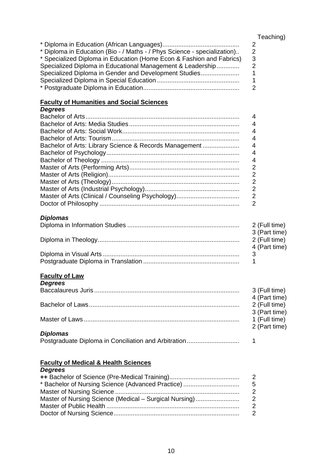#### Teaching)

|                                                                          | 2 |
|--------------------------------------------------------------------------|---|
| * Diploma in Education (Bio - / Maths - / Phys Science - specialization) | 2 |
| * Specialized Diploma in Education (Home Econ & Fashion and Fabrics)     | 3 |
| Specialized Diploma in Educational Management & Leadership               |   |
| Specialized Diploma in Gender and Development Studies                    |   |
|                                                                          |   |
|                                                                          |   |

#### **Faculty of Humanities and Social Sciences**

### *Degrees* Bachelor of Arts........................................................................................ 4 Bachelor of Arts: Media Studies............................................................... 4 Bachelor of Arts: Social Work................................................................... 4 Bachelor of Arts: Tourism......................................................................... 4 Bachelor of Arts: Library Science & Records Management ..................... 4 Bachelor of Psychology............................................................................ 4 Bachelor of Theology ............................................................................... 4 Master of Arts (Performing Arts)............................................................... 2 Master of Arts (Religion)........................................................................... 2 Master of Arts (Theology)......................................................................... 2 Master of Arts (Industrial Psychology)...................................................... 2 Master of Arts (Clinical / Counseling Psychology).................................... 2 Doctor of Philosophy ................................................................................ 2 *Diplomas*

| 2 (Full time) |
|---------------|
| 3 (Part time) |
| 2 (Full time) |
| 4 (Part time) |
|               |
|               |

### **Faculty of Law**

| <b>Degrees</b>  |               |
|-----------------|---------------|
|                 | 3 (Full time) |
|                 | 4 (Part time) |
|                 | 2 (Full time) |
|                 | 3 (Part time) |
|                 | 1 (Full time) |
|                 | 2 (Part time) |
| <b>Diplomas</b> |               |

#### **Faculty of Medical & Health Sciences** *Degrees*

|                                                        | 2             |
|--------------------------------------------------------|---------------|
| * Bachelor of Nursing Science (Advanced Practice)      | 5             |
|                                                        | 2             |
| Master of Nursing Science (Medical – Surgical Nursing) | 2             |
|                                                        | $\mathcal{P}$ |
|                                                        | 2             |
|                                                        |               |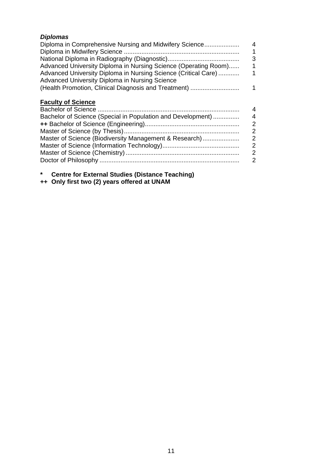| <b>Diplomas</b>                                                                                                  |   |
|------------------------------------------------------------------------------------------------------------------|---|
| Diploma in Comprehensive Nursing and Midwifery Science                                                           | 4 |
|                                                                                                                  |   |
|                                                                                                                  | 3 |
| Advanced University Diploma in Nursing Science (Operating Room)                                                  | 1 |
| Advanced University Diploma in Nursing Science (Critical Care)<br>Advanced University Diploma in Nursing Science |   |
| (Health Promotion, Clinical Diagnosis and Treatment)                                                             | 1 |
| <b>Faculty of Science</b>                                                                                        |   |
|                                                                                                                  | 4 |
| Bachelor of Science (Special in Population and Development)                                                      | 4 |
|                                                                                                                  | 2 |
|                                                                                                                  | 2 |
| Master of Science (Biodiversity Management & Research)                                                           | 2 |
|                                                                                                                  | 2 |
|                                                                                                                  | 2 |
|                                                                                                                  | 2 |
|                                                                                                                  |   |

**\* Centre for External Studies (Distance Teaching) ++ Only first two (2) years offered at UNAM**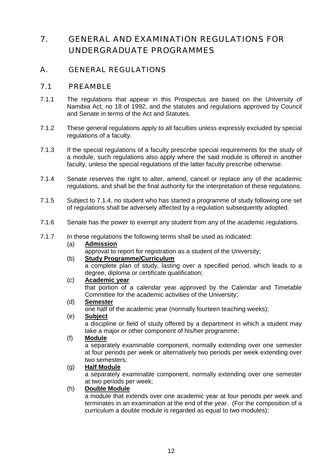### 7. GENERAL AND EXAMINATION REGULATIONS FOR UNDERGRADUATE PROGRAMMES

### A. GENERAL REGULATIONS

### 7.1 PREAMBLE

- 7.1.1 The regulations that appear in this Prospectus are based on the University of Namibia Act, no 18 of 1992, and the statutes and regulations approved by Council and Senate in terms of the Act and Statutes.
- 7.1.2 These general regulations apply to all faculties unless expressly excluded by special regulations of a faculty.
- 7.1.3 If the special regulations of a faculty prescribe special requirements for the study of a module, such regulations also apply where the said module is offered in another faculty, unless the special regulations of the latter faculty prescribe otherwise.
- 7.1.4 Senate reserves the right to alter, amend, cancel or replace any of the academic regulations, and shall be the final authority for the interpretation of these regulations.
- 7.1.5 Subject to 7.1.4, no student who has started a programme of study following one set of regulations shall be adversely affected by a regulation subsequently adopted.
- 7.1.6 Senate has the power to exempt any student from any of the academic regulations.
- 7.1.7 In these regulations the following terms shall be used as indicated:

### (a) **Admission**

approval to report for registration as a student of the University;

#### (b) **Study Programme/Curriculum**

a complete plan of study, lasting over a specified period, which leads to a degree, diploma or certificate qualification;

### (c) **Academic year**

 that portion of a calendar year approved by the Calendar and Timetable Committee for the academic activities of the University;

#### (d) **Semester**

one half of the academic year (normally fourteen teaching weeks);<br>(e) Subject

### Subject

 a discipline or field of study offered by a department in which a student may take a major or other component of his/her programme;

#### (f) **Module**

 a separately examinable component, normally extending over one semester at four periods per week or alternatively two periods per week extending over two semesters;

### (g) **Half Module**

 a separately examinable component, normally extending over one semester at two periods per week;

#### (h) **Double Module**

 a module that extends over one academic year at four periods per week and terminates in an examination at the end of the year. (For the composition of a curriculum a double module is regarded as equal to two modules);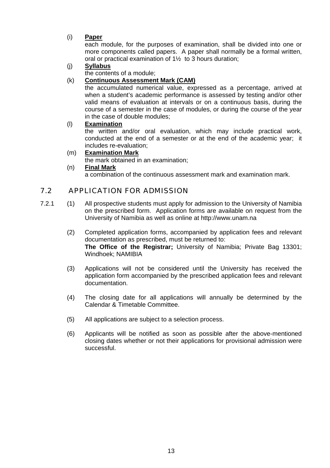### (i) **Paper**

 each module, for the purposes of examination, shall be divided into one or more components called papers. A paper shall normally be a formal written, oral or practical examination of 1½ to 3 hours duration;

### (j) **Syllabus**

the contents of a module;

### (k) **Continuous Assessment Mark (CAM)**

 the accumulated numerical value, expressed as a percentage, arrived at when a student's academic performance is assessed by testing and/or other valid means of evaluation at intervals or on a continuous basis, during the course of a semester in the case of modules, or during the course of the year in the case of double modules;

### (l) **Examination**

 the written and/or oral evaluation, which may include practical work, conducted at the end of a semester or at the end of the academic year; it includes re-evaluation;

### (m) **Examination Mark**

the mark obtained in an examination;

### (n) **Final Mark**

a combination of the continuous assessment mark and examination mark.

### 7.2 APPLICATION FOR ADMISSION

- 7.2.1 (1) All prospective students must apply for admission to the University of Namibia on the prescribed form. Application forms are available on request from the University of Namibia as well as online at http://www.unam.na
	- (2) Completed application forms, accompanied by application fees and relevant documentation as prescribed, must be returned to: **The Office of the Registrar;** University of Namibia; Private Bag 13301; Windhoek; NAMIBIA
	- (3) Applications will not be considered until the University has received the application form accompanied by the prescribed application fees and relevant documentation.
	- (4) The closing date for all applications will annually be determined by the Calendar & Timetable Committee.
	- (5) All applications are subject to a selection process.
	- (6) Applicants will be notified as soon as possible after the above-mentioned closing dates whether or not their applications for provisional admission were successful.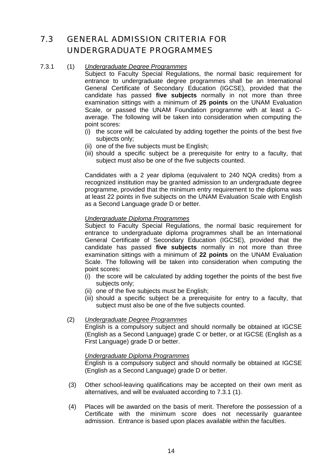### 7.3 GENERAL ADMISSION CRITERIA FOR UNDERGRADUATE PROGRAMMES

### 7.3.1 (1) *Undergraduate Degree Programmes*

Subject to Faculty Special Regulations, the normal basic requirement for entrance to undergraduate degree programmes shall be an International General Certificate of Secondary Education (IGCSE), provided that the candidate has passed **five subjects** normally in not more than three examination sittings with a minimum of **25 points** on the UNAM Evaluation Scale, or passed the UNAM Foundation programme with at least a Caverage. The following will be taken into consideration when computing the point scores:

- (i) the score will be calculated by adding together the points of the best five subjects only:
- (ii) one of the five subjects must be English;
- (iii) should a specific subject be a prerequisite for entry to a faculty, that subject must also be one of the five subjects counted.

Candidates with a 2 year diploma (equivalent to 240 NQA credits) from a recognized institution may be granted admission to an undergraduate degree programme, provided that the minimum entry requirement to the diploma was at least 22 points in five subjects on the UNAM Evaluation Scale with English as a Second Language grade D or better.

#### *Undergraduate Diploma Programmes*

Subject to Faculty Special Regulations, the normal basic requirement for entrance to undergraduate diploma programmes shall be an International General Certificate of Secondary Education (IGCSE), provided that the candidate has passed **five subjects** normally in not more than three examination sittings with a minimum of **22 points** on the UNAM Evaluation Scale. The following will be taken into consideration when computing the point scores:

- $(i)$  the score will be calculated by adding together the points of the best five subjects only;
- (ii) one of the five subjects must be English;
- (iii) should a specific subject be a prerequisite for entry to a faculty, that subject must also be one of the five subjects counted.

#### (2) *Undergraduate Degree Programmes*

**English is a compulsory subject and should normally be obtained at IGCSE** (English as a Second Language) grade C or better, or at IGCSE (English as a First Language) grade D or better.

#### *Undergraduate Diploma Programmes*

English is a compulsory subject and should normally be obtained at IGCSE (English as a Second Language) grade D or better.

- (3) Other school-leaving qualifications may be accepted on their own merit as alternatives, and will be evaluated according to 7.3.1 (1).
- (4) Places will be awarded on the basis of merit. Therefore the possession of a Certificate with the minimum score does not necessarily guarantee admission. Entrance is based upon places available within the faculties.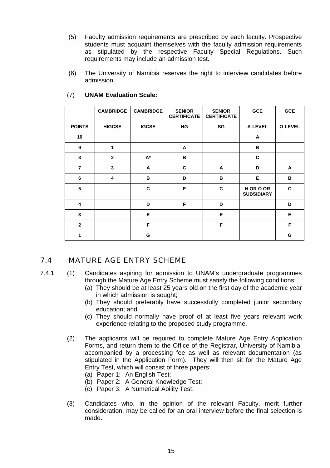- (5) Faculty admission requirements are prescribed by each faculty. Prospective students must acquaint themselves with the faculty admission requirements as stipulated by the respective Faculty Special Regulations. Such requirements may include an admission test.
- (6) The University of Namibia reserves the right to interview candidates before admission.

|                | <b>CAMBRIDGE</b> | <b>CAMBRIDGE</b> | <b>SENIOR</b><br><b>CERTIFICATE</b> | <b>SENIOR</b><br><b>CERTIFICATE</b> | GCE                            | GCE     |
|----------------|------------------|------------------|-------------------------------------|-------------------------------------|--------------------------------|---------|
| <b>POINTS</b>  | <b>HIGCSE</b>    | <b>IGCSE</b>     | НG                                  | SG                                  | <b>A-LEVEL</b>                 | O-LEVEL |
| 10             |                  |                  |                                     |                                     | A                              |         |
| 9              | 1                |                  | A                                   |                                     | в                              |         |
| 8              | $\overline{2}$   | A*               | B                                   |                                     | C                              |         |
| $\overline{7}$ | 3                | A                | C                                   | A                                   | D                              | A       |
| 6              | 4                | в                | D                                   | B                                   | Е                              | в       |
| 5              |                  | c                | Е                                   | C                                   | N OR O OR<br><b>SUBSIDIARY</b> | C       |
| 4              |                  | D                | F                                   | D                                   |                                | D       |
| 3              |                  | Е                |                                     | Е                                   |                                | Е       |
| $\overline{2}$ |                  | F                |                                     | F                                   |                                | F       |
| 1              |                  | G                |                                     |                                     |                                | G       |

#### (7) **UNAM Evaluation Scale:**

### 7.4 MATURE AGE ENTRY SCHEME

7.4.1 (1) Candidates aspiring for admission to UNAM's undergraduate programmes through the Mature Age Entry Scheme must satisfy the following conditions:

- (a) They should be at least 25 years old on the first day of the academic year in which admission is sought;
- (b) They should preferably have successfully completed junior secondary education; and
- (c) They should normally have proof of at least five years relevant work experience relating to the proposed study programme.
- (2) The applicants will be required to complete Mature Age Entry Application Forms, and return them to the Office of the Registrar, University of Namibia, accompanied by a processing fee as well as relevant documentation (as stipulated in the Application Form). They will then sit for the Mature Age Entry Test, which will consist of three papers:
	- (a) Paper 1: An English Test;
	- (b) Paper 2: A General Knowledge Test;
	- (c) Paper 3: A Numerical Ability Test.
- (3) Candidates who, in the opinion of the relevant Faculty, merit further consideration, may be called for an oral interview before the final selection is made.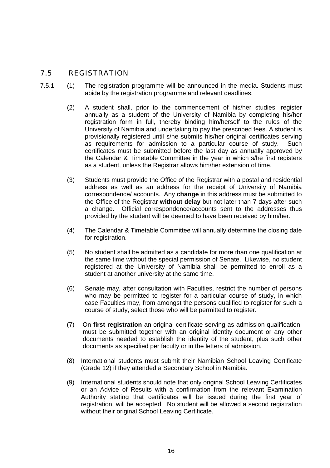### 7.5 REGISTRATION

- 7.5.1 (1) The registration programme will be announced in the media. Students must abide by the registration programme and relevant deadlines.
	- (2) A student shall, prior to the commencement of his/her studies, register annually as a student of the University of Namibia by completing his/her registration form in full, thereby binding him/herself to the rules of the University of Namibia and undertaking to pay the prescribed fees. A student is provisionally registered until s/he submits his/her original certificates serving as requirements for admission to a particular course of study. Such certificates must be submitted before the last day as annually approved by the Calendar & Timetable Committee in the year in which s/he first registers as a student, unless the Registrar allows him/her extension of time.
	- (3) Students must provide the Office of the Registrar with a postal and residential address as well as an address for the receipt of University of Namibia correspondence/ accounts. Any **change** in this address must be submitted to the Office of the Registrar **without delay** but not later than 7 days after such a change. Official correspondence/accounts sent to the addresses thus provided by the student will be deemed to have been received by him/her.
	- (4) The Calendar & Timetable Committee will annually determine the closing date for registration.
	- (5) No student shall be admitted as a candidate for more than one qualification at the same time without the special permission of Senate. Likewise, no student registered at the University of Namibia shall be permitted to enroll as a student at another university at the same time.
	- (6) Senate may, after consultation with Faculties, restrict the number of persons who may be permitted to register for a particular course of study, in which case Faculties may, from amongst the persons qualified to register for such a course of study, select those who will be permitted to register.
	- (7) On **first registration** an original certificate serving as admission qualification, must be submitted together with an original identity document or any other documents needed to establish the identity of the student, plus such other documents as specified per faculty or in the letters of admission.
	- (8) International students must submit their Namibian School Leaving Certificate (Grade 12) if they attended a Secondary School in Namibia.
	- (9) International students should note that only original School Leaving Certificates or an Advice of Results with a confirmation from the relevant Examination Authority stating that certificates will be issued during the first year of registration, will be accepted. No student will be allowed a second registration without their original School Leaving Certificate.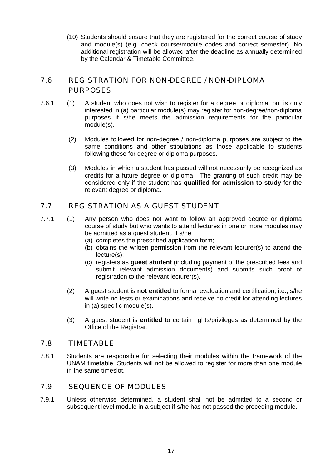(10) Students should ensure that they are registered for the correct course of study and module(s) (e.g. check course/module codes and correct semester). No additional registration will be allowed after the deadline as annually determined by the Calendar & Timetable Committee.

### 7.6 REGISTRATION FOR NON-DEGREE / NON-DIPLOMA PURPOSES

- 7.6.1 (1) A student who does not wish to register for a degree or diploma, but is only interested in (a) particular module(s) may register for non-degree/non-diploma purposes if s/he meets the admission requirements for the particular module(s).
	- (2) Modules followed for non-degree / non-diploma purposes are subject to the same conditions and other stipulations as those applicable to students following these for degree or diploma purposes.
	- (3) Modules in which a student has passed will not necessarily be recognized as credits for a future degree or diploma. The granting of such credit may be considered only if the student has **qualified for admission to study** for the relevant degree or diploma.

### 7.7 REGISTRATION AS A GUEST STUDENT

- 7.7.1 (1) Any person who does not want to follow an approved degree or diploma course of study but who wants to attend lectures in one or more modules may be admitted as a guest student, if s/he:
	- (a) completes the prescribed application form;
	- (b) obtains the written permission from the relevant lecturer(s) to attend the lecture(s);
	- (c) registers as **guest student** (including payment of the prescribed fees and submit relevant admission documents) and submits such proof of registration to the relevant lecturer(s).
	- (2) A guest student is **not entitled** to formal evaluation and certification, i.e., s/he will write no tests or examinations and receive no credit for attending lectures in (a) specific module(s).
	- (3) A guest student is **entitled** to certain rights/privileges as determined by the Office of the Registrar.

### 7.8 TIMETABLE

7.8.1 Students are responsible for selecting their modules within the framework of the UNAM timetable. Students will not be allowed to register for more than one module in the same timeslot.

### 7.9 SEQUENCE OF MODULES

7.9.1 Unless otherwise determined, a student shall not be admitted to a second or subsequent level module in a subiect if s/he has not passed the preceding module.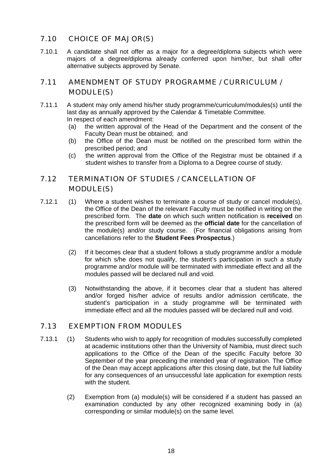### 7.10 CHOICE OF MAJOR(S)

7.10.1 A candidate shall not offer as a major for a degree/diploma subjects which were majors of a degree/diploma already conferred upon him/her, but shall offer alternative subjects approved by Senate.

### 7.11 AMENDMENT OF STUDY PROGRAMME / CURRICULUM / MODULE(S)

- 7.11.1 A student may only amend his/her study programme/curriculum/modules(s) until the last day as annually approved by the Calendar & Timetable Committee. In respect of each amendment:<br>(a) the written approval of tl
	- the written approval of the Head of the Department and the consent of the Faculty Dean must be obtained; and
	- (b) the Office of the Dean must be notified on the prescribed form within the prescribed period; and
	- (c) the written approval from the Office of the Registrar must be obtained if a student wishes to transfer from a Diploma to a Degree course of study.

### 7.12 TERMINATION OF STUDIES / CANCELLATION OF MODULE(S)

- 7.12.1 (1) Where a student wishes to terminate a course of study or cancel module(s), the Office of the Dean of the relevant Faculty must be notified in writing on the prescribed form. The **date** on which such written notification is **received** on the prescribed form will be deemed as the **official date** for the cancellation of the module(s) and/or study course. (For financial obligations arising from cancellations refer to the **Student Fees Prospectus**.)
	- (2) If it becomes clear that a student follows a study programme and/or a module for which s/he does not qualify, the student's participation in such a study programme and/or module will be terminated with immediate effect and all the modules passed will be declared null and void.
	- (3) Notwithstanding the above, if it becomes clear that a student has altered and/or forged his/her advice of results and/or admission certificate, the student's participation in a study programme will be terminated with immediate effect and all the modules passed will be declared null and void.

### 7.13 EXEMPTION FROM MODULES

- 7.13.1 (1) Students who wish to apply for recognition of modules successfully completed at academic institutions other than the University of Namibia, must direct such applications to the Office of the Dean of the specific Faculty before 30 September of the year preceding the intended year of registration. The Office of the Dean may accept applications after this closing date, but the full liability for any consequences of an unsuccessful late application for exemption rests with the student.
	- (2) Exemption from (a) module(s) will be considered if a student has passed an examination conducted by any other recognized examining body in (a) corresponding or similar module(s) on the same level.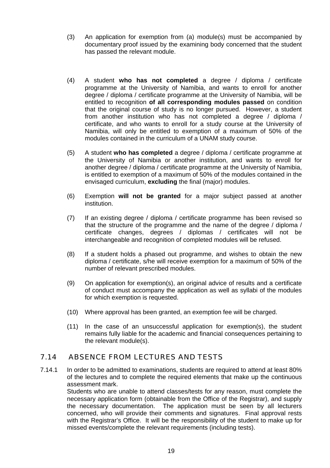- (3) An application for exemption from (a) module(s) must be accompanied by documentary proof issued by the examining body concerned that the student has passed the relevant module.
- (4) A student **who has not completed** a degree / diploma / certificate programme at the University of Namibia, and wants to enroll for another degree / diploma / certificate programme at the University of Namibia, will be entitled to recognition **of all corresponding modules passed** on condition that the original course of study is no longer pursued. However, a student from another institution who has not completed a degree / diploma / certificate, and who wants to enroll for a study course at the University of Namibia, will only be entitled to exemption of a maximum of 50% of the modules contained in the curriculum of a UNAM study course.
- (5) A student **who has completed** a degree / diploma / certificate programme at the University of Namibia or another institution, and wants to enroll for another degree / diploma / certificate programme at the University of Namibia, is entitled to exemption of a maximum of 50% of the modules contained in the envisaged curriculum, **excluding** the final (major) modules.
- (6) Exemption **will not be granted** for a major subject passed at another institution.
- (7) If an existing degree / diploma / certificate programme has been revised so that the structure of the programme and the name of the degree / diploma / certificate changes, degrees / diplomas / certificates will not be interchangeable and recognition of completed modules will be refused.
- (8) If a student holds a phased out programme, and wishes to obtain the new diploma / certificate, s/he will receive exemption for a maximum of 50% of the number of relevant prescribed modules.
- (9) On application for exemption(s), an original advice of results and a certificate of conduct must accompany the application as well as syllabi of the modules for which exemption is requested.
- (10) Where approval has been granted, an exemption fee will be charged.
- (11) In the case of an unsuccessful application for exemption(s), the student remains fully liable for the academic and financial consequences pertaining to the relevant module(s).

### 7.14 ABSENCE FROM LECTURES AND TESTS

7.14.1 In order to be admitted to examinations, students are required to attend at least 80% of the lectures and to complete the required elements that make up the continuous assessment mark.

> Students who are unable to attend classes/tests for any reason, must complete the necessary application form (obtainable from the Office of the Registrar), and supply the necessary documentation. The application must be seen by all lecturers concerned, who will provide their comments and signatures. Final approval rests with the Registrar's Office. It will be the responsibility of the student to make up for missed events/complete the relevant requirements (including tests).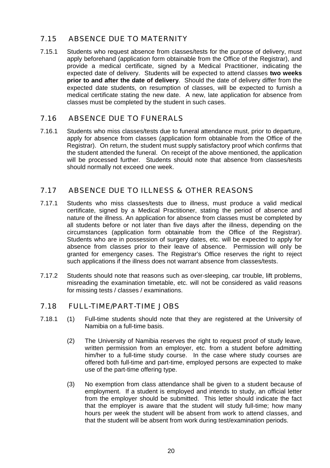### 7.15 ABSENCE DUE TO MATERNITY

7.15.1 Students who request absence from classes/tests for the purpose of delivery, must apply beforehand (application form obtainable from the Office of the Registrar), and provide a medical certificate, signed by a Medical Practitioner, indicating the expected date of delivery. Students will be expected to attend classes **two weeks prior to and after the date of delivery**. Should the date of delivery differ from the expected date students, on resumption of classes, will be expected to furnish a medical certificate stating the new date. A new, late application for absence from classes must be completed by the student in such cases.

### 7.16 ABSENCE DUE TO FUNERALS

7.16.1 Students who miss classes/tests due to funeral attendance must, prior to departure, apply for absence from classes (application form obtainable from the Office of the Registrar). On return, the student must supply satisfactory proof which confirms that the student attended the funeral. On receipt of the above mentioned, the application will be processed further. Students should note that absence from classes/tests should normally not exceed one week.

### 7.17 ABSENCE DUE TO ILLNESS & OTHER REASONS

- 7.17.1 Students who miss classes/tests due to illness, must produce a valid medical certificate, signed by a Medical Practitioner, stating the period of absence and nature of the illness. An application for absence from classes must be completed by all students before or not later than five days after the illness, depending on the circumstances (application form obtainable from the Office of the Registrar). Students who are in possession of surgery dates, etc. will be expected to apply for absence from classes prior to their leave of absence. Permission will only be granted for emergency cases. The Registrar's Office reserves the right to reject such applications if the illness does not warrant absence from classes/tests.
- 7.17.2 Students should note that reasons such as over-sleeping, car trouble, lift problems, misreading the examination timetable, etc. will not be considered as valid reasons for missing tests / classes / examinations.

### 7.18 FULL-TIME/PART-TIME JOBS

- 7.18.1 (1) Full-time students should note that they are registered at the University of Namibia on a full-time basis.
	- (2) The University of Namibia reserves the right to request proof of study leave, written permission from an employer, etc. from a student before admitting him/her to a full-time study course. In the case where study courses are offered both full-time and part-time, employed persons are expected to make use of the part-time offering type.
	- (3) No exemption from class attendance shall be given to a student because of employment. If a student is employed and intends to study, an official letter from the employer should be submitted. This letter should indicate the fact that the employer is aware that the student will study full-time; how many hours per week the student will be absent from work to attend classes, and that the student will be absent from work during test/examination periods.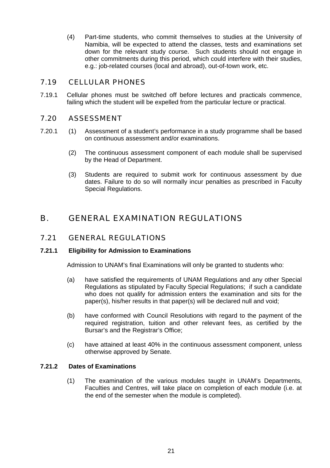(4) Part-time students, who commit themselves to studies at the University of Namibia, will be expected to attend the classes, tests and examinations set down for the relevant study course. Such students should not engage in other commitments during this period, which could interfere with their studies, e.g.: job-related courses (local and abroad), out-of-town work, etc.

### 7.19 CELLULAR PHONES

7.19.1 Cellular phones must be switched off before lectures and practicals commence, failing which the student will be expelled from the particular lecture or practical.

### 7.20 ASSESSMENT

- 7.20.1 (1) Assessment of a student's performance in a study programme shall be based on continuous assessment and/or examinations.
	- (2) The continuous assessment component of each module shall be supervised by the Head of Department.
	- (3) Students are required to submit work for continuous assessment by due dates. Failure to do so will normally incur penalties as prescribed in Faculty Special Regulations.

### B. GENERAL EXAMINATION REGULATIONS

### 7.21 GENERAL REGULATIONS

### **7.21.1 Eligibility for Admission to Examinations**

Admission to UNAM's final Examinations will only be granted to students who:

- (a) have satisfied the requirements of UNAM Regulations and any other Special Regulations as stipulated by Faculty Special Regulations; if such a candidate who does not qualify for admission enters the examination and sits for the paper(s), his/her results in that paper(s) will be declared null and void;
- (b) have conformed with Council Resolutions with regard to the payment of the required registration, tuition and other relevant fees, as certified by the Bursar's and the Registrar's Office;
- (c) have attained at least 40% in the continuous assessment component, unless otherwise approved by Senate.

### **7.21.2 Dates of Examinations**

 (1) The examination of the various modules taught in UNAM's Departments, Faculties and Centres, will take place on completion of each module (i.e. at the end of the semester when the module is completed).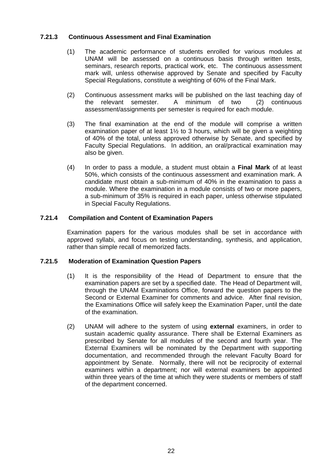### **7.21.3 Continuous Assessment and Final Examination**

- (1) The academic performance of students enrolled for various modules at UNAM will be assessed on a continuous basis through written tests, seminars, research reports, practical work, etc. The continuous assessment mark will, unless otherwise approved by Senate and specified by Faculty Special Regulations, constitute a weighting of 60% of the Final Mark.
- (2) Continuous assessment marks will be published on the last teaching day of the relevant semester. A minimum of two (2) continuous assessment/assignments per semester is required for each module.
- (3) The final examination at the end of the module will comprise a written examination paper of at least 1½ to 3 hours, which will be given a weighting of 40% of the total, unless approved otherwise by Senate, and specified by Faculty Special Regulations. In addition, an oral/practical examination may also be given.
- (4) In order to pass a module, a student must obtain a **Final Mark** of at least 50%, which consists of the continuous assessment and examination mark. A candidate must obtain a sub-minimum of 40% in the examination to pass a module. Where the examination in a module consists of two or more papers, a sub-minimum of 35% is required in each paper, unless otherwise stipulated in Special Faculty Regulations.

### **7.21.4 Compilation and Content of Examination Papers**

 Examination papers for the various modules shall be set in accordance with approved syllabi, and focus on testing understanding, synthesis, and application, rather than simple recall of memorized facts.

#### **7.21.5 Moderation of Examination Question Papers**

- (1) It is the responsibility of the Head of Department to ensure that the examination papers are set by a specified date. The Head of Department will, through the UNAM Examinations Office, forward the question papers to the Second or External Examiner for comments and advice. After final revision, the Examinations Office will safely keep the Examination Paper, until the date of the examination.
- (2) UNAM will adhere to the system of using **external** examiners, in order to sustain academic quality assurance. There shall be External Examiners as prescribed by Senate for all modules of the second and fourth year. The External Examiners will be nominated by the Department with supporting documentation, and recommended through the relevant Faculty Board for appointment by Senate. Normally, there will not be reciprocity of external examiners within a department; nor will external examiners be appointed within three years of the time at which they were students or members of staff of the department concerned.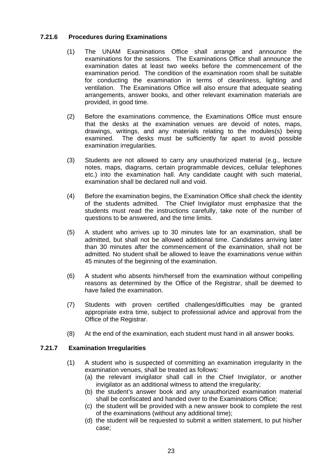### **7.21.6 Procedures during Examinations**

- (1) The UNAM Examinations Office shall arrange and announce the examinations for the sessions. The Examinations Office shall announce the examination dates at least two weeks before the commencement of the examination period. The condition of the examination room shall be suitable for conducting the examination in terms of cleanliness, lighting and ventilation. The Examinations Office will also ensure that adequate seating arrangements, answer books, and other relevant examination materials are provided, in good time.
- (2) Before the examinations commence, the Examinations Office must ensure that the desks at the examination venues are devoid of notes, maps, drawings, writings, and any materials relating to the modules(s) being examined. The desks must be sufficiently far apart to avoid possible examination irregularities.
- (3) Students are not allowed to carry any unauthorized material (e.g., lecture notes, maps, diagrams, certain programmable devices, cellular telephones etc.) into the examination hall. Any candidate caught with such material, examination shall be declared null and void.
- (4) Before the examination begins, the Examination Office shall check the identity of the students admitted. The Chief Invigilator must emphasize that the students must read the instructions carefully, take note of the number of questions to be answered, and the time limits.
- (5) A student who arrives up to 30 minutes late for an examination, shall be admitted, but shall not be allowed additional time. Candidates arriving later than 30 minutes after the commencement of the examination, shall not be admitted. No student shall be allowed to leave the examinations venue within 45 minutes of the beginning of the examination.
- (6) A student who absents him/herself from the examination without compelling reasons as determined by the Office of the Registrar, shall be deemed to have failed the examination.
- (7) Students with proven certified challenges/difficulties may be granted appropriate extra time, subject to professional advice and approval from the Office of the Registrar.
- (8) At the end of the examination, each student must hand in all answer books.

### **7.21.7 Examination Irregularities**

- (1) A student who is suspected of committing an examination irregularity in the examination venues, shall be treated as follows:
	- (a) the relevant invigilator shall call in the Chief Invigilator, or another invigilator as an additional witness to attend the irregularity;
	- (b) the student's answer book and any unauthorized examination material shall be confiscated and handed over to the Examinations Office;
	- (c) the student will be provided with a new answer book to complete the rest of the examinations (without any additional time);
	- (d) the student will be requested to submit a written statement, to put his/her case;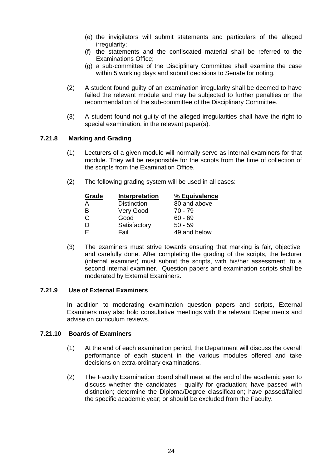- (e) the invigilators will submit statements and particulars of the alleged irregularity;
- (f) the statements and the confiscated material shall be referred to the Examinations Office;
- (g) a sub-committee of the Disciplinary Committee shall examine the case within 5 working days and submit decisions to Senate for noting.
- (2) A student found guilty of an examination irregularity shall be deemed to have failed the relevant module and may be subjected to further penalties on the recommendation of the sub-committee of the Disciplinary Committee.
- (3) A student found not guilty of the alleged irregularities shall have the right to special examination, in the relevant paper(s).

### **7.21.8 Marking and Grading**

- (1) Lecturers of a given module will normally serve as internal examiners for that module. They will be responsible for the scripts from the time of collection of the scripts from the Examination Office.
- (2) The following grading system will be used in all cases:

| Grade | Interpretation     | % Equivalence |
|-------|--------------------|---------------|
|       | <b>Distinction</b> | 80 and above  |
| в     | Very Good          | 70 - 79       |
| C.    | Good               | $60 - 69$     |
|       | Satisfactory       | $50 - 59$     |
|       | Fail               | 49 and below  |

 (3) The examiners must strive towards ensuring that marking is fair, objective, and carefully done. After completing the grading of the scripts, the lecturer (internal examiner) must submit the scripts, with his/her assessment, to a second internal examiner. Question papers and examination scripts shall be moderated by External Examiners.

### **7.21.9 Use of External Examiners**

 In addition to moderating examination question papers and scripts, External Examiners may also hold consultative meetings with the relevant Departments and advise on curriculum reviews.

### **7.21.10 Boards of Examiners**

- (1) At the end of each examination period, the Department will discuss the overall performance of each student in the various modules offered and take decisions on extra-ordinary examinations.
- (2) The Faculty Examination Board shall meet at the end of the academic year to discuss whether the candidates - qualify for graduation; have passed with distinction; determine the Diploma/Degree classification; have passed/failed the specific academic year; or should be excluded from the Faculty.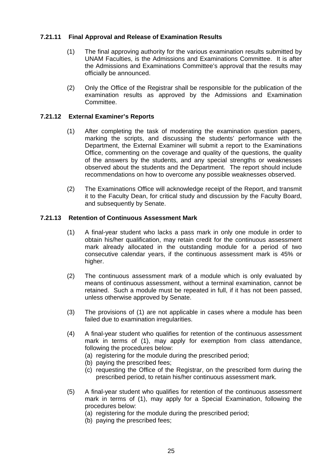### **7.21.11 Final Approval and Release of Examination Results**

- (1) The final approving authority for the various examination results submitted by UNAM Faculties, is the Admissions and Examinations Committee. It is after the Admissions and Examinations Committee's approval that the results may officially be announced.
- (2) Only the Office of the Registrar shall be responsible for the publication of the examination results as approved by the Admissions and Examination Committee.

### **7.21.12 External Examiner's Reports**

- (1) After completing the task of moderating the examination question papers, marking the scripts, and discussing the students' performance with the Department, the External Examiner will submit a report to the Examinations Office, commenting on the coverage and quality of the questions, the quality of the answers by the students, and any special strengths or weaknesses observed about the students and the Department. The report should include recommendations on how to overcome any possible weaknesses observed.
- (2) The Examinations Office will acknowledge receipt of the Report, and transmit it to the Faculty Dean, for critical study and discussion by the Faculty Board, and subsequently by Senate.

### **7.21.13 Retention of Continuous Assessment Mark**

- (1) A final-year student who lacks a pass mark in only one module in order to obtain his/her qualification, may retain credit for the continuous assessment mark already allocated in the outstanding module for a period of two consecutive calendar years, if the continuous assessment mark is 45% or higher.
- (2) The continuous assessment mark of a module which is only evaluated by means of continuous assessment, without a terminal examination, cannot be retained. Such a module must be repeated in full, if it has not been passed, unless otherwise approved by Senate.
- (3) The provisions of (1) are not applicable in cases where a module has been failed due to examination irregularities.
- (4) A final-year student who qualifies for retention of the continuous assessment mark in terms of (1), may apply for exemption from class attendance, following the procedures below:
	- (a) registering for the module during the prescribed period;
	- (b) paying the prescribed fees;
	- (c) requesting the Office of the Registrar, on the prescribed form during the prescribed period, to retain his/her continuous assessment mark.
- (5) A final-year student who qualifies for retention of the continuous assessment mark in terms of (1), may apply for a Special Examination, following the procedures below:
	- (a) registering for the module during the prescribed period;
	- (b) paying the prescribed fees;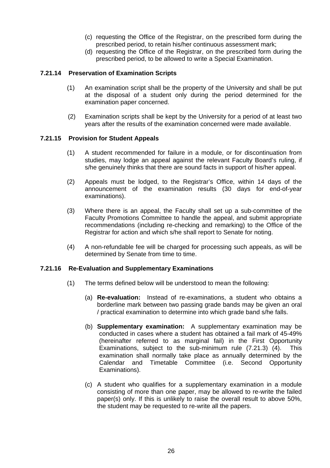- (c) requesting the Office of the Registrar, on the prescribed form during the prescribed period, to retain his/her continuous assessment mark;
- (d) requesting the Office of the Registrar, on the prescribed form during the prescribed period, to be allowed to write a Special Examination.

### **7.21.14 Preservation of Examination Scripts**

- (1) An examination script shall be the property of the University and shall be put at the disposal of a student only during the period determined for the examination paper concerned.
- (2) Examination scripts shall be kept by the University for a period of at least two years after the results of the examination concerned were made available.

#### **7.21.15 Provision for Student Appeals**

- (1) A student recommended for failure in a module, or for discontinuation from studies, may lodge an appeal against the relevant Faculty Board's ruling, if s/he genuinely thinks that there are sound facts in support of his/her appeal.
- (2) Appeals must be lodged, to the Registrar's Office, within 14 days of the announcement of the examination results (30 days for end-of-year examinations).
- (3) Where there is an appeal, the Faculty shall set up a sub-committee of the Faculty Promotions Committee to handle the appeal, and submit appropriate recommendations (including re-checking and remarking) to the Office of the Registrar for action and which s/he shall report to Senate for noting.
- (4) A non-refundable fee will be charged for processing such appeals, as will be determined by Senate from time to time.

#### **7.21.16 Re-Evaluation and Supplementary Examinations**

- (1) The terms defined below will be understood to mean the following:
	- (a) **Re-evaluation:** Instead of re-examinations, a student who obtains a borderline mark between two passing grade bands may be given an oral / practical examination to determine into which grade band s/he falls.
	- (b) **Supplementary examination:** A supplementary examination may be conducted in cases where a student has obtained a fail mark of 45-49% (hereinafter referred to as marginal fail) in the First Opportunity Examinations, subject to the sub-minimum rule (7.21.3) (4). This examination shall normally take place as annually determined by the Calendar and Timetable Committee (i.e. Second Opportunity Examinations).
	- (c) A student who qualifies for a supplementary examination in a module consisting of more than one paper, may be allowed to re-write the failed paper(s) only. If this is unlikely to raise the overall result to above 50%, the student may be requested to re-write all the papers.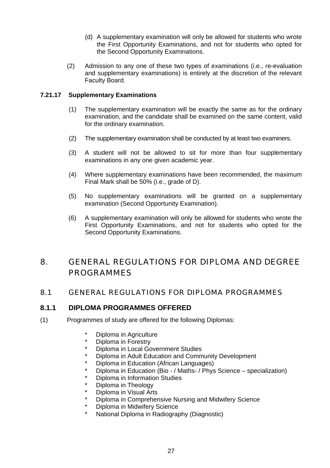- (d) A supplementary examination will only be allowed for students who wrote the First Opportunity Examinations, and not for students who opted for the Second Opportunity Examinations.
- (2) Admission to any one of these two types of examinations (i.e., re-evaluation and supplementary examinations) is entirely at the discretion of the relevant Faculty Board.

### **7.21.17 Supplementary Examinations**

- (1) The supplementary examination will be exactly the same as for the ordinary examination, and the candidate shall be examined on the same content, valid for the ordinary examination.
- (2) The supplementary examination shall be conducted by at least two examiners.
- (3) A student will not be allowed to sit for more than four supplementary examinations in any one given academic year.
- (4) Where supplementary examinations have been recommended, the maximum Final Mark shall be 50% (i.e., grade of D).
- (5) No supplementary examinations will be granted on a supplementary examination (Second Opportunity Examination).
- (6) A supplementary examination will only be allowed for students who wrote the First Opportunity Examinations, and not for students who opted for the Second Opportunity Examinations.

### 8. GENERAL REGULATIONS FOR DIPLOMA AND DEGREE PROGRAMMES

### 8.1 GENERAL REGULATIONS FOR DIPLOMA PROGRAMMES

### **8.1.1 DIPLOMA PROGRAMMES OFFERED**

- (1) Programmes of study are offered for the following Diplomas:
	- \* Diploma in Agriculture<br>\* Diploma in Ecreetry
	- Diploma in Forestry
	- Diploma in Local Government Studies
	- Diploma in Adult Education and Community Development
	- Diploma in Education (African Languages)
	- Diploma in Education (Bio / Maths- / Phys Science specialization)
	- Diploma in Information Studies
	- Diploma in Theology
	- Diploma in Visual Arts
	- Diploma in Comprehensive Nursing and Midwifery Science
	- **Diploma in Midwifery Science**
	- **National Diploma in Radiography (Diagnostic)**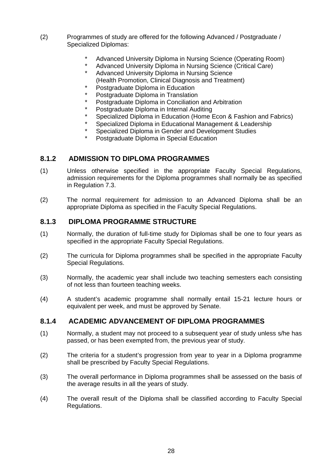- (2) Programmes of study are offered for the following Advanced / Postgraduate / Specialized Diplomas:
	- Advanced University Diploma in Nursing Science (Operating Room)
	- Advanced University Diploma in Nursing Science (Critical Care)
	- Advanced University Diploma in Nursing Science (Health Promotion, Clinical Diagnosis and Treatment)
	- Postgraduate Diploma in Education
	- Postgraduate Diploma in Translation
	- Postgraduate Diploma in Conciliation and Arbitration
	- Postgraduate Diploma in Internal Auditing
	- Specialized Diploma in Education (Home Econ & Fashion and Fabrics)
	- Specialized Diploma in Educational Management & Leadership
	- Specialized Diploma in Gender and Development Studies
	- Postgraduate Diploma in Special Education

### **8.1.2 ADMISSION TO DIPLOMA PROGRAMMES**

- (1) Unless otherwise specified in the appropriate Faculty Special Regulations, admission requirements for the Diploma programmes shall normally be as specified in Regulation 7.3.
- (2) The normal requirement for admission to an Advanced Diploma shall be an appropriate Diploma as specified in the Faculty Special Regulations.

### **8.1.3 DIPLOMA PROGRAMME STRUCTURE**

- (1) Normally, the duration of full-time study for Diplomas shall be one to four years as specified in the appropriate Faculty Special Regulations.
- (2) The curricula for Diploma programmes shall be specified in the appropriate Faculty Special Regulations.
- (3) Normally, the academic year shall include two teaching semesters each consisting of not less than fourteen teaching weeks.
- (4) A student's academic programme shall normally entail 15-21 lecture hours or equivalent per week, and must be approved by Senate.

### **8.1.4 ACADEMIC ADVANCEMENT OF DIPLOMA PROGRAMMES**

- (1) Normally, a student may not proceed to a subsequent year of study unless s/he has passed, or has been exempted from, the previous year of study.
- (2) The criteria for a student's progression from year to year in a Diploma programme shall be prescribed by Faculty Special Regulations.
- (3) The overall performance in Diploma programmes shall be assessed on the basis of the average results in all the years of study.
- (4) The overall result of the Diploma shall be classified according to Faculty Special Regulations.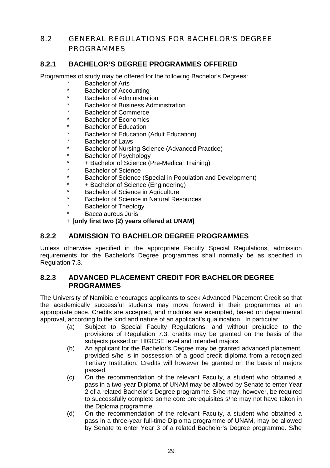### 8.2 GENERAL REGULATIONS FOR BACHELOR'S DEGREE PROGRAMMES

### **8.2.1 BACHELOR'S DEGREE PROGRAMMES OFFERED**

Programmes of study may be offered for the following Bachelor's Degrees:

- Bachelor of Arts
- **Bachelor of Accounting**
- **Bachelor of Administration**
- **Bachelor of Business Administration**
- Bachelor of Commerce
- **Bachelor of Economics**
- **Bachelor of Education**
- Bachelor of Education (Adult Education)
- **Bachelor of Laws**
- Bachelor of Nursing Science (Advanced Practice)
- Bachelor of Psychology
- \* + Bachelor of Science (Pre-Medical Training)
- Bachelor of Science
- Bachelor of Science (Special in Population and Development)
- + Bachelor of Science (Engineering)
- Bachelor of Science in Agriculture
- Bachelor of Science in Natural Resources
- Bachelor of Theology
- Baccalaureus Juris

+ **[only first two (2) years offered at UNAM]** 

### **8.2.2 ADMISSION TO BACHELOR DEGREE PROGRAMMES**

Unless otherwise specified in the appropriate Faculty Special Regulations, admission requirements for the Bachelor's Degree programmes shall normally be as specified in Regulation 7.3.

### **8.2.3 ADVANCED PLACEMENT CREDIT FOR BACHELOR DEGREE PROGRAMMES**

The University of Namibia encourages applicants to seek Advanced Placement Credit so that the academically successful students may move forward in their programmes at an appropriate pace. Credits are accepted, and modules are exempted, based on departmental approval, according to the kind and nature of an applicant's qualification. In particular:

- (a) Subject to Special Faculty Regulations, and without prejudice to the provisions of Regulation 7.3, credits may be granted on the basis of the subjects passed on HIGCSE level and intended majors.
- (b) An applicant for the Bachelor's Degree may be granted advanced placement, provided s/he is in possession of a good credit diploma from a recognized Tertiary Institution. Credits will however be granted on the basis of majors passed.
- (c) On the recommendation of the relevant Faculty, a student who obtained a pass in a two-year Diploma of UNAM may be allowed by Senate to enter Year 2 of a related Bachelor's Degree programme. S/he may, however, be required to successfully complete some core prerequisites s/he may not have taken in the Diploma programme.
- (d) On the recommendation of the relevant Faculty, a student who obtained a pass in a three-year full-time Diploma programme of UNAM, may be allowed by Senate to enter Year 3 of a related Bachelor's Degree programme. S/he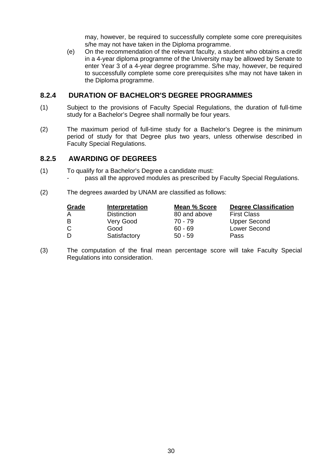may, however, be required to successfully complete some core prerequisites s/he may not have taken in the Diploma programme.

 (e) On the recommendation of the relevant faculty, a student who obtains a credit in a 4-year diploma programme of the University may be allowed by Senate to enter Year 3 of a 4-year degree programme. S/he may, however, be required to successfully complete some core prerequisites s/he may not have taken in the Diploma programme.

### **8.2.4 DURATION OF BACHELOR'S DEGREE PROGRAMMES**

- (1) Subject to the provisions of Faculty Special Regulations, the duration of full-time study for a Bachelor's Degree shall normally be four years.
- (2) The maximum period of full-time study for a Bachelor's Degree is the minimum period of study for that Degree plus two years, unless otherwise described in Faculty Special Regulations.

### **8.2.5 AWARDING OF DEGREES**

- (1) To qualify for a Bachelor's Degree a candidate must:
	- pass all the approved modules as prescribed by Faculty Special Regulations.
- (2) The degrees awarded by UNAM are classified as follows:

| Grade | Interpretation     | Mean % Score | <b>Degree Classification</b> |
|-------|--------------------|--------------|------------------------------|
|       | <b>Distinction</b> | 80 and above | <b>First Class</b>           |
| в     | Very Good          | 70 - 79      | Upper Second                 |
| С     | Good               | $60 - 69$    | Lower Second                 |
| D     | Satisfactory       | $50 - 59$    | Pass                         |

(3) The computation of the final mean percentage score will take Faculty Special Regulations into consideration.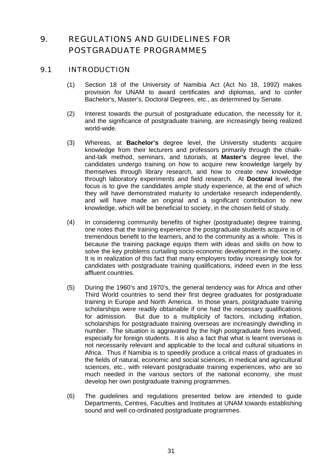# 9. REGULATIONS AND GUIDELINES FOR POSTGRADUATE PROGRAMMES

## 9.1 INTRODUCTION

- (1) Section 18 of the University of Namibia Act (Act No 18, 1992) makes provision for UNAM to award certificates and diplomas, and to confer Bachelor's, Master's, Doctoral Degrees, etc., as determined by Senate.
- (2) Interest towards the pursuit of postgraduate education, the necessity for it, and the significance of postgraduate training, are increasingly being realized world-wide.
- (3) Whereas, at **Bachelor's** degree level, the University students acquire knowledge from their lecturers and professors primarily through the chalkand-talk method, seminars, and tutorials, at **Master's** degree level, the candidates undergo training on how to acquire new knowledge largely by themselves through library research, and how to create new knowledge through laboratory experiments and field research. At **Doctoral** level, the focus is to give the candidates ample study experience, at the end of which they will have demonstrated maturity to undertake research independently, and will have made an original and a significant contribution to new knowledge, which will be beneficial to society, in the chosen field of study.
- (4) In considering community benefits of higher (postgraduate) degree training, one notes that the training experience the postgraduate students acquire is of tremendous benefit to the learners, and to the community as a whole. This is because the training package equips them with ideas and skills on how to solve the key problems curtailing socio-economic development in the society. It is in realization of this fact that many employers today increasingly look for candidates with postgraduate training qualifications, indeed even in the less affluent countries.
- (5) During the 1960's and 1970's, the general tendency was for Africa and other Third World countries to send their first degree graduates for postgraduate training in Europe and North America. In those years, postgraduate training scholarships were readily obtainable if one had the necessary qualifications for admission. But due to a multiplicity of factors, including inflation, scholarships for postgraduate training overseas are increasingly dwindling in number. The situation is aggravated by the high postgraduate fees involved, especially for foreign students. It is also a fact that what is learnt overseas is not necessarily relevant and applicable to the local and cultural situations in Africa. Thus if Namibia is to speedily produce a critical mass of graduates in the fields of natural, economic and social sciences, in medical and agricultural sciences, etc., with relevant postgraduate training experiences, who are so much needed in the various sectors of the national economy, she must develop her own postgraduate training programmes.
- (6) The guidelines and regulations presented below are intended to guide Departments, Centres, Faculties and Institutes at UNAM towards establishing sound and well co-ordinated postgraduate programmes.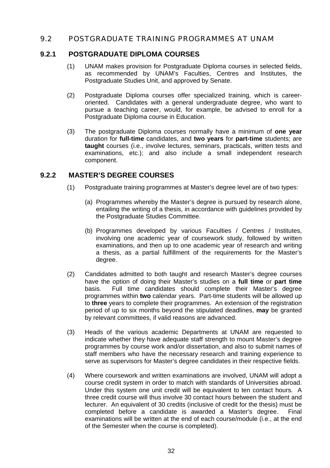## 9.2 POSTGRADUATE TRAINING PROGRAMMES AT UNAM

## **9.2.1 POSTGRADUATE DIPLOMA COURSES**

- (1) UNAM makes provision for Postgraduate Diploma courses in selected fields, as recommended by UNAM's Faculties, Centres and Institutes, the Postgraduate Studies Unit, and approved by Senate.
- (2) Postgraduate Diploma courses offer specialized training, which is careeroriented. Candidates with a general undergraduate degree, who want to pursue a teaching career, would, for example, be advised to enroll for a Postgraduate Diploma course in Education.
- (3) The postgraduate Diploma courses normally have a minimum of **one year** duration for **full-time** candidates, and **two years** for **part-time** students; are **taught** courses (i.e., involve lectures, seminars, practicals, written tests and examinations, etc.); and also include a small independent research component.

## **9.2.2 MASTER'S DEGREE COURSES**

- (1) Postgraduate training programmes at Master's degree level are of two types:
	- (a) Programmes whereby the Master's degree is pursued by research alone, entailing the writing of a thesis, in accordance with guidelines provided by the Postgraduate Studies Committee.
	- (b) Programmes developed by various Faculties / Centres / Institutes, involving one academic year of coursework study, followed by written examinations, and then up to one academic year of research and writing a thesis, as a partial fulfillment of the requirements for the Master's degree.
- (2) Candidates admitted to both taught and research Master's degree courses have the option of doing their Master's studies on a **full time** or **part time** basis. Full time candidates should complete their Master's degree programmes within **two** calendar years. Part-time students will be allowed up to **three** years to complete their programmes. An extension of the registration period of up to six months beyond the stipulated deadlines, **may** be granted by relevant committees, if valid reasons are advanced.
- (3) Heads of the various academic Departments at UNAM are requested to indicate whether they have adequate staff strength to mount Master's degree programmes by course work and/or dissertation, and also to submit names of staff members who have the necessary research and training experience to serve as supervisors for Master's degree candidates in their respective fields.
- (4) Where coursework and written examinations are involved, UNAM will adopt a course credit system in order to match with standards of Universities abroad. Under this system one unit credit will be equivalent to ten contact hours. A three credit course will thus involve 30 contact hours between the student and lecturer. An equivalent of 30 credits (inclusive of credit for the thesis) must be completed before a candidate is awarded a Master's degree. Final examinations will be written at the end of each course/module (i.e., at the end of the Semester when the course is completed).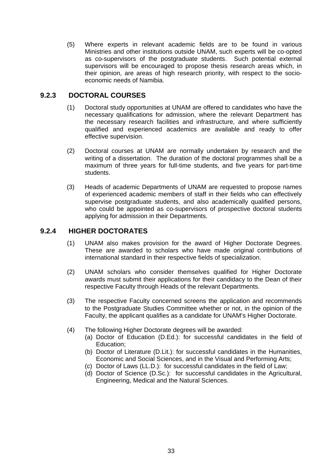(5) Where experts in relevant academic fields are to be found in various Ministries and other institutions outside UNAM, such experts will be co-opted as co-supervisors of the postgraduate students. Such potential external supervisors will be encouraged to propose thesis research areas which, in their opinion, are areas of high research priority, with respect to the socioeconomic needs of Namibia.

## **9.2.3 DOCTORAL COURSES**

- (1) Doctoral study opportunities at UNAM are offered to candidates who have the necessary qualifications for admission, where the relevant Department has the necessary research facilities and infrastructure, and where sufficiently qualified and experienced academics are available and ready to offer effective supervision.
- (2) Doctoral courses at UNAM are normally undertaken by research and the writing of a dissertation. The duration of the doctoral programmes shall be a maximum of three years for full-time students, and five years for part-time students.
- (3) Heads of academic Departments of UNAM are requested to propose names of experienced academic members of staff in their fields who can effectively supervise postgraduate students, and also academically qualified persons, who could be appointed as co-supervisors of prospective doctoral students applying for admission in their Departments.

# **9.2.4 HIGHER DOCTORATES**

- (1) UNAM also makes provision for the award of Higher Doctorate Degrees. These are awarded to scholars who have made original contributions of international standard in their respective fields of specialization.
- (2) UNAM scholars who consider themselves qualified for Higher Doctorate awards must submit their applications for their candidacy to the Dean of their respective Faculty through Heads of the relevant Departments.
- (3) The respective Faculty concerned screens the application and recommends to the Postgraduate Studies Committee whether or not, in the opinion of the Faculty, the applicant qualifies as a candidate for UNAM's Higher Doctorate.
- (4) The following Higher Doctorate degrees will be awarded:
	- (a) Doctor of Education (D.Ed.): for successful candidates in the field of Education;
	- (b) Doctor of Literature (D.Lit.): for successful candidates in the Humanities, Economic and Social Sciences, and in the Visual and Performing Arts;
	- (c) Doctor of Laws (LL.D.): for successful candidates in the field of Law;
	- (d) Doctor of Science (D.Sc.): for successful candidates in the Agricultural, Engineering, Medical and the Natural Sciences.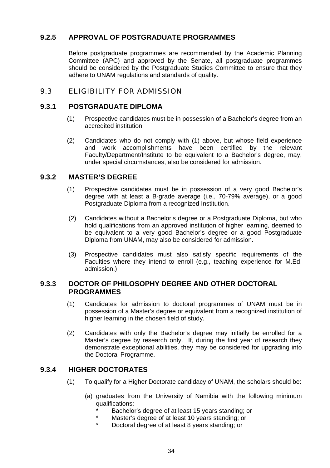# **9.2.5 APPROVAL OF POSTGRADUATE PROGRAMMES**

 Before postgraduate programmes are recommended by the Academic Planning Committee (APC) and approved by the Senate, all postgraduate programmes should be considered by the Postgraduate Studies Committee to ensure that they adhere to UNAM regulations and standards of quality.

# 9.3 ELIGIBILITY FOR ADMISSION

## **9.3.1 POSTGRADUATE DIPLOMA**

- (1) Prospective candidates must be in possession of a Bachelor's degree from an accredited institution.
- (2) Candidates who do not comply with (1) above, but whose field experience and work accomplishments have been certified by the relevant Faculty/Department/Institute to be equivalent to a Bachelor's degree, may, under special circumstances, also be considered for admission.

## **9.3.2 MASTER'S DEGREE**

- (1) Prospective candidates must be in possession of a very good Bachelor's degree with at least a B-grade average (i.e., 70-79% average), or a good Postgraduate Diploma from a recognized Institution.
- (2) Candidates without a Bachelor's degree or a Postgraduate Diploma, but who hold qualifications from an approved institution of higher learning, deemed to be equivalent to a very good Bachelor's degree or a good Postgraduate Diploma from UNAM, may also be considered for admission.
- (3) Prospective candidates must also satisfy specific requirements of the Faculties where they intend to enroll (e.g., teaching experience for M.Ed. admission.)

## **9.3.3 DOCTOR OF PHILOSOPHY DEGREE AND OTHER DOCTORAL PROGRAMMES**

- (1) Candidates for admission to doctoral programmes of UNAM must be in possession of a Master's degree or equivalent from a recognized institution of higher learning in the chosen field of study.
- (2) Candidates with only the Bachelor's degree may initially be enrolled for a Master's degree by research only. If, during the first year of research they demonstrate exceptional abilities, they may be considered for upgrading into the Doctoral Programme.

## **9.3.4 HIGHER DOCTORATES**

- (1) To qualify for a Higher Doctorate candidacy of UNAM, the scholars should be:
	- (a) graduates from the University of Namibia with the following minimum qualifications:
		- Bachelor's degree of at least 15 years standing; or
		- Master's degree of at least 10 years standing; or
		- Doctoral degree of at least 8 years standing; or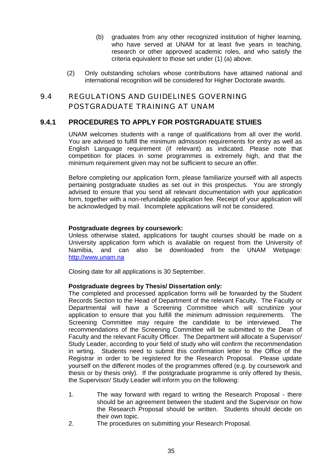- (b) graduates from any other recognized institution of higher learning, who have served at UNAM for at least five years in teaching, research or other approved academic roles, and who satisfy the criteria equivalent to those set under (1) (a) above.
- (2) Only outstanding scholars whose contributions have attained national and international recognition will be considered for Higher Doctorate awards.

# 9.4 REGULATIONS AND GUIDELINES GOVERNING POSTGRADUATE TRAINING AT UNAM

## **9.4.1 PROCEDURES TO APPLY FOR POSTGRADUATE STUIES**

UNAM welcomes students with a range of qualifications from all over the world. You are advised to fulfill the minimum admission requirements for entry as well as English Language requirement (if relevant) as indicated. Please note that competition for places in some programmes is extremely high, and that the minimum requirement given may not be sufficient to secure an offer.

Before completing our application form, please familiarize yourself with all aspects pertaining postgraduate studies as set out in this prospectus. You are strongly advised to ensure that you send all relevant documentation with your application form, together with a non-refundable application fee. Receipt of your application will be acknowledged by mail. Incomplete applications will not be considered.

### **Postgraduate degrees by coursework:**

Unless otherwise stated, applications for taught courses should be made on a University application form which is available on request from the University of Namibia, and can also be downloaded from the UNAM Webpage: [http://www.unam.na](http://www.unam.na/)

Closing date for all applications is 30 September.

### **Postgraduate degrees by Thesis/ Dissertation only:**

The completed and processed application forms will be forwarded by the Student Records Section to the Head of Department of the relevant Faculty. The Faculty or Departmental will have a Screening Committee which will scrutinize your application to ensure that you fulfill the minimum admission requirements. The Screening Committee may require the candidate to be interviewed. The recommendations of the Screening Committee will be submitted to the Dean of Faculty and the relevant Faculty Officer. The Department will allocate a Supervisor/ Study Leader, according to your field of study who will confirm the recommendation in wrting. Students need to submit this confirmation letter to the Office of the Registrar in order to be registered for the Research Proposal. Please update yourself on the different modes of the programmes offered (e.g. by coursework and thesis or by thesis only). If the postgraduate programme is only offered by thesis, the Supervisor/ Study Leader will inform you on the following:

- 1. The way forward with regard to writing the Research Proposal there should be an agreement between the student and the Supervisor on how the Research Proposal should be written. Students should decide on their own topic.
- 2. The procedures on submitting your Research Proposal.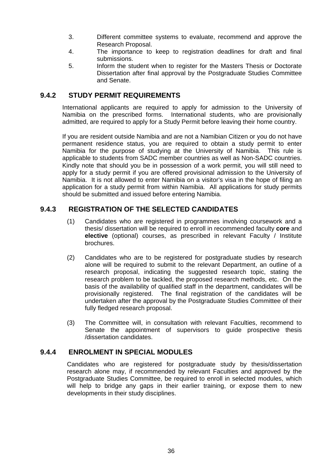- 3. Different committee systems to evaluate, recommend and approve the Research Proposal.
- 4. The importance to keep to registration deadlines for draft and final submissions.
- 5. Inform the student when to register for the Masters Thesis or Doctorate Dissertation after final approval by the Postgraduate Studies Committee and Senate.

## **9.4.2 STUDY PERMIT REQUIREMENTS**

International applicants are required to apply for admission to the University of Namibia on the prescribed forms. International students, who are provisionally admitted, are required to apply for a Study Permit before leaving their home country.

 If you are resident outside Namibia and are not a Namibian Citizen or you do not have permanent residence status, you are required to obtain a study permit to enter Namibia for the purpose of studying at the University of Namibia. This rule is applicable to students from SADC member countries as well as Non-SADC countries. Kindly note that should you be in possession of a work permit, you will still need to apply for a study permit if you are offered provisional admission to the University of Namibia. It is not allowed to enter Namibia on a visitor's visa in the hope of filing an application for a study permit from within Namibia. All applications for study permits should be submitted and issued before entering Namibia.

## **9.4.3 REGISTRATION OF THE SELECTED CANDIDATES**

- (1) Candidates who are registered in programmes involving coursework and a thesis/ dissertation will be required to enroll in recommended faculty **core** and **elective** (optional) courses, as prescribed in relevant Faculty / Institute brochures.
- (2) Candidates who are to be registered for postgraduate studies by research alone will be required to submit to the relevant Department, an outline of a research proposal, indicating the suggested research topic, stating the research problem to be tackled, the proposed research methods, etc. On the basis of the availability of qualified staff in the department, candidates will be provisionally registered. The final registration of the candidates will be undertaken after the approval by the Postgraduate Studies Committee of their fully fledged research proposal.
- (3) The Committee will, in consultation with relevant Faculties, recommend to Senate the appointment of supervisors to guide prospective thesis /dissertation candidates.

## **9.4.4 ENROLMENT IN SPECIAL MODULES**

 Candidates who are registered for postgraduate study by thesis/dissertation research alone may, if recommended by relevant Faculties and approved by the Postgraduate Studies Committee, be required to enroll in selected modules, which will help to bridge any gaps in their earlier training, or expose them to new developments in their study disciplines.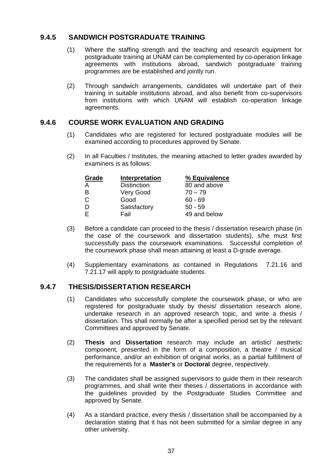## **9.4.5 SANDWICH POSTGRADUATE TRAINING**

- (1) Where the staffing strength and the teaching and research equipment for postgraduate training at UNAM can be complemented by co-operation linkage agreements with institutions abroad, sandwich postgraduate training programmes are be established and jointly run.
- (2) Through sandwich arrangements, candidates will undertake part of their training in suitable institutions abroad, and also benefit from co-supervisors from institutions with which UNAM will establish co-operation linkage agreements.

## **9.4.6 COURSE WORK EVALUATION AND GRADING**

- (1) Candidates who are registered for lectured postgraduate modules will be examined according to procedures approved by Senate.
- (2) In all Faculties / Institutes, the meaning attached to letter grades awarded by examiners is as follows:

| Grade | Interpretation     | % Equivalence |
|-------|--------------------|---------------|
| А     | <b>Distinction</b> | 80 and above  |
| в     | Very Good          | $70 - 79$     |
| С     | Good               | $60 - 69$     |
| D     | Satisfactory       | $50 - 59$     |
| F     | Fail               | 49 and below  |

- (3) Before a candidate can proceed to the thesis / dissertation research phase (in the case of the coursework and dissertation students), s/he must first successfully pass the coursework examinations. Successful completion of the coursework phase shall mean attaining at least a D-grade average.
- (4) Supplementary examinations as contained in Regulations 7.21.16 and 7.21.17 will apply to postgraduate students.

## **9.4.7 THESIS/DISSERTATION RESEARCH**

- (1) Candidates who successfully complete the coursework phase, or who are registered for postgraduate study by thesis/ dissertation research alone, undertake research in an approved research topic, and write a thesis / dissertation. This shall normally be after a specified period set by the relevant Committees and approved by Senate.
- (2) **Thesis** and **Dissertation** research may include an artistic/ aesthetic component, presented in the form of a composition, a theatre / musical performance, and/or an exhibition of original works, as a partial fulfillment of the requirements for a **Master's** or **Doctoral** degree, respectively.
- (3) The candidates shall be assigned supervisors to guide them in their research programmes, and shall write their theses / dissertations in accordance with the guidelines provided by the Postgraduate Studies Committee and approved by Senate.
- (4) As a standard practice, every thesis / dissertation shall be accompanied by a declaration stating that it has not been submitted for a similar degree in any other university.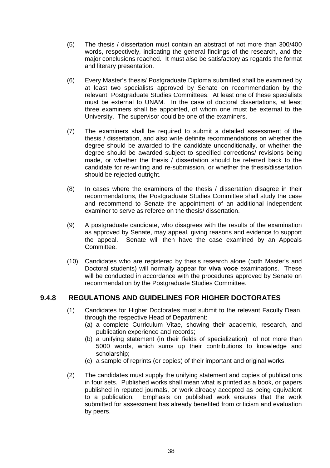- (5) The thesis / dissertation must contain an abstract of not more than 300/400 words, respectively, indicating the general findings of the research, and the major conclusions reached. It must also be satisfactory as regards the format and literary presentation.
- (6) Every Master's thesis/ Postgraduate Diploma submitted shall be examined by at least two specialists approved by Senate on recommendation by the relevant Postgraduate Studies Committees. At least one of these specialists must be external to UNAM. In the case of doctoral dissertations, at least three examiners shall be appointed, of whom one must be external to the University. The supervisor could be one of the examiners.
- (7) The examiners shall be required to submit a detailed assessment of the thesis / dissertation, and also write definite recommendations on whether the degree should be awarded to the candidate unconditionally, or whether the degree should be awarded subject to specified corrections/ revisions being made, or whether the thesis / dissertation should be referred back to the candidate for re-writing and re-submission, or whether the thesis/dissertation should be rejected outright.
- (8) In cases where the examiners of the thesis / dissertation disagree in their recommendations, the Postgraduate Studies Committee shall study the case and recommend to Senate the appointment of an additional independent examiner to serve as referee on the thesis/ dissertation.
- (9) A postgraduate candidate, who disagrees with the results of the examination as approved by Senate, may appeal, giving reasons and evidence to support the appeal. Senate will then have the case examined by an Appeals Committee.
- (10) Candidates who are registered by thesis research alone (both Master's and Doctoral students) will normally appear for **viva voce** examinations. These will be conducted in accordance with the procedures approved by Senate on recommendation by the Postgraduate Studies Committee.

## **9.4.8 REGULATIONS AND GUIDELINES FOR HIGHER DOCTORATES**

- (1) Candidates for Higher Doctorates must submit to the relevant Faculty Dean, through the respective Head of Department:
	- (a) a complete Curriculum Vitae, showing their academic, research, and publication experience and records;
	- (b) a unifying statement (in their fields of specialization) of not more than 5000 words, which sums up their contributions to knowledge and scholarship;
	- (c) a sample of reprints (or copies) of their important and original works.
- (2) The candidates must supply the unifying statement and copies of publications in four sets. Published works shall mean what is printed as a book, or papers published in reputed journals, or work already accepted as being equivalent to a publication. Emphasis on published work ensures that the work submitted for assessment has already benefited from criticism and evaluation by peers.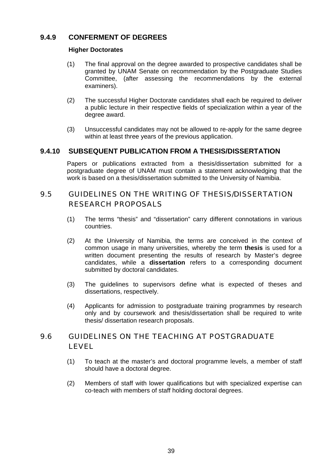# **9.4.9 CONFERMENT OF DEGREES**

## **Higher Doctorates**

- (1) The final approval on the degree awarded to prospective candidates shall be granted by UNAM Senate on recommendation by the Postgraduate Studies Committee, (after assessing the recommendations by the external examiners).
- (2) The successful Higher Doctorate candidates shall each be required to deliver a public lecture in their respective fields of specialization within a year of the degree award.
- (3) Unsuccessful candidates may not be allowed to re-apply for the same degree within at least three years of the previous application.

# **9.4.10 SUBSEQUENT PUBLICATION FROM A THESIS/DISSERTATION**

 Papers or publications extracted from a thesis/dissertation submitted for a postgraduate degree of UNAM must contain a statement acknowledging that the work is based on a thesis/dissertation submitted to the University of Namibia.

# 9.5 GUIDELINES ON THE WRITING OF THESIS/DISSERTATION RESEARCH PROPOSALS

- (1) The terms "thesis" and "dissertation" carry different connotations in various countries.
- (2) At the University of Namibia, the terms are conceived in the context of common usage in many universities, whereby the term **thesis** is used for a written document presenting the results of research by Master's degree candidates, while a **dissertation** refers to a corresponding document submitted by doctoral candidates.
- (3) The guidelines to supervisors define what is expected of theses and dissertations, respectively.
- (4) Applicants for admission to postgraduate training programmes by research only and by coursework and thesis/dissertation shall be required to write thesis/ dissertation research proposals.

# 9.6 GUIDELINES ON THE TEACHING AT POSTGRADUATE LEVEL

- (1) To teach at the master's and doctoral programme levels, a member of staff should have a doctoral degree.
- (2) Members of staff with lower qualifications but with specialized expertise can co-teach with members of staff holding doctoral degrees.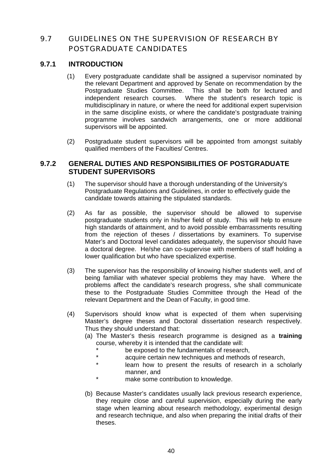# 9.7 GUIDELINES ON THE SUPERVISION OF RESEARCH BY POSTGRADUATE CANDIDATES

## **9.7.1 INTRODUCTION**

- (1) Every postgraduate candidate shall be assigned a supervisor nominated by the relevant Department and approved by Senate on recommendation by the Postgraduate Studies Committee. This shall be both for lectured and independent research courses. Where the student's research topic is multidisciplinary in nature, or where the need for additional expert supervision in the same discipline exists, or where the candidate's postgraduate training programme involves sandwich arrangements, one or more additional supervisors will be appointed.
- (2) Postgraduate student supervisors will be appointed from amongst suitably qualified members of the Faculties/ Centres.

## **9.7.2 GENERAL DUTIES AND RESPONSIBILITIES OF POSTGRADUATE STUDENT SUPERVISORS**

- (1) The supervisor should have a thorough understanding of the University's Postgraduate Regulations and Guidelines, in order to effectively guide the candidate towards attaining the stipulated standards.
- (2) As far as possible, the supervisor should be allowed to supervise postgraduate students only in his/her field of study. This will help to ensure high standards of attainment, and to avoid possible embarrassments resulting from the rejection of theses / dissertations by examiners. To supervise Mater's and Doctoral level candidates adequately, the supervisor should have a doctoral degree. He/she can co-supervise with members of staff holding a lower qualification but who have specialized expertise.
- (3) The supervisor has the responsibility of knowing his/her students well, and of being familiar with whatever special problems they may have. Where the problems affect the candidate's research progress, s/he shall communicate these to the Postgraduate Studies Committee through the Head of the relevant Department and the Dean of Faculty, in good time.
- (4) Supervisors should know what is expected of them when supervising Master's degree theses and Doctoral dissertation research respectively. Thus they should understand that:
	- (a) The Master's thesis research programme is designed as a **training** course, whereby it is intended that the candidate will:
		- be exposed to the fundamentals of research.
		- \* acquire certain new techniques and methods of research,
		- learn how to present the results of research in a scholarly manner, and
		- make some contribution to knowledge.
	- (b) Because Master's candidates usually lack previous research experience, they require close and careful supervision, especially during the early stage when learning about research methodology, experimental design and research technique, and also when preparing the initial drafts of their theses.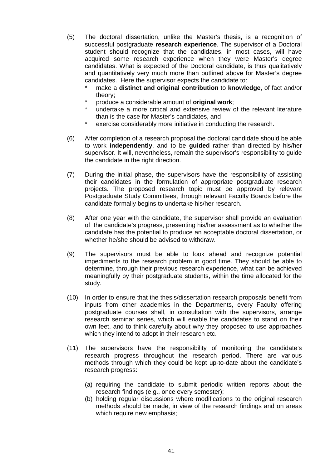- (5) The doctoral dissertation, unlike the Master's thesis, is a recognition of successful postgraduate **research experience**. The supervisor of a Doctoral student should recognize that the candidates, in most cases, will have acquired some research experience when they were Master's degree candidates. What is expected of the Doctoral candidate, is thus qualitatively and quantitatively very much more than outlined above for Master's degree candidates. Here the supervisor expects the candidate to:
	- make a **distinct and original contribution** to **knowledge**, of fact and/or theory;
	- \* produce a considerable amount of **original work**;
	- undertake a more critical and extensive review of the relevant literature than is the case for Master's candidates, and
	- exercise considerably more initiative in conducting the research.
- (6) After completion of a research proposal the doctoral candidate should be able to work **independently**, and to be **guided** rather than directed by his/her supervisor. It will, nevertheless, remain the supervisor's responsibility to guide the candidate in the right direction.
- (7) During the initial phase, the supervisors have the responsibility of assisting their candidates in the formulation of appropriate postgraduate research projects. The proposed research topic must be approved by relevant Postgraduate Study Committees, through relevant Faculty Boards before the candidate formally begins to undertake his/her research.
- (8) After one year with the candidate, the supervisor shall provide an evaluation of the candidate's progress, presenting his/her assessment as to whether the candidate has the potential to produce an acceptable doctoral dissertation, or whether he/she should be advised to withdraw.
- (9) The supervisors must be able to look ahead and recognize potential impediments to the research problem in good time. They should be able to determine, through their previous research experience, what can be achieved meaningfully by their postgraduate students, within the time allocated for the study.
- (10) In order to ensure that the thesis/dissertation research proposals benefit from inputs from other academics in the Departments, every Faculty offering postgraduate courses shall, in consultation with the supervisors, arrange research seminar series, which will enable the candidates to stand on their own feet, and to think carefully about why they proposed to use approaches which they intend to adopt in their research etc.
- (11) The supervisors have the responsibility of monitoring the candidate's research progress throughout the research period. There are various methods through which they could be kept up-to-date about the candidate's research progress:
	- (a) requiring the candidate to submit periodic written reports about the research findings (e.g., once every semester);
	- (b) holding regular discussions where modifications to the original research methods should be made, in view of the research findings and on areas which require new emphasis: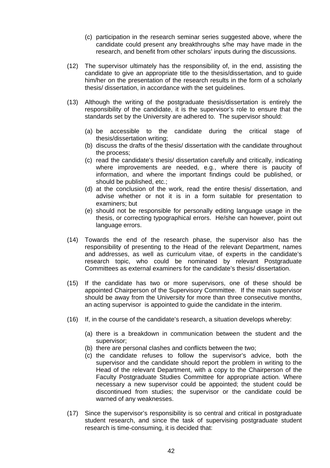- (c) participation in the research seminar series suggested above, where the candidate could present any breakthroughs s/he may have made in the research, and benefit from other scholars' inputs during the discussions.
- (12) The supervisor ultimately has the responsibility of, in the end, assisting the candidate to give an appropriate title to the thesis/dissertation, and to guide him/her on the presentation of the research results in the form of a scholarly thesis/ dissertation, in accordance with the set guidelines.
- (13) Although the writing of the postgraduate thesis/dissertation is entirely the responsibility of the candidate, it is the supervisor's role to ensure that the standards set by the University are adhered to. The supervisor should:
	- (a) be accessible to the candidate during the critical stage of thesis/dissertation writing;
	- (b) discuss the drafts of the thesis/ dissertation with the candidate throughout the process;
	- (c) read the candidate's thesis/ dissertation carefully and critically, indicating where improvements are needed, e.g., where there is paucity of information, and where the important findings could be published, or should be published, etc.;
	- (d) at the conclusion of the work, read the entire thesis/ dissertation, and advise whether or not it is in a form suitable for presentation to examiners; but
	- (e) should not be responsible for personally editing language usage in the thesis, or correcting typographical errors. He/she can however, point out language errors.
- (14) Towards the end of the research phase, the supervisor also has the responsibility of presenting to the Head of the relevant Department, names and addresses, as well as curriculum vitae, of experts in the candidate's research topic, who could be nominated by relevant Postgraduate Committees as external examiners for the candidate's thesis/ dissertation.
- (15) If the candidate has two or more supervisors, one of these should be appointed Chairperson of the Supervisory Committee. If the main supervisor should be away from the University for more than three consecutive months, an acting supervisor is appointed to guide the candidate in the interim.
- (16) If, in the course of the candidate's research, a situation develops whereby:
	- (a) there is a breakdown in communication between the student and the supervisor;
	- (b) there are personal clashes and conflicts between the two;
	- (c) the candidate refuses to follow the supervisor's advice, both the supervisor and the candidate should report the problem in writing to the Head of the relevant Department, with a copy to the Chairperson of the Faculty Postgraduate Studies Committee for appropriate action. Where necessary a new supervisor could be appointed; the student could be discontinued from studies; the supervisor or the candidate could be warned of any weaknesses.
- (17) Since the supervisor's responsibility is so central and critical in postgraduate student research, and since the task of supervising postgraduate student research is time-consuming, it is decided that: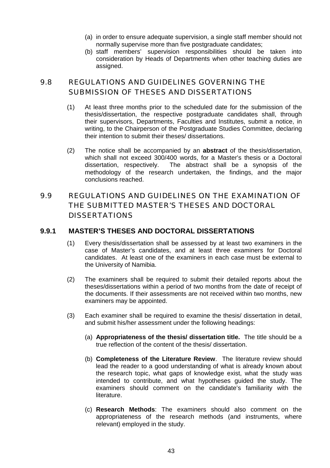- (a) in order to ensure adequate supervision, a single staff member should not normally supervise more than five postgraduate candidates;
- (b) staff members' supervision responsibilities should be taken into consideration by Heads of Departments when other teaching duties are assigned.

# 9.8 REGULATIONS AND GUIDELINES GOVERNING THE SUBMISSION OF THESES AND DISSERTATIONS

- (1) At least three months prior to the scheduled date for the submission of the thesis/dissertation, the respective postgraduate candidates shall, through their supervisors, Departments, Faculties and Institutes, submit a notice, in writing, to the Chairperson of the Postgraduate Studies Committee, declaring their intention to submit their theses/ dissertations.
- (2) The notice shall be accompanied by an **abstract** of the thesis/dissertation, which shall not exceed 300/400 words, for a Master's thesis or a Doctoral dissertation, respectively. The abstract shall be a synopsis of the methodology of the research undertaken, the findings, and the major conclusions reached.

# 9.9 REGULATIONS AND GUIDELINES ON THE EXAMINATION OF THE SUBMITTED MASTER'S THESES AND DOCTORAL DISSERTATIONS

# **9.9.1 MASTER'S THESES AND DOCTORAL DISSERTATIONS**

- (1) Every thesis/dissertation shall be assessed by at least two examiners in the case of Master's candidates, and at least three examiners for Doctoral candidates. At least one of the examiners in each case must be external to the University of Namibia.
- (2) The examiners shall be required to submit their detailed reports about the theses/dissertations within a period of two months from the date of receipt of the documents. If their assessments are not received within two months, new examiners may be appointed.
- (3) Each examiner shall be required to examine the thesis/ dissertation in detail, and submit his/her assessment under the following headings:
	- (a) **Appropriateness of the thesis/ dissertation title.** The title should be a true reflection of the content of the thesis/ dissertation.
	- (b) **Completeness of the Literature Review**. The literature review should lead the reader to a good understanding of what is already known about the research topic, what gaps of knowledge exist, what the study was intended to contribute, and what hypotheses guided the study. The examiners should comment on the candidate's familiarity with the literature.
	- (c) **Research Methods**: The examiners should also comment on the appropriateness of the research methods (and instruments, where relevant) employed in the study.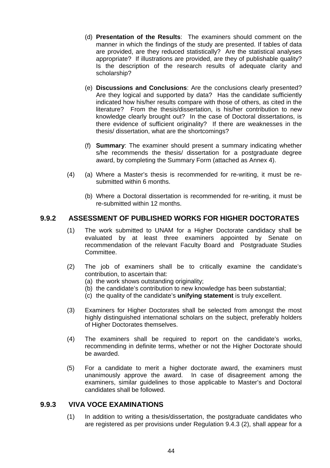- (d) **Presentation of the Results**: The examiners should comment on the manner in which the findings of the study are presented. If tables of data are provided, are they reduced statistically? Are the statistical analyses appropriate? If illustrations are provided, are they of publishable quality? Is the description of the research results of adequate clarity and scholarship?
- (e) **Discussions and Conclusions**: Are the conclusions clearly presented? Are they logical and supported by data? Has the candidate sufficiently indicated how his/her results compare with those of others, as cited in the literature? From the thesis/dissertation, is his/her contribution to new knowledge clearly brought out? In the case of Doctoral dissertations, is there evidence of sufficient originality? If there are weaknesses in the thesis/ dissertation, what are the shortcomings?
- (f) **Summary**: The examiner should present a summary indicating whether s/he recommends the thesis/ dissertation for a postgraduate degree award, by completing the Summary Form (attached as Annex 4).
- (4) (a) Where a Master's thesis is recommended for re-writing, it must be resubmitted within 6 months.
	- (b) Where a Doctoral dissertation is recommended for re-writing, it must be re-submitted within 12 months.

# **9.9.2 ASSESSMENT OF PUBLISHED WORKS FOR HIGHER DOCTORATES**

- (1) The work submitted to UNAM for a Higher Doctorate candidacy shall be evaluated by at least three examiners appointed by Senate on recommendation of the relevant Faculty Board and Postgraduate Studies Committee.
- (2) The job of examiners shall be to critically examine the candidate's contribution, to ascertain that:
	- (a) the work shows outstanding originality;
	- (b) the candidate's contribution to new knowledge has been substantial;
	- (c) the quality of the candidate's **unifying statement** is truly excellent.
- (3) Examiners for Higher Doctorates shall be selected from amongst the most highly distinguished international scholars on the subject, preferably holders of Higher Doctorates themselves.
- (4) The examiners shall be required to report on the candidate's works, recommending in definite terms, whether or not the Higher Doctorate should be awarded.
- (5) For a candidate to merit a higher doctorate award, the examiners must unanimously approve the award. In case of disagreement among the examiners, similar guidelines to those applicable to Master's and Doctoral candidates shall be followed.

## **9.9.3 VIVA VOCE EXAMINATIONS**

 (1) In addition to writing a thesis/dissertation, the postgraduate candidates who are registered as per provisions under Regulation 9.4.3 (2), shall appear for a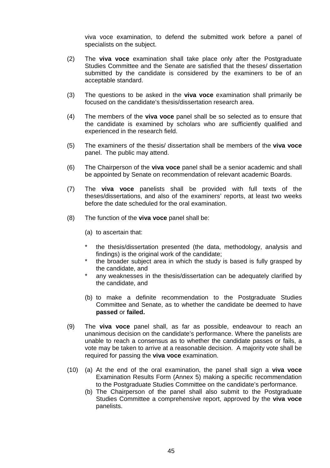viva voce examination, to defend the submitted work before a panel of specialists on the subject.

- (2) The **viva voce** examination shall take place only after the Postgraduate Studies Committee and the Senate are satisfied that the theses/ dissertation submitted by the candidate is considered by the examiners to be of an acceptable standard.
- (3) The questions to be asked in the **viva voce** examination shall primarily be focused on the candidate's thesis/dissertation research area.
- (4) The members of the **viva voce** panel shall be so selected as to ensure that the candidate is examined by scholars who are sufficiently qualified and experienced in the research field.
- (5) The examiners of the thesis/ dissertation shall be members of the **viva voce** panel. The public may attend.
- (6) The Chairperson of the **viva voce** panel shall be a senior academic and shall be appointed by Senate on recommendation of relevant academic Boards.
- (7) The **viva voce** panelists shall be provided with full texts of the theses/dissertations, and also of the examiners' reports, at least two weeks before the date scheduled for the oral examination.
- (8) The function of the **viva voce** panel shall be:
	- (a) to ascertain that:
	- the thesis/dissertation presented (the data, methodology, analysis and findings) is the original work of the candidate;
	- \* the broader subject area in which the study is based is fully grasped by the candidate, and
	- any weaknesses in the thesis/dissertation can be adequately clarified by the candidate, and
	- (b) to make a definite recommendation to the Postgraduate Studies Committee and Senate, as to whether the candidate be deemed to have **passed** or **failed.**
- (9) The **viva voce** panel shall, as far as possible, endeavour to reach an unanimous decision on the candidate's performance. Where the panelists are unable to reach a consensus as to whether the candidate passes or fails, a vote may be taken to arrive at a reasonable decision. A majority vote shall be required for passing the **viva voce** examination.
- (10) (a) At the end of the oral examination, the panel shall sign a **viva voce** Examination Results Form (Annex 5) making a specific recommendation to the Postgraduate Studies Committee on the candidate's performance.
	- (b) The Chairperson of the panel shall also submit to the Postgraduate Studies Committee a comprehensive report, approved by the **viva voce** panelists.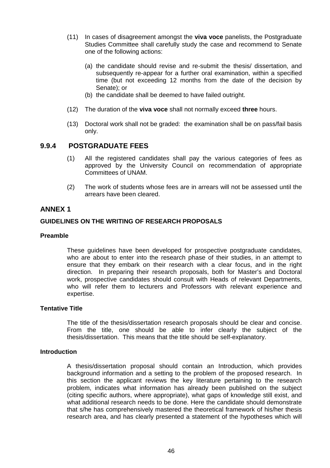- (11) In cases of disagreement amongst the **viva voce** panelists, the Postgraduate Studies Committee shall carefully study the case and recommend to Senate one of the following actions:
	- (a) the candidate should revise and re-submit the thesis/ dissertation, and subsequently re-appear for a further oral examination, within a specified time (but not exceeding 12 months from the date of the decision by Senate); or
	- (b) the candidate shall be deemed to have failed outright.
- (12) The duration of the **viva voce** shall not normally exceed **three** hours.
- (13) Doctoral work shall not be graded: the examination shall be on pass/fail basis only.

## **9.9.4 POSTGRADUATE FEES**

- (1) All the registered candidates shall pay the various categories of fees as approved by the University Council on recommendation of appropriate Committees of UNAM.
- (2) The work of students whose fees are in arrears will not be assessed until the arrears have been cleared.

## **ANNEX 1**

## **GUIDELINES ON THE WRITING OF RESEARCH PROPOSALS**

## **Preamble**

 These guidelines have been developed for prospective postgraduate candidates, who are about to enter into the research phase of their studies, in an attempt to ensure that they embark on their research with a clear focus, and in the right direction. In preparing their research proposals, both for Master's and Doctoral work, prospective candidates should consult with Heads of relevant Departments, who will refer them to lecturers and Professors with relevant experience and expertise.

#### **Tentative Title**

 The title of the thesis/dissertation research proposals should be clear and concise. From the title, one should be able to infer clearly the subject of the thesis/dissertation. This means that the title should be self-explanatory.

### **Introduction**

 A thesis/dissertation proposal should contain an Introduction, which provides background information and a setting to the problem of the proposed research. In this section the applicant reviews the key literature pertaining to the research problem, indicates what information has already been published on the subject (citing specific authors, where appropriate), what gaps of knowledge still exist, and what additional research needs to be done. Here the candidate should demonstrate that s/he has comprehensively mastered the theoretical framework of his/her thesis research area, and has clearly presented a statement of the hypotheses which will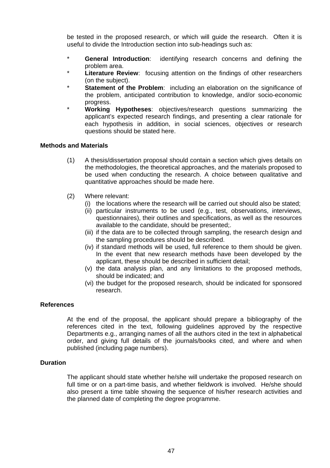be tested in the proposed research, or which will guide the research. Often it is useful to divide the Introduction section into sub-headings such as:

- \* **General Introduction**: identifying research concerns and defining the problem area.
- **Literature Review**: focusing attention on the findings of other researchers (on the subject).
- **Statement of the Problem:** including an elaboration on the significance of the problem, anticipated contribution to knowledge, and/or socio-economic progress.
- \* **Working Hypotheses**: objectives/research questions summarizing the applicant's expected research findings, and presenting a clear rationale for each hypothesis in addition, in social sciences, objectives or research questions should be stated here.

### **Methods and Materials**

- (1) A thesis/dissertation proposal should contain a section which gives details on the methodologies, the theoretical approaches, and the materials proposed to be used when conducting the research. A choice between qualitative and quantitative approaches should be made here.
- (2) Where relevant:
	- (i) the locations where the research will be carried out should also be stated;
	- (ii) particular instruments to be used (e.g., test, observations, interviews, questionnaires), their outlines and specifications, as well as the resources available to the candidate, should be presented;.
	- (iii) if the data are to be collected through sampling, the research design and the sampling procedures should be described.
	- (iv) if standard methods will be used, full reference to them should be given. In the event that new research methods have been developed by the applicant, these should be described in sufficient detail;
	- (v) the data analysis plan, and any limitations to the proposed methods, should be indicated; and
	- (vi) the budget for the proposed research, should be indicated for sponsored research.

### **References**

 At the end of the proposal, the applicant should prepare a bibliography of the references cited in the text, following guidelines approved by the respective Departments e.g., arranging names of all the authors cited in the text in alphabetical order, and giving full details of the journals/books cited, and where and when published (including page numbers).

### **Duration**

 The applicant should state whether he/she will undertake the proposed research on full time or on a part-time basis, and whether fieldwork is involved. He/she should also present a time table showing the sequence of his/her research activities and the planned date of completing the degree programme.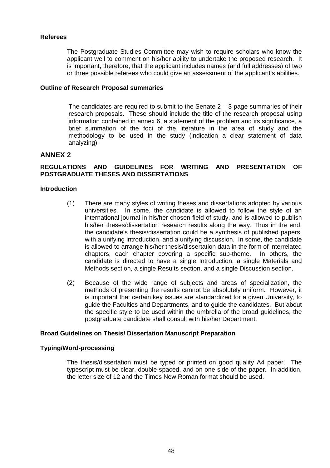#### **Referees**

 The Postgraduate Studies Committee may wish to require scholars who know the applicant well to comment on his/her ability to undertake the proposed research. It is important, therefore, that the applicant includes names (and full addresses) of two or three possible referees who could give an assessment of the applicant's abilities.

#### **Outline of Research Proposal summaries**

The candidates are required to submit to the Senate  $2 - 3$  page summaries of their research proposals. These should include the title of the research proposal using information contained in annex 6, a statement of the problem and its significance, a brief summation of the foci of the literature in the area of study and the methodology to be used in the study (indication a clear statement of data analyzing).

## **ANNEX 2**

## **REGULATIONS AND GUIDELINES FOR WRITING AND PRESENTATION OF POSTGRADUATE THESES AND DISSERTATIONS**

#### **Introduction**

- (1) There are many styles of writing theses and dissertations adopted by various universities. In some, the candidate is allowed to follow the style of an international journal in his/her chosen field of study, and is allowed to publish his/her theses/dissertation research results along the way. Thus in the end, the candidate's thesis/dissertation could be a synthesis of published papers, with a unifying introduction, and a unifying discussion. In some, the candidate is allowed to arrange his/her thesis/dissertation data in the form of interrelated chapters, each chapter covering a specific sub-theme. In others, the candidate is directed to have a single Introduction, a single Materials and Methods section, a single Results section, and a single Discussion section.
- (2) Because of the wide range of subjects and areas of specialization, the methods of presenting the results cannot be absolutely uniform. However, it is important that certain key issues are standardized for a given University, to guide the Faculties and Departments, and to guide the candidates. But about the specific style to be used within the umbrella of the broad guidelines, the postgraduate candidate shall consult with his/her Department.

#### **Broad Guidelines on Thesis/ Dissertation Manuscript Preparation**

## **Typing/Word-processing**

 The thesis/dissertation must be typed or printed on good quality A4 paper. The typescript must be clear, double-spaced, and on one side of the paper. In addition, the letter size of 12 and the Times New Roman format should be used.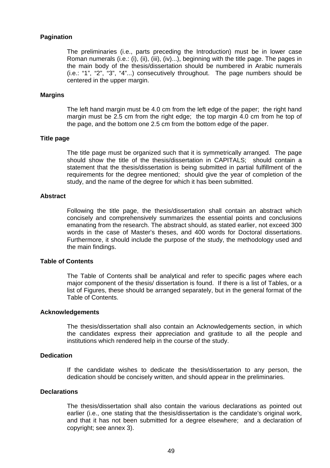#### **Pagination**

 The preliminaries (i.e., parts preceding the Introduction) must be in lower case Roman numerals (i.e.: (i), (ii), (iii), (iv)...), beginning with the title page. The pages in the main body of the thesis/dissertation should be numbered in Arabic numerals (i.e.: "1", "2", "3", "4"...) consecutively throughout. The page numbers should be centered in the upper margin.

#### **Margins**

 The left hand margin must be 4.0 cm from the left edge of the paper; the right hand margin must be 2.5 cm from the right edge; the top margin 4.0 cm from he top of the page, and the bottom one 2.5 cm from the bottom edge of the paper.

#### **Title page**

 The title page must be organized such that it is symmetrically arranged. The page should show the title of the thesis/dissertation in CAPITALS; should contain a statement that the thesis/dissertation is being submitted in partial fulfillment of the requirements for the degree mentioned; should give the year of completion of the study, and the name of the degree for which it has been submitted.

## **Abstract**

 Following the title page, the thesis/dissertation shall contain an abstract which concisely and comprehensively summarizes the essential points and conclusions emanating from the research. The abstract should, as stated earlier, not exceed 300 words in the case of Master's theses, and 400 words for Doctoral dissertations. Furthermore, it should include the purpose of the study, the methodology used and the main findings.

#### **Table of Contents**

 The Table of Contents shall be analytical and refer to specific pages where each major component of the thesis/ dissertation is found. If there is a list of Tables, or a list of Figures, these should be arranged separately, but in the general format of the Table of Contents.

#### **Acknowledgements**

 The thesis/dissertation shall also contain an Acknowledgements section, in which the candidates express their appreciation and gratitude to all the people and institutions which rendered help in the course of the study.

### **Dedication**

 If the candidate wishes to dedicate the thesis/dissertation to any person, the dedication should be concisely written, and should appear in the preliminaries.

#### **Declarations**

 The thesis/dissertation shall also contain the various declarations as pointed out earlier (i.e., one stating that the thesis/dissertation is the candidate's original work, and that it has not been submitted for a degree elsewhere; and a declaration of copyright; see annex 3).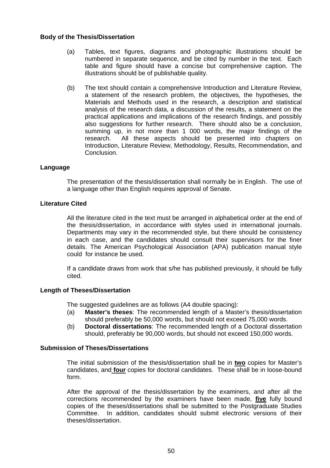#### **Body of the Thesis/Dissertation**

- (a) Tables, text figures, diagrams and photographic illustrations should be numbered in separate sequence, and be cited by number in the text. Each table and figure should have a concise but comprehensive caption. The illustrations should be of publishable quality.
- (b) The text should contain a comprehensive Introduction and Literature Review, a statement of the research problem, the objectives, the hypotheses, the Materials and Methods used in the research, a description and statistical analysis of the research data, a discussion of the results, a statement on the practical applications and implications of the research findings, and possibly also suggestions for further research. There should also be a conclusion, summing up, in not more than 1 000 words, the major findings of the research. All these aspects should be presented into chapters on Introduction, Literature Review, Methodology, Results, Recommendation, and Conclusion.

### **Language**

 The presentation of the thesis/dissertation shall normally be in English. The use of a language other than English requires approval of Senate.

### **Literature Cited**

 All the literature cited in the text must be arranged in alphabetical order at the end of the thesis/dissertation, in accordance with styles used in international journals. Departments may vary in the recommended style, but there should be consistency in each case, and the candidates should consult their supervisors for the finer details. The American Psychological Association (APA) publication manual style could for instance be used.

 If a candidate draws from work that s/he has published previously, it should be fully cited.

## **Length of Theses/Dissertation**

The suggested guidelines are as follows (A4 double spacing):

- (a) **Master's theses**: The recommended length of a Master's thesis/dissertation should preferably be 50,000 words, but should not exceed 75,000 words.
- (b) **Doctoral dissertations**: The recommended length of a Doctoral dissertation should, preferably be 90,000 words, but should not exceed 150,000 words.

## **Submission of Theses/Dissertations**

 The initial submission of the thesis/dissertation shall be in **two** copies for Master's candidates, and **four** copies for doctoral candidates. These shall be in loose-bound form.

 After the approval of the thesis/dissertation by the examiners, and after all the corrections recommended by the examiners have been made, **five** fully bound copies of the theses/dissertations shall be submitted to the Postgraduate Studies Committee. In addition, candidates should submit electronic versions of their theses/dissertation.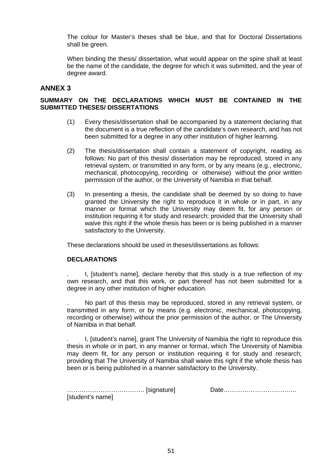The colour for Master's theses shall be blue, and that for Doctoral Dissertations shall be green.

 When binding the thesis/ dissertation, what would appear on the spine shall at least be the name of the candidate, the degree for which it was submitted, and the year of degree award.

## **ANNEX 3**

## **SUMMARY ON THE DECLARATIONS WHICH MUST BE CONTAINED IN THE SUBMITTED THESES/ DISSERTATIONS**

- (1) Every thesis/dissertation shall be accompanied by a statement declaring that the document is a true reflection of the candidate's own research, and has not been submitted for a degree in any other institution of higher learning.
- (2) The thesis/dissertation shall contain a statement of copyright, reading as follows: No part of this thesis/ dissertation may be reproduced, stored in any retrieval system, or transmitted in any form, or by any means (e.g., electronic, mechanical, photocopying, recording or otherwise) without the prior written permission of the author, or the University of Namibia in that behalf.
- (3) In presenting a thesis, the candidate shall be deemed by so doing to have granted the University the right to reproduce it in whole or in part, in any manner or format which the University may deem fit, for any person or institution requiring it for study and research; provided that the University shall waive this right if the whole thesis has been or is being published in a manner satisfactory to the University.

These declarations should be used in theses/dissertations as follows:

### **DECLARATIONS**

. I, [student's name], declare hereby that this study is a true reflection of my own research, and that this work, or part thereof has not been submitted for a degree in any other institution of higher education.

. No part of this thesis may be reproduced, stored in any retrieval system, or transmitted in any form, or by means (e.g. electronic, mechanical, photocopying, recording or otherwise) without the prior permission of the author, or The University of Namibia in that behalf.

. I, [student's name], grant The University of Namibia the right to reproduce this thesis in whole or in part, in any manner or format, which The University of Namibia may deem fit, for any person or institution requiring it for study and research; providing that The University of Namibia shall waive this right if the whole thesis has been or is being published in a manner satisfactory to the University.

| [student's name] |  |
|------------------|--|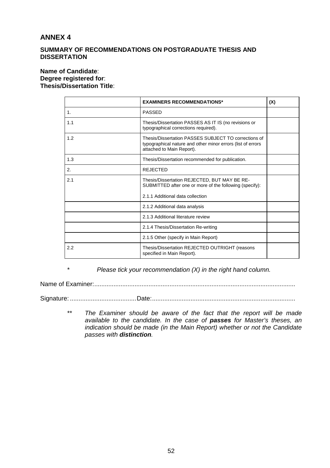## **ANNEX 4**

## **SUMMARY OF RECOMMENDATIONS ON POSTGRADUATE THESIS AND DISSERTATION**

## **Name of Candidate**: **Degree registered for**: **Thesis/Dissertation Title**:

|     | <b>EXAMINERS RECOMMENDATIONS*</b>                                                                                                                | (X) |
|-----|--------------------------------------------------------------------------------------------------------------------------------------------------|-----|
| 1.  | <b>PASSED</b>                                                                                                                                    |     |
| 1.1 | Thesis/Dissertation PASSES AS IT IS (no revisions or<br>typographical corrections required).                                                     |     |
| 1.2 | Thesis/Dissertation PASSES SUBJECT TO corrections of<br>typographical nature and other minor errors (list of errors<br>attached to Main Report). |     |
| 1.3 | Thesis/Dissertation recommended for publication.                                                                                                 |     |
| 2.  | <b>REJECTED</b>                                                                                                                                  |     |
| 2.1 | Thesis/Dissertation REJECTED, BUT MAY BE RE-<br>SUBMITTED after one or more of the following (specify):                                          |     |
|     | 2.1.1 Additional data collection                                                                                                                 |     |
|     | 2.1.2 Additional data analysis                                                                                                                   |     |
|     | 2.1.3 Additional literature review                                                                                                               |     |
|     | 2.1.4 Thesis/Dissertation Re-writing                                                                                                             |     |
|     | 2.1.5 Other (specify in Main Report)                                                                                                             |     |
| 2.2 | Thesis/Dissertation REJECTED OUTRIGHT (reasons<br>specified in Main Report).                                                                     |     |

*\* Please tick your recommendation (X) in the right hand column.*

Name of Examiner:...................................................................................................................

Signature: ......................................Date:..................................................................................

 *\*\* The Examiner should be aware of the fact that the report will be made available to the candidate. In the case of passes for Master's theses, an indication should be made (in the Main Report) whether or not the Candidate passes with distinction.*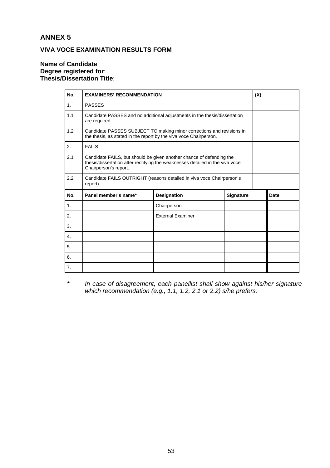# **ANNEX 5**

## **VIVA VOCE EXAMINATION RESULTS FORM**

### **Name of Candidate**: **Degree registered for**: **Thesis/Dissertation Title**:

| No.            | <b>EXAMINERS' RECOMMENDATION</b>                                                                                                                                               |                          |           | (X) |      |
|----------------|--------------------------------------------------------------------------------------------------------------------------------------------------------------------------------|--------------------------|-----------|-----|------|
| 1 <sub>1</sub> | <b>PASSES</b>                                                                                                                                                                  |                          |           |     |      |
| 1.1            | Candidate PASSES and no additional adjustments in the thesis/dissertation<br>are required.                                                                                     |                          |           |     |      |
| 1.2            | Candidate PASSES SUBJECT TO making minor corrections and revisions in<br>the thesis, as stated in the report by the viva voce Chairperson.                                     |                          |           |     |      |
| 2.             | <b>FAILS</b>                                                                                                                                                                   |                          |           |     |      |
| 2.1            | Candidate FAILS, but should be given another chance of defending the<br>thesis/dissertation after rectifying the weaknesses detailed in the viva voce<br>Chairperson's report. |                          |           |     |      |
| 2.2            | Candidate FAILS OUTRIGHT (reasons detailed in viva voce Chairperson's<br>report).                                                                                              |                          |           |     |      |
| No.            | Panel member's name*                                                                                                                                                           | Designation              | Signature |     | Date |
| 1.             |                                                                                                                                                                                | Chairperson              |           |     |      |
| 2.             |                                                                                                                                                                                | <b>External Examiner</b> |           |     |      |
| 3.             |                                                                                                                                                                                |                          |           |     |      |
| 4.             |                                                                                                                                                                                |                          |           |     |      |
| 5.             |                                                                                                                                                                                |                          |           |     |      |
| 6.             |                                                                                                                                                                                |                          |           |     |      |
| 7.             |                                                                                                                                                                                |                          |           |     |      |

 *\* In case of disagreement, each panellist shall show against his/her signature which recommendation (e.g., 1.1, 1.2, 2.1 or 2.2) s/he prefers.*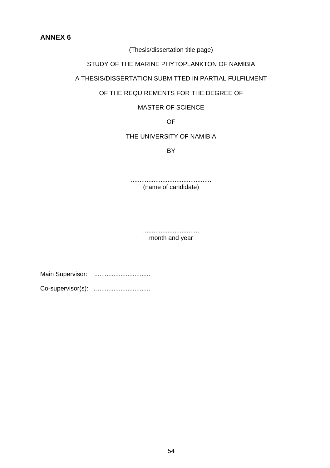**ANNEX 6** 

(Thesis/dissertation title page)

STUDY OF THE MARINE PHYTOPLANKTON OF NAMIBIA

A THESIS/DISSERTATION SUBMITTED IN PARTIAL FULFILMENT

## OF THE REQUIREMENTS FOR THE DEGREE OF

## MASTER OF SCIENCE

OF

## THE UNIVERSITY OF NAMIBIA

**BY** 

.............................................. (name of candidate)

> ................................ month and year

Main Supervisor: ................................

Co-supervisor(s): ................................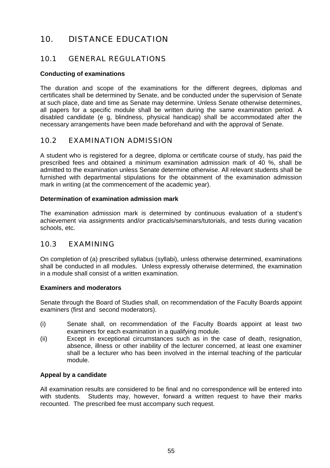# 10. DISTANCE EDUCATION

# 10.1 GENERAL REGULATIONS

## **Conducting of examinations**

The duration and scope of the examinations for the different degrees, diplomas and certificates shall be determined by Senate, and be conducted under the supervision of Senate at such place, date and time as Senate may determine. Unless Senate otherwise determines, all papers for a specific module shall be written during the same examination period. A disabled candidate (e g, blindness, physical handicap) shall be accommodated after the necessary arrangements have been made beforehand and with the approval of Senate.

# 10.2 EXAMINATION ADMISSION

A student who is registered for a degree, diploma or certificate course of study, has paid the prescribed fees and obtained a minimum examination admission mark of 40 %, shall be admitted to the examination unless Senate determine otherwise. All relevant students shall be furnished with departmental stipulations for the obtainment of the examination admission mark in writing (at the commencement of the academic year).

## **Determination of examination admission mark**

The examination admission mark is determined by continuous evaluation of a student's achievement via assignments and/or practicals/seminars/tutorials, and tests during vacation schools, etc.

## 10.3 EXAMINING

On completion of (a) prescribed syllabus (syllabi), unless otherwise determined, examinations shall be conducted in all modules. Unless expressly otherwise determined, the examination in a module shall consist of a written examination.

## **Examiners and moderators**

Senate through the Board of Studies shall, on recommendation of the Faculty Boards appoint examiners (first and second moderators).

- (i) Senate shall, on recommendation of the Faculty Boards appoint at least two examiners for each examination in a qualifying module.
- (ii) Except in exceptional circumstances such as in the case of death, resignation, absence, illness or other inability of the lecturer concerned, at least one examiner shall be a lecturer who has been involved in the internal teaching of the particular module.

## **Appeal by a candidate**

All examination results are considered to be final and no correspondence will be entered into with students. Students may, however, forward a written request to have their marks recounted. The prescribed fee must accompany such request.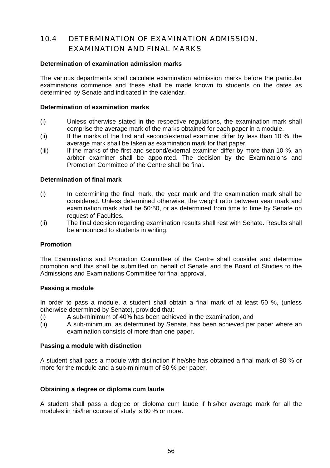# 10.4 DETERMINATION OF EXAMINATION ADMISSION, EXAMINATION AND FINAL MARKS

### **Determination of examination admission marks**

The various departments shall calculate examination admission marks before the particular examinations commence and these shall be made known to students on the dates as determined by Senate and indicated in the calendar.

#### **Determination of examination marks**

- (i) Unless otherwise stated in the respective regulations, the examination mark shall comprise the average mark of the marks obtained for each paper in a module.
- (ii) If the marks of the first and second/external examiner differ by less than 10 %, the average mark shall be taken as examination mark for that paper.
- (iii) If the marks of the first and second/external examiner differ by more than 10 %, an arbiter examiner shall be appointed. The decision by the Examinations and Promotion Committee of the Centre shall be final.

#### **Determination of final mark**

- (i) In determining the final mark, the year mark and the examination mark shall be considered. Unless determined otherwise, the weight ratio between year mark and examination mark shall be 50:50, or as determined from time to time by Senate on request of Faculties.
- (ii) The final decision regarding examination results shall rest with Senate. Results shall be announced to students in writing.

#### **Promotion**

The Examinations and Promotion Committee of the Centre shall consider and determine promotion and this shall be submitted on behalf of Senate and the Board of Studies to the Admissions and Examinations Committee for final approval.

#### **Passing a module**

In order to pass a module, a student shall obtain a final mark of at least 50 %, (unless otherwise determined by Senate), provided that:

- (i) A sub-minimum of 40% has been achieved in the examination, and
- (ii) A sub-minimum, as determined by Senate, has been achieved per paper where an examination consists of more than one paper.

#### **Passing a module with distinction**

A student shall pass a module with distinction if he/she has obtained a final mark of 80 % or more for the module and a sub-minimum of 60 % per paper.

#### **Obtaining a degree or diploma cum laude**

A student shall pass a degree or diploma cum laude if his/her average mark for all the modules in his/her course of study is 80 % or more.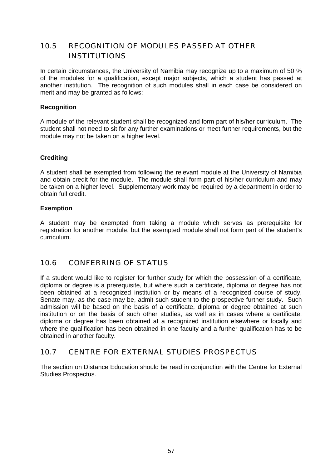# 10.5 RECOGNITION OF MODULES PASSED AT OTHER INSTITUTIONS

In certain circumstances, the University of Namibia may recognize up to a maximum of 50 % of the modules for a qualification, except major subjects, which a student has passed at another institution. The recognition of such modules shall in each case be considered on merit and may be granted as follows:

## **Recognition**

A module of the relevant student shall be recognized and form part of his/her curriculum. The student shall not need to sit for any further examinations or meet further requirements, but the module may not be taken on a higher level.

## **Crediting**

A student shall be exempted from following the relevant module at the University of Namibia and obtain credit for the module. The module shall form part of his/her curriculum and may be taken on a higher level. Supplementary work may be required by a department in order to obtain full credit.

## **Exemption**

A student may be exempted from taking a module which serves as prerequisite for registration for another module, but the exempted module shall not form part of the student's curriculum.

# 10.6 CONFERRING OF STATUS

If a student would like to register for further study for which the possession of a certificate, diploma or degree is a prerequisite, but where such a certificate, diploma or degree has not been obtained at a recognized institution or by means of a recognized course of study, Senate may, as the case may be, admit such student to the prospective further study. Such admission will be based on the basis of a certificate, diploma or degree obtained at such institution or on the basis of such other studies, as well as in cases where a certificate, diploma or degree has been obtained at a recognized institution elsewhere or locally and where the qualification has been obtained in one faculty and a further qualification has to be obtained in another faculty.

# 10.7 CENTRE FOR EXTERNAL STUDIES PROSPECTUS

The section on Distance Education should be read in conjunction with the Centre for External Studies Prospectus.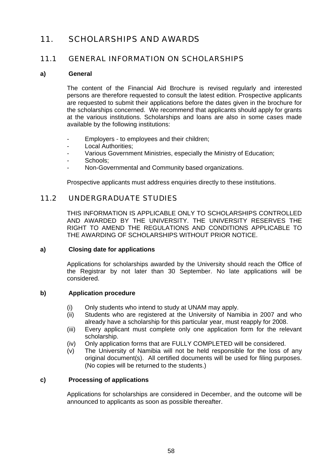# 11. SCHOLARSHIPS AND AWARDS

# 11.1 GENERAL INFORMATION ON SCHOLARSHIPS

### **a) General**

 The content of the Financial Aid Brochure is revised regularly and interested persons are therefore requested to consult the latest edition. Prospective applicants are requested to submit their applications before the dates given in the brochure for the scholarships concerned. We recommend that applicants should apply for grants at the various institutions. Scholarships and loans are also in some cases made available by the following institutions:

- Employers to employees and their children;
- Local Authorities:
- Various Government Ministries, especially the Ministry of Education:
- Schools;
- Non-Governmental and Community based organizations.

Prospective applicants must address enquiries directly to these institutions.

## 11.2 UNDERGRADUATE STUDIES

 THIS INFORMATION IS APPLICABLE ONLY TO SCHOLARSHIPS CONTROLLED AND AWARDED BY THE UNIVERSITY. THE UNIVERSITY RESERVES THE RIGHT TO AMEND THE REGULATIONS AND CONDITIONS APPLICABLE TO THE AWARDING OF SCHOLARSHIPS WITHOUT PRIOR NOTICE.

### **a) Closing date for applications**

 Applications for scholarships awarded by the University should reach the Office of the Registrar by not later than 30 September. No late applications will be considered.

## **b) Application procedure**

- (i) Only students who intend to study at UNAM may apply.
- (ii) Students who are registered at the University of Namibia in 2007 and who already have a scholarship for this particular year, must reapply for 2008.
- (iii) Every applicant must complete only one application form for the relevant scholarship.
- (iv) Only application forms that are FULLY COMPLETED will be considered.
- (v) The University of Namibia will not be held responsible for the loss of any original document(s). All certified documents will be used for filing purposes. (No copies will be returned to the students.)

## **c) Processing of applications**

 Applications for scholarships are considered in December, and the outcome will be announced to applicants as soon as possible thereafter.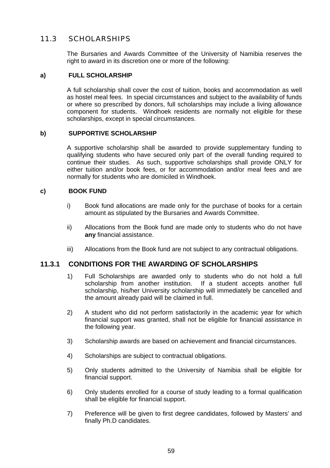# 11.3 SCHOLARSHIPS

 The Bursaries and Awards Committee of the University of Namibia reserves the right to award in its discretion one or more of the following:

## **a) FULL SCHOLARSHIP**

 A full scholarship shall cover the cost of tuition, books and accommodation as well as hostel meal fees. In special circumstances and subject to the availability of funds or where so prescribed by donors, full scholarships may include a living allowance component for students. Windhoek residents are normally not eligible for these scholarships, except in special circumstances.

## **b) SUPPORTIVE SCHOLARSHIP**

 A supportive scholarship shall be awarded to provide supplementary funding to qualifying students who have secured only part of the overall funding required to continue their studies. As such, supportive scholarships shall provide ONLY for either tuition and/or book fees, or for accommodation and/or meal fees and are normally for students who are domiciled in Windhoek.

## **c) BOOK FUND**

- i) Book fund allocations are made only for the purchase of books for a certain amount as stipulated by the Bursaries and Awards Committee.
- ii) Allocations from the Book fund are made only to students who do not have **any** financial assistance.
- iii) Allocations from the Book fund are not subject to any contractual obligations.

## **11.3.1 CONDITIONS FOR THE AWARDING OF SCHOLARSHIPS**

- 1) Full Scholarships are awarded only to students who do not hold a full scholarship from another institution. If a student accepts another full scholarship, his/her University scholarship will immediately be cancelled and the amount already paid will be claimed in full.
- 2) A student who did not perform satisfactorily in the academic year for which financial support was granted, shall not be eligible for financial assistance in the following year.
- 3) Scholarship awards are based on achievement and financial circumstances.
- 4) Scholarships are subject to contractual obligations.
- 5) Only students admitted to the University of Namibia shall be eligible for financial support.
- 6) Only students enrolled for a course of study leading to a formal qualification shall be eligible for financial support.
- 7) Preference will be given to first degree candidates, followed by Masters' and finally Ph.D candidates.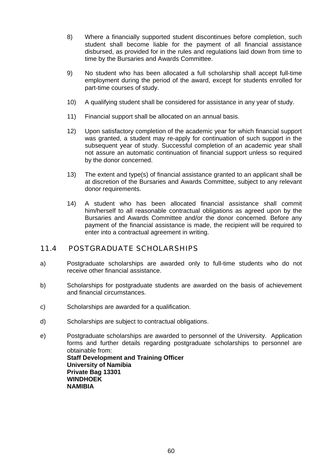- 8) Where a financially supported student discontinues before completion, such student shall become liable for the payment of all financial assistance disbursed, as provided for in the rules and regulations laid down from time to time by the Bursaries and Awards Committee.
- 9) No student who has been allocated a full scholarship shall accept full-time employment during the period of the award, except for students enrolled for part-time courses of study.
- 10) A qualifying student shall be considered for assistance in any year of study.
- 11) Financial support shall be allocated on an annual basis.
- 12) Upon satisfactory completion of the academic year for which financial support was granted, a student may re-apply for continuation of such support in the subsequent year of study. Successful completion of an academic year shall not assure an automatic continuation of financial support unless so required by the donor concerned.
- 13) The extent and type(s) of financial assistance granted to an applicant shall be at discretion of the Bursaries and Awards Committee, subject to any relevant donor requirements.
- 14) A student who has been allocated financial assistance shall commit him/herself to all reasonable contractual obligations as agreed upon by the Bursaries and Awards Committee and/or the donor concerned. Before any payment of the financial assistance is made, the recipient will be required to enter into a contractual agreement in writing.

## 11.4 POSTGRADUATE SCHOLARSHIPS

- a) Postgraduate scholarships are awarded only to full-time students who do not receive other financial assistance.
- b) Scholarships for postgraduate students are awarded on the basis of achievement and financial circumstances.
- c) Scholarships are awarded for a qualification.
- d) Scholarships are subject to contractual obligations.
- e) Postgraduate scholarships are awarded to personnel of the University. Application forms and further details regarding postgraduate scholarships to personnel are obtainable from: **Staff Development and Training Officer University of Namibia Private Bag 13301 WINDHOEK NAMIBIA**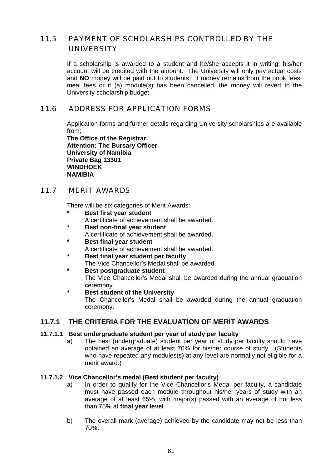# 11.5 PAYMENT OF SCHOLARSHIPS CONTROLLED BY THE UNIVERSITY

 If a scholarship is awarded to a student and he/she accepts it in writing, his/her account will be credited with the amount. The University will only pay actual costs and **NO** money will be paid out to students. If money remains from the book fees, meal fees or if (a) module(s) has been cancelled, the money will revert to the University scholarship budget.

# 11.6 ADDRESS FOR APPLICATION FORMS

 Application forms and further details regarding University scholarships are available from:

**The Office of the Registrar Attention: The Bursary Officer University of Namibia Private Bag 13301 WINDHOEK NAMIBIA**

## 11.7 MERIT AWARDS

There will be six categories of Merit Awards:

- **Best first year student**
- A certificate of achievement shall be awarded.
- **Best non-final year student** A certificate of achievement shall be awarded.
- **Best final year student**
- A certificate of achievement shall be awarded.
- **Best final year student per faculty** The Vice Chancellor's Medal shall be awarded.
- **Best postgraduate student**  The Vice Chancellor's Medal shall be awarded during the annual graduation ceremony.
- **\* Best student of the University**

 The Chancellor's Medal shall be awarded during the annual graduation ceremony.

## **11.7.1 THE CRITERIA FOR THE EVALUATION OF MERIT AWARDS**

## **11.7.1.1 Best undergraduate student per year of study per faculty**

 a) The best (undergraduate) student per year of study per faculty should have obtained an average of at least 70% for his/her course of study. (Students who have repeated any modules(s) at any level are normally not eligible for a merit award.)

### **11.7.1.2 Vice Chancellor's medal (Best student per faculty)**

- a) In order to qualify for the Vice Chancellor's Medal per faculty, a candidate must have passed each module throughout his/her years of study with an average of at least 65%, with major(s) passed with an average of not less than 75% at **final year level**.
- b) The overall mark (average) achieved by the candidate may not be less than 70%.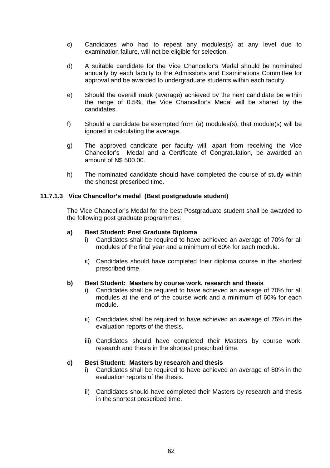- c) Candidates who had to repeat any modules(s) at any level due to examination failure, will not be eligible for selection.
- d) A suitable candidate for the Vice Chancellor's Medal should be nominated annually by each faculty to the Admissions and Examinations Committee for approval and be awarded to undergraduate students within each faculty.
- e) Should the overall mark (average) achieved by the next candidate be within the range of 0.5%, the Vice Chancellor's Medal will be shared by the candidates.
- f) Should a candidate be exempted from (a) modules(s), that module(s) will be ignored in calculating the average.
- g) The approved candidate per faculty will, apart from receiving the Vice Chancellor's Medal and a Certificate of Congratulation, be awarded an amount of N\$ 500.00.
- h) The nominated candidate should have completed the course of study within the shortest prescribed time.

## **11.7.1.3 Vice Chancellor's medal (Best postgraduate student)**

The Vice Chancellor's Medal for the best Postgraduate student shall be awarded to the following post graduate programmes:

#### **a) Best Student: Post Graduate Diploma**

- i) Candidates shall be required to have achieved an average of 70% for all modules of the final year and a minimum of 60% for each module.
- ii) Candidates should have completed their diploma course in the shortest prescribed time.

## **b) Best Student: Masters by course work, research and thesis**

- i) Candidates shall be required to have achieved an average of 70% for all modules at the end of the course work and a minimum of 60% for each module.
- ii) Candidates shall be required to have achieved an average of 75% in the evaluation reports of the thesis.
- iii) Candidates should have completed their Masters by course work, research and thesis in the shortest prescribed time.

### **c) Best Student: Masters by research and thesis**

- i) Candidates shall be required to have achieved an average of 80% in the evaluation reports of the thesis.
- ii) Candidates should have completed their Masters by research and thesis in the shortest prescribed time.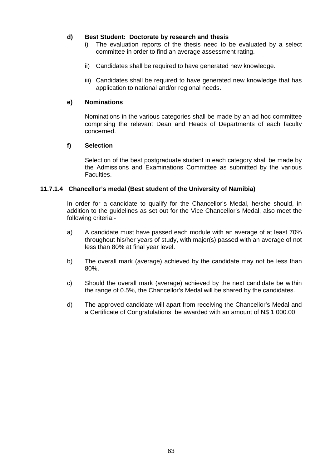## **d) Best Student: Doctorate by research and thesis**

- i) The evaluation reports of the thesis need to be evaluated by a select committee in order to find an average assessment rating.
- ii) Candidates shall be required to have generated new knowledge.
- iii) Candidates shall be required to have generated new knowledge that has application to national and/or regional needs.

## **e) Nominations**

 Nominations in the various categories shall be made by an ad hoc committee comprising the relevant Dean and Heads of Departments of each faculty concerned.

## **f) Selection**

 Selection of the best postgraduate student in each category shall be made by the Admissions and Examinations Committee as submitted by the various Faculties.

## **11.7.1.4 Chancellor's medal (Best student of the University of Namibia)**

 In order for a candidate to qualify for the Chancellor's Medal, he/she should, in addition to the guidelines as set out for the Vice Chancellor's Medal, also meet the following criteria:-

- a) A candidate must have passed each module with an average of at least 70% throughout his/her years of study, with major(s) passed with an average of not less than 80% at final year level.
- b) The overall mark (average) achieved by the candidate may not be less than 80%.
- c) Should the overall mark (average) achieved by the next candidate be within the range of 0.5%, the Chancellor's Medal will be shared by the candidates.
- d) The approved candidate will apart from receiving the Chancellor's Medal and a Certificate of Congratulations, be awarded with an amount of N\$ 1 000.00.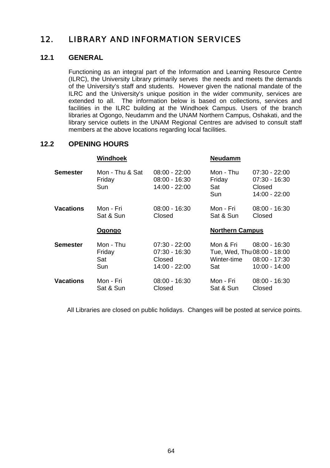# 12. LIBRARY AND INFORMATION SERVICES

# **12.1 GENERAL**

Functioning as an integral part of the Information and Learning Resource Centre (ILRC), the University Library primarily serves the needs and meets the demands of the University's staff and students. However given the national mandate of the ILRC and the University's unique position in the wider community, services are extended to all. The information below is based on collections, services and facilities in the ILRC building at the Windhoek Campus. Users of the branch libraries at Ogongo, Neudamm and the UNAM Northern Campus, Oshakati, and the library service outlets in the UNAM Regional Centres are advised to consult staff members at the above locations regarding local facilities.

## **12.2 OPENING HOURS**

| Mon - Thu & Sat<br>Mon - Thu<br><b>Semester</b><br>$08:00 - 22:00$<br>$07:30 - 22:00$<br>Friday<br>Friday<br>$08:00 - 16:30$<br>$07:30 - 16:30$<br>14:00 - 22:00<br>Sun<br>Sat<br>Closed<br>14:00 - 22:00<br>Sun<br><b>Vacations</b><br>Mon - Fri<br>$08:00 - 16:30$<br>Mon - Fri<br>$08:00 - 16:30$<br>Sat & Sun<br>Sat & Sun<br>Closed<br>Closed<br><b>Northern Campus</b><br>Ogongo<br><b>Semester</b><br>Mon - Thu<br>$07:30 - 22:00$<br>Mon & Fri<br>$08:00 - 16:30$<br>Tue, Wed, Thu 08:00 - 18:00<br>Friday<br>$07:30 - 16:30$<br>Winter-time<br>$08:00 - 17:30$<br>Sat<br>Closed<br>Sun<br>14:00 - 22:00<br>$10:00 - 14:00$<br>Sat<br><b>Vacations</b><br>Mon - Fri<br>Mon - Fri<br>08:00 - 16:30<br>$08:00 - 16:30$<br>Sat & Sun<br>Closed<br>Sat & Sun<br>Closed | Windhoek | Neudamm |  |
|----------------------------------------------------------------------------------------------------------------------------------------------------------------------------------------------------------------------------------------------------------------------------------------------------------------------------------------------------------------------------------------------------------------------------------------------------------------------------------------------------------------------------------------------------------------------------------------------------------------------------------------------------------------------------------------------------------------------------------------------------------------------------|----------|---------|--|
|                                                                                                                                                                                                                                                                                                                                                                                                                                                                                                                                                                                                                                                                                                                                                                            |          |         |  |
|                                                                                                                                                                                                                                                                                                                                                                                                                                                                                                                                                                                                                                                                                                                                                                            |          |         |  |
|                                                                                                                                                                                                                                                                                                                                                                                                                                                                                                                                                                                                                                                                                                                                                                            |          |         |  |
|                                                                                                                                                                                                                                                                                                                                                                                                                                                                                                                                                                                                                                                                                                                                                                            |          |         |  |
|                                                                                                                                                                                                                                                                                                                                                                                                                                                                                                                                                                                                                                                                                                                                                                            |          |         |  |
|                                                                                                                                                                                                                                                                                                                                                                                                                                                                                                                                                                                                                                                                                                                                                                            |          |         |  |

All Libraries are closed on public holidays. Changes will be posted at service points.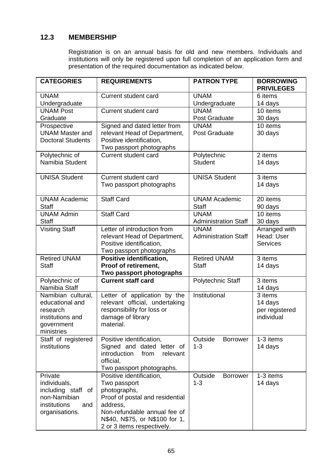# **12.3 MEMBERSHIP**

 Registration is on an annual basis for old and new members. Individuals and institutions will only be registered upon full completion of an application form and presentation of the required documentation as indicated below.

| <b>CATEGORIES</b>                                                                                      | <b>REQUIREMENTS</b>                                                                                                                                                                                     | <b>PATRON TYPE</b>                         | <b>BORROWING</b><br><b>PRIVILEGES</b>              |
|--------------------------------------------------------------------------------------------------------|---------------------------------------------------------------------------------------------------------------------------------------------------------------------------------------------------------|--------------------------------------------|----------------------------------------------------|
| <b>UNAM</b><br>Undergraduate                                                                           | Current student card                                                                                                                                                                                    | <b>UNAM</b><br>Undergraduate               | 6 items<br>14 days                                 |
| <b>UNAM Post</b><br>Graduate                                                                           | Current student card                                                                                                                                                                                    | <b>UNAM</b><br>Post Graduate               | 10 items<br>30 days                                |
| Prospective<br><b>UNAM Master and</b><br><b>Doctoral Students</b>                                      | Signed and dated letter from<br>relevant Head of Department,<br>Positive identification,<br>Two passport photographs                                                                                    | <b>UNAM</b><br>Post Graduate               | 10 items<br>30 days                                |
| Polytechnic of<br>Namibia Student                                                                      | Current student card                                                                                                                                                                                    | Polytechnic<br>Student                     | 2 items<br>14 days                                 |
| <b>UNISA Student</b>                                                                                   | Current student card<br>Two passport photographs                                                                                                                                                        | <b>UNISA Student</b>                       | 3 items<br>14 days                                 |
| <b>UNAM Academic</b><br>Staff                                                                          | <b>Staff Card</b>                                                                                                                                                                                       | <b>UNAM Academic</b><br>Staff              | 20 items<br>90 days                                |
| <b>UNAM Admin</b><br>Staff                                                                             | <b>Staff Card</b>                                                                                                                                                                                       | <b>UNAM</b><br><b>Administration Staff</b> | 10 items<br>30 days                                |
| <b>Visiting Staff</b>                                                                                  | Letter of introduction from<br>relevant Head of Department,<br>Positive identification,<br>Two passport photographs                                                                                     | <b>UNAM</b><br><b>Administration Staff</b> | Arranged with<br>Head: User<br><b>Services</b>     |
| <b>Retired UNAM</b><br>Staff                                                                           | Positive identification,<br>Proof of retirement,<br>Two passport photographs                                                                                                                            | <b>Retired UNAM</b><br>Staff               | 3 items<br>14 days                                 |
| Polytechnic of<br>Namibia Staff                                                                        | <b>Current staff card</b>                                                                                                                                                                               | Polytechnic Staff                          | 3 items<br>14 days                                 |
| Namibian cultural,<br>educational and<br>research<br>institutions and<br>government<br>ministries      | Letter of application by the<br>relevant official, undertaking<br>responsibility for loss or<br>damage of library<br>material.                                                                          | Institutional                              | 3 items<br>14 days<br>per registered<br>individual |
| Staff of registered<br>institutions                                                                    | Positive identification,<br>Signed and dated letter of<br>introduction<br>from<br>relevant<br>official.<br>Two passport photographs.                                                                    | Outside<br>Borrower<br>$1 - 3$             | $1-3$ items<br>14 days                             |
| Private<br>individuals,<br>including staff of<br>non-Namibian<br>institutions<br>and<br>organisations. | Positive identification,<br>Two passport<br>photographs,<br>Proof of postal and residential<br>address,<br>Non-refundable annual fee of<br>N\$40, N\$75, or N\$100 for 1,<br>2 or 3 items respectively. | Outside<br><b>Borrower</b><br>$1 - 3$      | 1-3 items<br>14 days                               |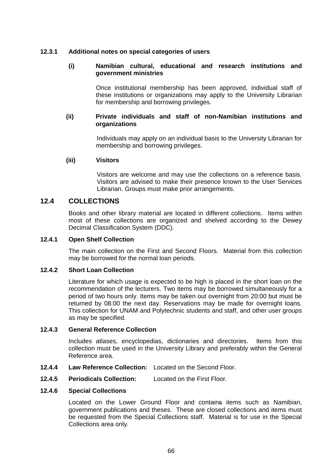## **12.3.1 Additional notes on special categories of users**

#### **(i) Namibian cultural, educational and research institutions and government ministries**

 Once institutional membership has been approved, individual staff of these institutions or organizations may apply to the University Librarian for membership and borrowing privileges.

### **(ii) Private individuals and staff of non-Namibian institutions and organizations**

 Individuals may apply on an individual basis to the University Librarian for membership and borrowing privileges.

### **(iii) Visitors**

Visitors are welcome and may use the collections on a reference basis. Visitors are advised to make their presence known to the User Services Librarian. Groups must make prior arrangements.

## **12.4 COLLECTIONS**

Books and other library material are located in different collections. Items within most of these collections are organized and shelved according to the Dewey Decimal Classification System (DDC).

## **12.4.1 Open Shelf Collection**

The main collection on the First and Second Floors. Material from this collection may be borrowed for the normal loan periods.

### **12.4.2 Short Loan Collection**

Literature for which usage is expected to be high is placed in the short loan on the recommendation of the lecturers. Two items may be borrowed simultaneously for a period of two hours only. Items may be taken out overnight from 20:00 but must be returned by 08:00 the next day. Reservations may be made for overnight loans. This collection for UNAM and Polytechnic students and staff, and other user groups as may be specified.

#### **12.4.3 General Reference Collection**

Includes atlases, encyclopedias, dictionaries and directories. Items from this collection must be used in the University Library and preferably within the General Reference area.

- **12.4.4 Law Reference Collection:** Located on the Second Floor.
- **12.4.5 Periodicals Collection:** Located on the First Floor.

#### **12.4.6 Special Collections**

Located on the Lower Ground Floor and contains items such as Namibian, government publications and theses. These are closed collections and items must be requested from the Special Collections staff. Material is for use in the Special Collections area only.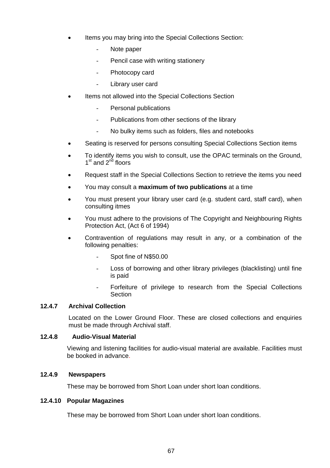- Items you may bring into the Special Collections Section:
	- Note paper
	- Pencil case with writing stationery
	- Photocopy card
	- Library user card
- Items not allowed into the Special Collections Section
	- Personal publications
	- Publications from other sections of the library
	- No bulky items such as folders, files and notebooks
- Seating is reserved for persons consulting Special Collections Section items
- To identify items you wish to consult, use the OPAC terminals on the Ground,  $1<sup>st</sup>$  and  $2<sup>nd</sup>$  floors
- Request staff in the Special Collections Section to retrieve the items you need
- You may consult a **maximum of two publications** at a time
- You must present your library user card (e.g. student card, staff card), when consulting itmes
- You must adhere to the provisions of The Copyright and Neighbouring Rights Protection Act, (Act 6 of 1994)
- Contravention of regulations may result in any, or a combination of the following penalties:
	- Spot fine of N\$50.00
	- Loss of borrowing and other library privileges (blacklisting) until fine is paid
	- Forfeiture of privilege to research from the Special Collections **Section**

#### **12.4.7 Archival Collection**

Located on the Lower Ground Floor. These are closed collections and enquiries must be made through Archival staff.

#### **12.4.8 Audio-Visual Material**

 Viewing and listening facilities for audio-visual material are available. Facilities must be booked in advance.

#### **12.4.9 Newspapers**

These may be borrowed from Short Loan under short loan conditions.

#### **12.4.10 Popular Magazines**

These may be borrowed from Short Loan under short loan conditions.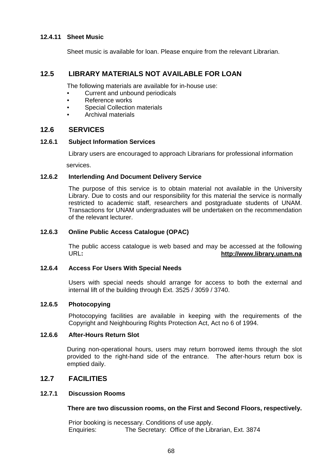#### **12.4.11 Sheet Music**

Sheet music is available for loan. Please enquire from the relevant Librarian.

#### **12.5 LIBRARY MATERIALS NOT AVAILABLE FOR LOAN**

The following materials are available for in-house use:

- Current and unbound periodicals
- Reference works
- Special Collection materials
- Archival materials

### **12.6 SERVICES**

#### **12.6.1 Subject Information Services**

Library users are encouraged to approach Librarians for professional information

services.

#### **12.6.2 Interlending And Document Delivery Service**

 The purpose of this service is to obtain material not available in the University Library. Due to costs and our responsibility for this material the service is normally restricted to academic staff, researchers and postgraduate students of UNAM. Transactions for UNAM undergraduates will be undertaken on the recommendation of the relevant lecturer.

#### **12.6.3 Online Public Access Catalogue (OPAC)**

The public access catalogue is web based and may be accessed at the following URL**: [http://www.library.unam.na](http://www.library.unam.na/)**

#### **12.6.4 Access For Users With Special Needs**

Users with special needs should arrange for access to both the external and internal lift of the building through Ext. 3525 / 3059 / 3740.

#### **12.6.5 Photocopying**

Photocopying facilities are available in keeping with the requirements of the Copyright and Neighbouring Rights Protection Act, Act no 6 of 1994.

#### **12.6.6 After-Hours Return Slot**

 During non-operational hours, users may return borrowed items through the slot provided to the right-hand side of the entrance. The after-hours return box is emptied daily.

#### **12.7 FACILITIES**

#### **12.7.1 Discussion Rooms**

#### **There are two discussion rooms, on the First and Second Floors, respectively.**

 Prior booking is necessary. Conditions of use apply. Enquiries: The Secretary: Office of the Librarian, Ext. 3874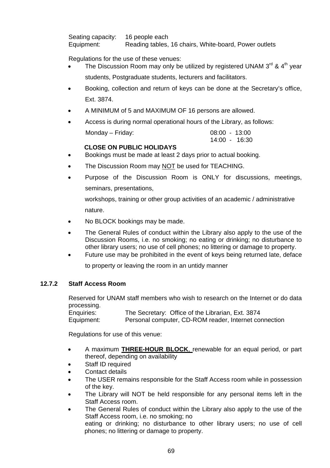Seating capacity: 16 people each Equipment: Reading tables, 16 chairs, White-board, Power outlets

Regulations for the use of these venues:

- The Discussion Room may only be utilized by registered UNAM  $3^{rd}$  &  $4^{th}$  year students, Postgraduate students, lecturers and facilitators.
- Booking, collection and return of keys can be done at the Secretary's office, Ext. 3874.
- A MINIMUM of 5 and MAXIMUM OF 16 persons are allowed.
- Access is during normal operational hours of the Library, as follows:

| Monday - Friday: | 08:00 - 13:00 |
|------------------|---------------|
|                  | 14:00 - 16:30 |

#### **CLOSE ON PUBLIC HOLIDAYS**

- Bookings must be made at least 2 days prior to actual booking.
- The Discussion Room may NOT be used for TEACHING.
- Purpose of the Discussion Room is ONLY for discussions, meetings, seminars, presentations,

 workshops, training or other group activities of an academic / administrative nature.

- No BLOCK bookings may be made.
- The General Rules of conduct within the Library also apply to the use of the Discussion Rooms, i.e. no smoking; no eating or drinking; no disturbance to other library users; no use of cell phones; no littering or damage to property.
- Future use may be prohibited in the event of keys being returned late, deface to property or leaving the room in an untidy manner

#### **12.7.2 Staff Access Room**

Reserved for UNAM staff members who wish to research on the Internet or do data processing.

| Enquiries: | The Secretary: Office of the Librarian, Ext. 3874     |
|------------|-------------------------------------------------------|
| Equipment: | Personal computer, CD-ROM reader, Internet connection |

Regulations for use of this venue:

- A maximum **THREE-HOUR BLOCK**, renewable for an equal period, or part thereof, depending on availability
- Staff ID required
- Contact details
- The USER remains responsible for the Staff Access room while in possession of the key.
- The Library will NOT be held responsible for any personal items left in the Staff Access room.
- The General Rules of conduct within the Library also apply to the use of the Staff Access room, i.e. no smoking; no eating or drinking; no disturbance to other library users; no use of cell phones; no littering or damage to property.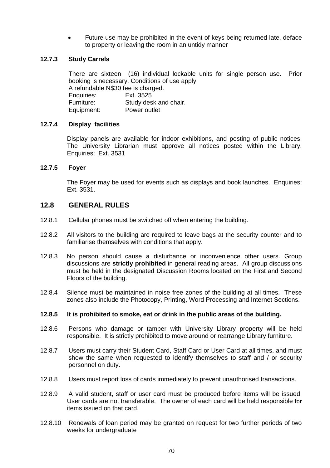• Future use may be prohibited in the event of keys being returned late, deface to property or leaving the room in an untidy manner

### **12.7.3 Study Carrels**

There are sixteen (16) individual lockable units for single person use. Prior booking is necessary. Conditions of use apply A refundable N\$30 fee is charged. Enquiries: Ext. 3525 Furniture: Study desk and chair. Equipment: Power outlet

#### **12.7.4 Display facilities**

 Display panels are available for indoor exhibitions, and posting of public notices. The University Librarian must approve all notices posted within the Library. Enquiries: Ext. 3531

#### **12.7.5 Foyer**

 The Foyer may be used for events such as displays and book launches. Enquiries: Ext. 3531.

#### **12.8 GENERAL RULES**

- 12.8.1 Cellular phones must be switched off when entering the building.
- 12.8.2 All visitors to the building are required to leave bags at the security counter and to familiarise themselves with conditions that apply.
- 12.8.3 No person should cause a disturbance or inconvenience other users. Group discussions are **strictly prohibited** in general reading areas. All group discussions must be held in the designated Discussion Rooms located on the First and Second Floors of the building.
- 12.8.4 Silence must be maintained in noise free zones of the building at all times. These zones also include the Photocopy, Printing, Word Processing and Internet Sections.

#### **12.8.5 It is prohibited to smoke, eat or drink in the public areas of the building.**

- 12.8.6 Persons who damage or tamper with University Library property will be held responsible. It is strictly prohibited to move around or rearrange Library furniture.
- 12.8.7 Users must carry their Student Card, Staff Card or User Card at all times, and must show the same when requested to identify themselves to staff and / or security personnel on duty.
- 12.8.8 Users must report loss of cards immediately to prevent unauthorised transactions.
- 12.8.9 A valid student, staff or user card must be produced before items will be issued. User cards are not transferable. The owner of each card will be held responsible for items issued on that card.
- 12.8.10 Renewals of loan period may be granted on request for two further periods of two weeks for undergraduate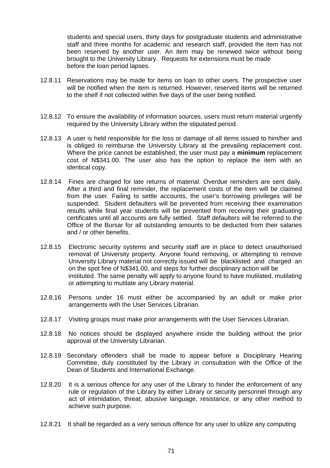students and special users, thirty days for postgraduate students and administrative staff and three months for academic and research staff, provided the item has not been reserved by another user. An item may be renewed twice without being brought to the University Library. Requests for extensions must be made before the loan period lapses.

- 12.8.11 Reservations may be made for items on loan to other users. The prospective user will be notified when the item is returned. However, reserved items will be returned to the shelf if not collected within five days of the user being notified.
- 12.8.12 To ensure the availability of information sources, users must return material urgently required by the University Library within the stipulated period.
- 12.8.13 A user is held responsible for the loss or damage of all items issued to him/her and is obliged to reimburse the University Library at the prevailing replacement cost. Where the price cannot be established, the user must pay a **minimum** replacement cost of N\$341.00. The user also has the option to replace the item with an identical copy.
- 12.8.14 Fines are charged for late returns of material. Overdue reminders are sent daily. After a third and final reminder, the replacement costs of the item will be claimed from the user. Failing to settle accounts, the user's borrowing privileges will be suspended. Student defaulters will be prevented from receiving their examination results while final year students will be prevented from receiving their graduating certificates until all accounts are fully settled. Staff defaulters will be referred to the Office of the Bursar for all outstanding amounts to be deducted from their salaries and / or other benefits.
- 12.8.15 Electronic security systems and security staff are in place to detect unauthorised removal of University property. Anyone found removing, or attempting to remove University Library material not correctly issued will be blacklisted and charged an on the spot fine of N\$341.00, and steps for further disciplinary action will be instituted. The same penalty will apply to anyone found to have mutilated, mutilating or attempting to mutilate any Library material.
- 12.8.16 Persons under 16 must either be accompanied by an adult or make prior arrangements with the User Services Librarian.
- 12.8.17 Visiting groups must make prior arrangements with the User Services Librarian.
- 12.8.18 No notices should be displayed anywhere inside the building without the prior approval of the University Librarian.
- 12.8.19 Secondary offenders shall be made to appear before a Disciplinary Hearing Committee, duly constituted by the Library in consultation with the Office of the Dean of Students and International Exchange.
- 12.8.20 It is a serious offence for any user of the Library to hinder the enforcement of any rule or regulation of the Library by either Library or security personnel through any act of intimidation, threat, abusive language, resistance, or any other method to achieve such purpose.
- 12.8.21 It shall be regarded as a very serious offence for any user to utilize any computing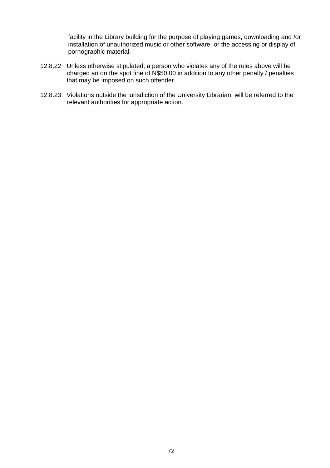facility in the Library building for the purpose of playing games, downloading and /or installation of unauthorized music or other software, or the accessing or display of pornographic material.

- 12.8.22 Unless otherwise stipulated, a person who violates any of the rules above will be charged an on the spot fine of N\$50.00 in addition to any other penalty / penalties that may be imposed on such offender.
- 12.8.23 Violations outside the jurisdiction of the University Librarian, will be referred to the relevant authorities for appropriate action.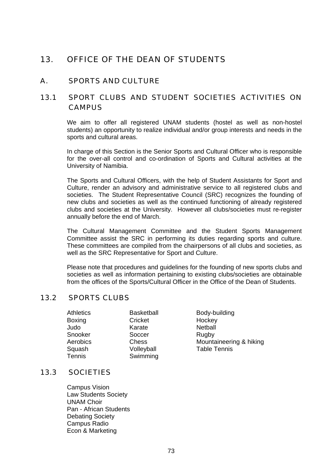# 13. OFFICE OF THE DEAN OF STUDENTS

### A. SPORTS AND CULTURE

## 13.1 SPORT CLUBS AND STUDENT SOCIETIES ACTIVITIES ON **CAMPUS**

 We aim to offer all registered UNAM students (hostel as well as non-hostel students) an opportunity to realize individual and/or group interests and needs in the sports and cultural areas.

 In charge of this Section is the Senior Sports and Cultural Officer who is responsible for the over-all control and co-ordination of Sports and Cultural activities at the University of Namibia.

 The Sports and Cultural Officers, with the help of Student Assistants for Sport and Culture, render an advisory and administrative service to all registered clubs and societies. The Student Representative Council (SRC) recognizes the founding of new clubs and societies as well as the continued functioning of already registered clubs and societies at the University. However all clubs/societies must re-register annually before the end of March.

 The Cultural Management Committee and the Student Sports Management Committee assist the SRC in performing its duties regarding sports and culture. These committees are compiled from the chairpersons of all clubs and societies, as well as the SRC Representative for Sport and Culture.

 Please note that procedures and guidelines for the founding of new sports clubs and societies as well as information pertaining to existing clubs/societies are obtainable from the offices of the Sports/Cultural Officer in the Office of the Dean of Students.

#### 13.2 SPORTS CLUBS

| <b>Athletics</b> | <b>Basketball</b> | Body-bu  |
|------------------|-------------------|----------|
| Boxing           | Cricket           | Hockey   |
| Judo             | Karate            | Netball  |
| Snooker          | Soccer            | Rugby    |
| Aerobics         | Chess             | Mountai  |
| Squash           | Volleyball        | Table Te |
| Tennis           | Swimming          |          |

Body-building Mountaineering & hiking Table Tennis

## 13.3 SOCIETIES

 Campus Vision Law Students Society UNAM Choir Pan - African Students Debating Society Campus Radio Econ & Marketing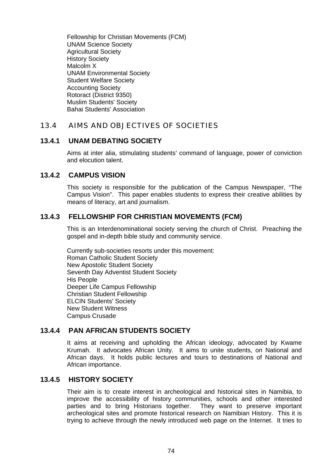Fellowship for Christian Movements (FCM) UNAM Science Society Agricultural Society History Society Malcolm X UNAM Environmental Society Student Welfare Society Accounting Society Rotoract (District 9350) Muslim Students' Society Bahai Students' Association

### 13.4 AIMS AND OBJECTIVES OF SOCIETIES

#### **13.4.1 UNAM DEBATING SOCIETY**

 Aims at inter alia, stimulating students' command of language, power of conviction and elocution talent.

#### **13.4.2 CAMPUS VISION**

 This society is responsible for the publication of the Campus Newspaper, "The Campus Vision". This paper enables students to express their creative abilities by means of literacy, art and journalism.

### **13.4.3 FELLOWSHIP FOR CHRISTIAN MOVEMENTS (FCM)**

 This is an Interdenominational society serving the church of Christ. Preaching the gospel and in-depth bible study and community service.

 Currently sub-societies resorts under this movement: Roman Catholic Student Society New Apostolic Student Society Seventh Day Adventist Student Society His People Deeper Life Campus Fellowship Christian Student Fellowship ELCIN Students' Society New Student Witness Campus Crusade

#### **13.4.4 PAN AFRICAN STUDENTS SOCIETY**

 It aims at receiving and upholding the African ideology, advocated by Kwame Krumah. It advocates African Unity. It aims to unite students, on National and African days. It holds public lectures and tours to destinations of National and African importance.

### **13.4.5 HISTORY SOCIETY**

 Their aim is to create interest in archeological and historical sites in Namibia, to improve the accessibility of history communities, schools and other interested parties and to bring Historians together. They want to preserve important archeological sites and promote historical research on Namibian History. This it is trying to achieve through the newly introduced web page on the Internet. It tries to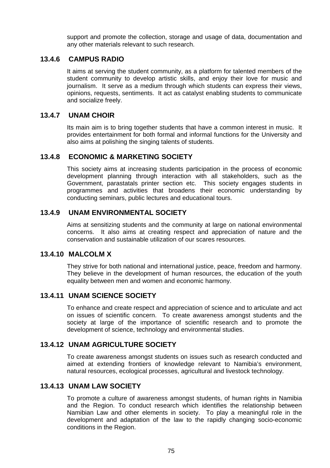support and promote the collection, storage and usage of data, documentation and any other materials relevant to such research.

#### **13.4.6 CAMPUS RADIO**

 It aims at serving the student community, as a platform for talented members of the student community to develop artistic skills, and enjoy their love for music and journalism. It serve as a medium through which students can express their views, opinions, requests, sentiments. It act as catalyst enabling students to communicate and socialize freely.

### **13.4.7 UNAM CHOIR**

 Its main aim is to bring together students that have a common interest in music. It provides entertainment for both formal and informal functions for the University and also aims at polishing the singing talents of students.

#### **13.4.8 ECONOMIC & MARKETING SOCIETY**

 This society aims at increasing students participation in the process of economic development planning through interaction with all stakeholders, such as the Government, parastatals printer section etc. This society engages students in programmes and activities that broadens their economic understanding by conducting seminars, public lectures and educational tours.

#### **13.4.9 UNAM ENVIRONMENTAL SOCIETY**

 Aims at sensitizing students and the community at large on national environmental concerns. It also aims at creating respect and appreciation of nature and the conservation and sustainable utilization of our scares resources.

### **13.4.10 MALCOLM X**

 They strive for both national and international justice, peace, freedom and harmony. They believe in the development of human resources, the education of the youth equality between men and women and economic harmony.

#### **13.4.11 UNAM SCIENCE SOCIETY**

 To enhance and create respect and appreciation of science and to articulate and act on issues of scientific concern. To create awareness amongst students and the society at large of the importance of scientific research and to promote the development of science, technology and environmental studies.

### **13.4.12 UNAM AGRICULTURE SOCIETY**

 To create awareness amongst students on issues such as research conducted and aimed at extending frontiers of knowledge relevant to Namibia's environment, natural resources, ecological processes, agricultural and livestock technology.

#### **13.4.13 UNAM LAW SOCIETY**

 To promote a culture of awareness amongst students, of human rights in Namibia and the Region. To conduct research which identifies the relationship between Namibian Law and other elements in society. To play a meaningful role in the development and adaptation of the law to the rapidly changing socio-economic conditions in the Region.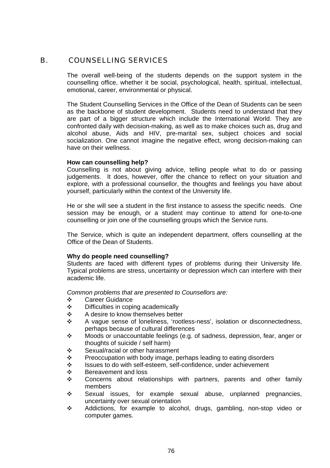#### B. COUNSELLING SERVICES

 The overall well-being of the students depends on the support system in the counselling office, whether it be social, psychological, health, spiritual, intellectual, emotional, career, environmental or physical.

 The Student Counselling Services in the Office of the Dean of Students can be seen as the backbone of student development. Students need to understand that they are part of a bigger structure which include the International World. They are confronted daily with decision-making, as well as to make choices such as, drug and alcohol abuse, Aids and HIV, pre-marital sex, subject choices and social socialization. One cannot imagine the negative effect, wrong decision-making can have on their wellness.

#### **How can counselling help?**

 Counselling is not about giving advice, telling people what to do or passing judgements. It does, however, offer the chance to reflect on your situation and explore, with a professional counsellor, the thoughts and feelings you have about yourself, particularly within the context of the University life.

 He or she will see a student in the first instance to assess the specific needs. One session may be enough, or a student may continue to attend for one-to-one counselling or join one of the counselling groups which the Service runs.

 The Service, which is quite an independent department, offers counselling at the Office of the Dean of Students.

#### **Why do people need counselling?**

 Students are faced with different types of problems during their University life. Typical problems are stress, uncertainty or depression which can interfere with their academic life.

 *Common problems that are presented to Counsellors are:*

- ◆ Career Guidance
- $\div$  Difficulties in coping academically
- ❖ A desire to know themselves better
- Y A vague sense of loneliness, 'rootless-ness', isolation or disconnectedness, perhaps because of cultural differences
- $\cdot \cdot$  Moods or unaccountable feelings (e.g. of sadness, depression, fear, anger or thoughts of suicide / self harm)
- $\div$  Sexual/racial or other harassment
- $\div$  Preoccupation with body image, perhaps leading to eating disorders
- Y Issues to do with self-esteem, self-confidence, under achievement
- ❖ Bereavement and loss
- $\div$  Concerns about relationships with partners, parents and other family members
- $\div$  Sexual issues, for example sexual abuse, unplanned pregnancies, uncertainty over sexual orientation
- Y Addictions, for example to alcohol, drugs, gambling, non-stop video or computer games.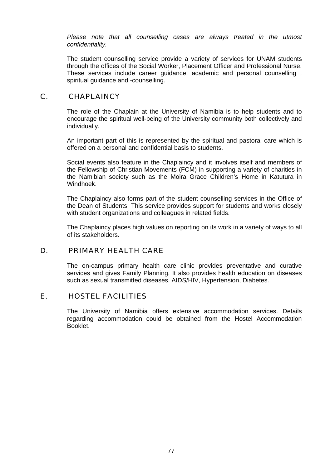*Please note that all counselling cases are always treated in the utmost confidentiality.*

 The student counselling service provide a variety of services for UNAM students through the offices of the Social Worker, Placement Officer and Professional Nurse. These services include career guidance, academic and personal counselling , spiritual quidance and -counselling.

#### C. CHAPLAINCY

 The role of the Chaplain at the University of Namibia is to help students and to encourage the spiritual well-being of the University community both collectively and individually.

 An important part of this is represented by the spiritual and pastoral care which is offered on a personal and confidential basis to students.

 Social events also feature in the Chaplaincy and it involves itself and members of the Fellowship of Christian Movements (FCM) in supporting a variety of charities in the Namibian society such as the Moira Grace Children's Home in Katutura in Windhoek.

 The Chaplaincy also forms part of the student counselling services in the Office of the Dean of Students. This service provides support for students and works closely with student organizations and colleagues in related fields.

 The Chaplaincy places high values on reporting on its work in a variety of ways to all of its stakeholders.

#### D. PRIMARY HEALTH CARE

The on-campus primary health care clinic provides preventative and curative services and gives Family Planning. It also provides health education on diseases such as sexual transmitted diseases, AIDS/HIV, Hypertension, Diabetes.

### E. HOSTEL FACILITIES

 The University of Namibia offers extensive accommodation services. Details regarding accommodation could be obtained from the Hostel Accommodation Booklet.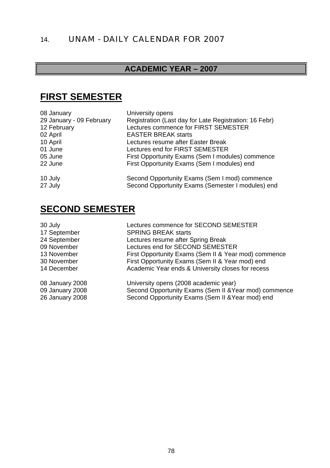# 14. UNAM - DAILY CALENDAR FOR 2007

# **ACADEMIC YEAR – 2007**

# **FIRST SEMESTER**

| 08 January               | University opens                                                                                   |
|--------------------------|----------------------------------------------------------------------------------------------------|
| 29 January - 09 February | Registration (Last day for Late Registration: 16 Febr)                                             |
| 12 February              | Lectures commence for FIRST SEMESTER                                                               |
| 02 April                 | <b>EASTER BREAK starts</b>                                                                         |
| 10 April                 | Lectures resume after Easter Break                                                                 |
| 01 June                  | Lectures end for FIRST SEMESTER                                                                    |
| 05 June                  | First Opportunity Exams (Sem I modules) commence                                                   |
| 22 June                  | First Opportunity Exams (Sem I modules) end                                                        |
| 10 July<br>27 July       | Second Opportunity Exams (Sem I mod) commence<br>Second Opportunity Exams (Semester I modules) end |

# **SECOND SEMESTER**

| 30 July         | Lectures commence for SECOND SEMESTER                 |
|-----------------|-------------------------------------------------------|
| 17 September    | <b>SPRING BREAK starts</b>                            |
| 24 September    | Lectures resume after Spring Break                    |
| 09 November     | Lectures end for SECOND SEMESTER                      |
| 13 November     | First Opportunity Exams (Sem II & Year mod) commence  |
| 30 November     | First Opportunity Exams (Sem II & Year mod) end       |
| 14 December     | Academic Year ends & University closes for recess     |
| 08 January 2008 | University opens (2008 academic year)                 |
| 09 January 2008 | Second Opportunity Exams (Sem II & Year mod) commence |
| 26 January 2008 | Second Opportunity Exams (Sem II & Year mod) end      |
|                 |                                                       |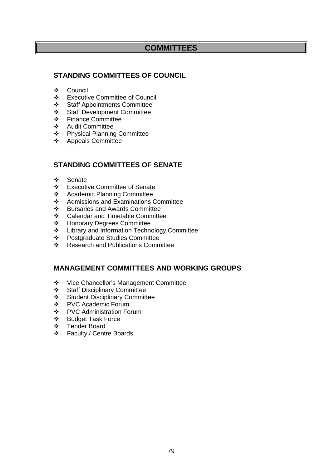## **COMMITTEES**

### **STANDING COMMITTEES OF COUNCIL**

- Council
- Executive Committee of Council
- Staff Appointments Committee
- Staff Development Committee
- ❖ Finance Committee
- Audit Committee
- Physical Planning Committee
- Appeals Committee

### **STANDING COMMITTEES OF SENATE**

- Senate
- Executive Committee of Senate
- ❖ Academic Planning Committee
- ❖ Admissions and Examinations Committee
- ❖ Bursaries and Awards Committee<br>❖ Calendar and Timetable Committe
- Calendar and Timetable Committee
- Honorary Degrees Committee
- **Example 2** Library and Information Technology Committee
- ❖ Postgraduate Studies Committee<br>❖ Research and Publications Comm
- Research and Publications Committee

#### **MANAGEMENT COMMITTEES AND WORKING GROUPS**

- Vice Chancellor's Management Committee
- Staff Disciplinary Committee
- Student Disciplinary Committee
- ❖ PVC Academic Forum
- PVC Administration Forum
- Budget Task Force
- ❖ Tender Board<br>❖ Faculty / Centr
- Faculty / Centre Boards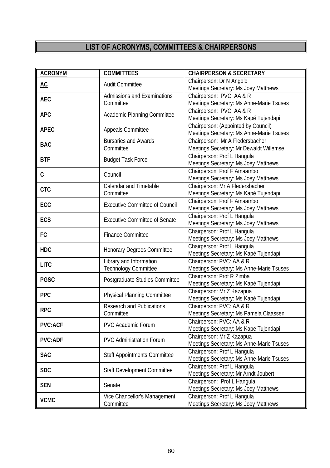# **LIST OF ACRONYMS, COMMITTEES & CHAIRPERSONS**

| <b>ACRONYM</b> | <b>COMMITTEES</b>                     | <b>CHAIRPERSON &amp; SECRETARY</b>                                |
|----------------|---------------------------------------|-------------------------------------------------------------------|
| AC             | <b>Audit Committee</b>                | Chairperson: Dr N Angolo                                          |
|                |                                       | Meetings Secretary: Ms Joey Matthews                              |
| <b>AEC</b>     | Admissions and Examinations           | Chairperson: PVC: AA & R                                          |
|                | Committee                             | Meetings Secretary: Ms Anne-Marie Tsuses                          |
| <b>APC</b>     | Academic Planning Committee           | Chairperson: PVC: AA & R                                          |
|                |                                       | Meetings Secretary: Ms Kapé Tujendapi                             |
| <b>APEC</b>    | Appeals Committee                     | Chairperson: (Appointed by Council)                               |
|                |                                       | Meetings Secretary: Ms Anne-Marie Tsuses                          |
| <b>BAC</b>     | <b>Bursaries and Awards</b>           | Chairperson: Mr A Fledersbacher                                   |
|                | Committee                             | Meetings Secretary: Mr Dewaldt Willemse                           |
| <b>BTF</b>     | <b>Budget Task Force</b>              | Chairperson: Prof L Hangula                                       |
|                |                                       | Meetings Secretary: Ms Joey Matthews                              |
| C              | Council                               | Chairperson: Prof F Amaambo                                       |
|                |                                       | Meetings Secretary: Ms Joey Matthews                              |
| <b>CTC</b>     | Calendar and Timetable                | Chairperson: Mr A Fledersbacher                                   |
|                | Committee                             | Meetings Secretary: Ms Kapé Tujendapi                             |
| ECC            | <b>Executive Committee of Council</b> | Chairperson: Prof F Amaambo                                       |
|                |                                       | Meetings Secretary: Ms Joey Matthews                              |
| ECS            | <b>Executive Committee of Senate</b>  | Chairperson: Prof L Hangula                                       |
|                |                                       | Meetings Secretary: Ms Joey Matthews                              |
| FC             | <b>Finance Committee</b>              | Chairperson: Prof L Hangula                                       |
|                |                                       | Meetings Secretary: Ms Joey Matthews                              |
| <b>HDC</b>     | Honorary Degrees Committee            | Chairperson: Prof L Hangula                                       |
|                |                                       | Meetings Secretary: Ms Kapé Tujendapi<br>Chairperson: PVC: AA & R |
| <b>LITC</b>    | Library and Information               |                                                                   |
|                | <b>Technology Committee</b>           | Meetings Secretary: Ms Anne-Marie Tsuses                          |
| <b>PGSC</b>    | Postgraduate Studies Committee        | Chairperson: Prof R Zimba                                         |
|                |                                       | Meetings Secretary: Ms Kapé Tujendapi                             |
| PPC            | Physical Planning Committee           | Chairperson: Mr Z Kazapua                                         |
|                |                                       | Meetings Secretary: Ms Kapé Tujendapi<br>Chairperson: PVC: AA & R |
| <b>RPC</b>     | <b>Research and Publications</b>      |                                                                   |
|                | Committee                             | Meetings Secretary: Ms Pamela Claassen                            |
| <b>PVC:ACF</b> | <b>PVC Academic Forum</b>             | Chairperson: PVC: AA & R                                          |
|                |                                       | Meetings Secretary: Ms Kapé Tujendapi                             |
| <b>PVC:ADF</b> | <b>PVC Administration Forum</b>       | Chairperson: Mr Z Kazapua                                         |
|                |                                       | Meetings Secretary: Ms Anne-Marie Tsuses                          |
| <b>SAC</b>     | <b>Staff Appointments Committee</b>   | Chairperson: Prof L Hangula                                       |
|                |                                       | Meetings Secretary: Ms Anne-Marie Tsuses                          |
| <b>SDC</b>     | Staff Development Committee           | Chairperson: Prof L Hangula                                       |
|                |                                       | Meetings Secretary: Mr Arndt Joubert                              |
| <b>SEN</b>     | Senate                                | Chairperson: Prof L Hangula                                       |
|                |                                       | Meetings Secretary: Ms Joey Matthews                              |
| <b>VCMC</b>    | Vice Chancellor's Management          | Chairperson: Prof L Hangula                                       |
|                | Committee                             | Meetings Secretary: Ms Joey Matthews                              |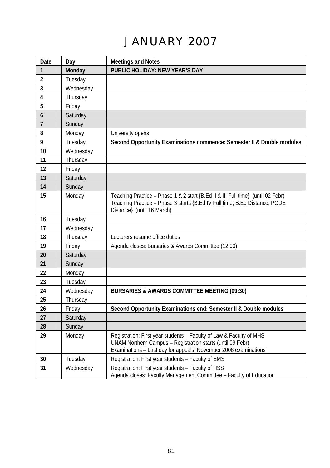# JANUARY 2007

| Date                    | Day       | <b>Meetings and Notes</b>                                                                                                                                                                            |
|-------------------------|-----------|------------------------------------------------------------------------------------------------------------------------------------------------------------------------------------------------------|
| 1                       | Monday    | PUBLIC HOLIDAY: NEW YEAR'S DAY                                                                                                                                                                       |
| $\overline{\mathbf{2}}$ | Tuesday   |                                                                                                                                                                                                      |
| 3                       | Wednesday |                                                                                                                                                                                                      |
| 4                       | Thursday  |                                                                                                                                                                                                      |
| 5                       | Friday    |                                                                                                                                                                                                      |
| $\boldsymbol{6}$        | Saturday  |                                                                                                                                                                                                      |
| $\overline{7}$          | Sunday    |                                                                                                                                                                                                      |
| 8                       | Monday    | University opens                                                                                                                                                                                     |
| 9                       | Tuesday   | Second Opportunity Examinations commence: Semester II & Double modules                                                                                                                               |
| 10                      | Wednesday |                                                                                                                                                                                                      |
| 11                      | Thursday  |                                                                                                                                                                                                      |
| 12                      | Friday    |                                                                                                                                                                                                      |
| 13                      | Saturday  |                                                                                                                                                                                                      |
| 14                      | Sunday    |                                                                                                                                                                                                      |
| 15                      | Monday    | Teaching Practice - Phase 1 & 2 start {B.Ed II & III Full time} (until 02 Febr)<br>Teaching Practice - Phase 3 starts {B.Ed IV Full time; B.Ed Distance; PGDE<br>Distance} (until 16 March)          |
| 16                      | Tuesday   |                                                                                                                                                                                                      |
| 17                      | Wednesday |                                                                                                                                                                                                      |
| 18                      | Thursday  | Lecturers resume office duties                                                                                                                                                                       |
| 19                      | Fridav    | Agenda closes: Bursaries & Awards Committee (12:00)                                                                                                                                                  |
| 20                      | Saturday  |                                                                                                                                                                                                      |
| 21                      | Sunday    |                                                                                                                                                                                                      |
| 22                      | Monday    |                                                                                                                                                                                                      |
| 23                      | Tuesday   |                                                                                                                                                                                                      |
| 24                      | Wednesday | <b>BURSARIES &amp; AWARDS COMMITTEE MEETING (09:30)</b>                                                                                                                                              |
| 25                      | Thursday  |                                                                                                                                                                                                      |
| 26                      | Friday    | Second Opportunity Examinations end: Semester II & Double modules                                                                                                                                    |
| 27                      | Saturday  |                                                                                                                                                                                                      |
| 28                      | Sunday    |                                                                                                                                                                                                      |
| 29                      | Monday    | Registration: First year students - Faculty of Law & Faculty of MHS<br>UNAM Northern Campus - Registration starts (until 09 Febr)<br>Examinations - Last day for appeals: November 2006 examinations |
| 30                      | Tuesday   | Registration: First year students - Faculty of EMS                                                                                                                                                   |
| 31                      | Wednesday | Registration: First year students - Faculty of HSS<br>Agenda closes: Faculty Management Committee - Faculty of Education                                                                             |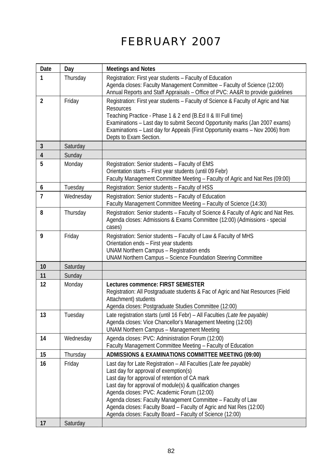# FEBRUARY 2007

| Date           | Day       | <b>Meetings and Notes</b>                                                                                                                                                                                                                                                                                                                                                                                                                                                   |
|----------------|-----------|-----------------------------------------------------------------------------------------------------------------------------------------------------------------------------------------------------------------------------------------------------------------------------------------------------------------------------------------------------------------------------------------------------------------------------------------------------------------------------|
| 1              | Thursday  | Registration: First year students - Faculty of Education<br>Agenda closes: Faculty Management Committee - Faculty of Science (12:00)<br>Annual Reports and Staff Appraisals - Office of PVC: AA&R to provide guidelines                                                                                                                                                                                                                                                     |
| 2              | Friday    | Registration: First year students - Faculty of Science & Faculty of Agric and Nat<br>Resources<br>Teaching Practice - Phase 1 & 2 end {B.Ed II & III Full time}<br>Examinations - Last day to submit Second Opportunity marks (Jan 2007 exams)<br>Examinations - Last day for Appeals (First Opportunity exams - Nov 2006) from<br>Depts to Exam Section.                                                                                                                   |
| 3              | Saturday  |                                                                                                                                                                                                                                                                                                                                                                                                                                                                             |
| $\overline{4}$ | Sunday    |                                                                                                                                                                                                                                                                                                                                                                                                                                                                             |
| 5              | Monday    | Registration: Senior students - Faculty of EMS<br>Orientation starts - First year students (until 09 Febr)<br>Faculty Management Committee Meeting - Faculty of Agric and Nat Res (09:00)                                                                                                                                                                                                                                                                                   |
| 6              | Tuesday   | Registration: Senior students - Faculty of HSS                                                                                                                                                                                                                                                                                                                                                                                                                              |
| $\overline{7}$ | Wednesday | Registration: Senior students - Faculty of Education<br>Faculty Management Committee Meeting - Faculty of Science (14:30)                                                                                                                                                                                                                                                                                                                                                   |
| 8              | Thursday  | Registration: Senior students - Faculty of Science & Faculty of Agric and Nat Res.<br>Agenda closes: Admissions & Exams Committee (12:00) (Admissions - special<br>cases)                                                                                                                                                                                                                                                                                                   |
| 9              | Friday    | Registration: Senior students - Faculty of Law & Faculty of MHS<br>Orientation ends - First year students<br><b>UNAM Northern Campus - Registration ends</b><br>UNAM Northern Campus - Science Foundation Steering Committee                                                                                                                                                                                                                                                |
| 10             | Saturday  |                                                                                                                                                                                                                                                                                                                                                                                                                                                                             |
| 11             | Sunday    |                                                                                                                                                                                                                                                                                                                                                                                                                                                                             |
| 12             | Monday    | Lectures commence: FIRST SEMESTER<br>Registration: All Postgraduate students & Fac of Agric and Nat Resources (Field<br>Attachment) students<br>Agenda closes: Postgraduate Studies Committee (12:00)                                                                                                                                                                                                                                                                       |
| 13             | Tuesday   | Late registration starts (until 16 Febr) - All Faculties (Late fee payable)<br>Agenda closes: Vice Chancellor's Management Meeting (12:00)<br><b>UNAM Northern Campus - Management Meeting</b>                                                                                                                                                                                                                                                                              |
| 14             | Wednesday | Agenda closes: PVC: Administration Forum (12:00)<br>Faculty Management Committee Meeting - Faculty of Education                                                                                                                                                                                                                                                                                                                                                             |
| 15             | Thursday  | ADMISSIONS & EXAMINATIONS COMMITTEE MEETING (09:00)                                                                                                                                                                                                                                                                                                                                                                                                                         |
| 16             | Friday    | Last day for Late Registration - All Faculties (Late fee payable)<br>Last day for approval of exemption(s)<br>Last day for approval of retention of CA mark<br>Last day for approval of module(s) & qualification changes<br>Agenda closes: PVC: Academic Forum (12:00)<br>Agenda closes: Faculty Management Committee - Faculty of Law<br>Agenda closes: Faculty Board - Faculty of Agric and Nat Res (12:00)<br>Agenda closes: Faculty Board - Faculty of Science (12:00) |
| 17             | Saturday  |                                                                                                                                                                                                                                                                                                                                                                                                                                                                             |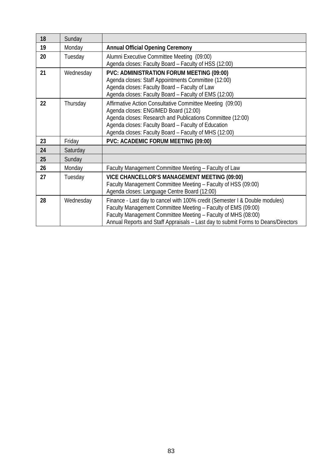| 18 | Sunday    |                                                                                                                                                                                                                                                                                                    |
|----|-----------|----------------------------------------------------------------------------------------------------------------------------------------------------------------------------------------------------------------------------------------------------------------------------------------------------|
| 19 | Monday    | <b>Annual Official Opening Ceremony</b>                                                                                                                                                                                                                                                            |
| 20 | Tuesday   | Alumni Executive Committee Meeting (09:00)<br>Agenda closes: Faculty Board - Faculty of HSS (12:00)                                                                                                                                                                                                |
| 21 | Wednesday | PVC: ADMINISTRATION FORUM MEETING (09:00)<br>Agenda closes: Staff Appointments Committee (12:00)<br>Agenda closes: Faculty Board - Faculty of Law<br>Agenda closes: Faculty Board - Faculty of EMS (12:00)                                                                                         |
| 22 | Thursday  | Affirmative Action Consultative Committee Meeting (09:00)<br>Agenda closes: ENGIMED Board (12:00)<br>Agenda closes: Research and Publications Committee (12:00)<br>Agenda closes: Faculty Board - Faculty of Education<br>Agenda closes: Faculty Board - Faculty of MHS (12:00)                    |
| 23 | Friday    | PVC: ACADEMIC FORUM MEETING (09:00)                                                                                                                                                                                                                                                                |
| 24 | Saturday  |                                                                                                                                                                                                                                                                                                    |
| 25 | Sunday    |                                                                                                                                                                                                                                                                                                    |
| 26 | Monday    | Faculty Management Committee Meeting - Faculty of Law                                                                                                                                                                                                                                              |
| 27 | Tuesday   | VICE CHANCELLOR'S MANAGEMENT MEETING (09:00)<br>Faculty Management Committee Meeting - Faculty of HSS (09:00)<br>Agenda closes: Language Centre Board (12:00)                                                                                                                                      |
| 28 | Wednesday | Finance - Last day to cancel with 100% credit (Semester I & Double modules)<br>Faculty Management Committee Meeting - Faculty of EMS (09:00)<br>Faculty Management Committee Meeting - Faculty of MHS (08:00)<br>Annual Reports and Staff Appraisals - Last day to submit Forms to Deans/Directors |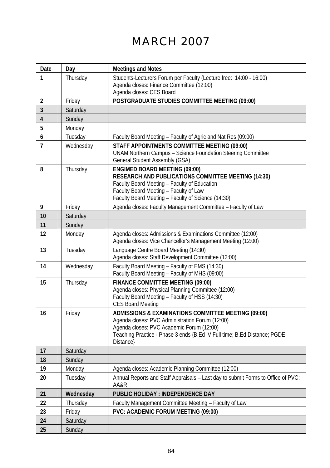# MARCH 2007

| Date           | Day       | <b>Meetings and Notes</b>                                                                                                                                                                                                                    |
|----------------|-----------|----------------------------------------------------------------------------------------------------------------------------------------------------------------------------------------------------------------------------------------------|
| 1              | Thursday  | Students-Lecturers Forum per Faculty (Lecture free: 14:00 - 16:00)<br>Agenda closes: Finance Committee (12:00)<br>Agenda closes: CES Board                                                                                                   |
| 2              | Friday    | POSTGRADUATE STUDIES COMMITTEE MEETING (09:00)                                                                                                                                                                                               |
| 3              | Saturday  |                                                                                                                                                                                                                                              |
| 4              | Sunday    |                                                                                                                                                                                                                                              |
| 5              | Monday    |                                                                                                                                                                                                                                              |
| 6              | Tuesday   | Faculty Board Meeting - Faculty of Agric and Nat Res (09:00)                                                                                                                                                                                 |
| $\overline{1}$ | Wednesday | STAFF APPOINTMENTS COMMITTEE MEETING (09:00)<br>UNAM Northern Campus - Science Foundation Steering Committee<br>General Student Assembly (GSA)                                                                                               |
| 8              | Thursday  | <b>ENGIMED BOARD MEETING (09:00)</b><br>RESEARCH AND PUBLICATIONS COMMITTEE MEETING (14:30)<br>Faculty Board Meeting - Faculty of Education<br>Faculty Board Meeting - Faculty of Law<br>Faculty Board Meeting - Faculty of Science (14:30)  |
| 9              | Friday    | Agenda closes: Faculty Management Committee - Faculty of Law                                                                                                                                                                                 |
| 10             | Saturday  |                                                                                                                                                                                                                                              |
| 11             | Sunday    |                                                                                                                                                                                                                                              |
| 12             | Monday    | Agenda closes: Admissions & Examinations Committee (12:00)<br>Agenda closes: Vice Chancellor's Management Meeting (12:00)                                                                                                                    |
| 13             | Tuesday   | Language Centre Board Meeting (14:30)<br>Agenda closes: Staff Development Committee (12:00)                                                                                                                                                  |
| 14             | Wednesday | Faculty Board Meeting - Faculty of EMS (14:30)<br>Faculty Board Meeting - Faculty of MHS (09:00)                                                                                                                                             |
| 15             | Thursday  | FINANCE COMMITTEE MEETING (09:00)<br>Agenda closes: Physical Planning Committee (12:00)<br>Faculty Board Meeting - Faculty of HSS (14:30)<br><b>CES Board Meeting</b>                                                                        |
| 16             | Friday    | ADMISSIONS & EXAMINATIONS COMMITTEE MEETING (09:00)<br>Agenda closes: PVC Administration Forum (12:00)<br>Agenda closes: PVC Academic Forum (12:00)<br>Teaching Practice - Phase 3 ends {B.Ed IV Full time; B.Ed Distance; PGDE<br>Distance} |
| 17             | Saturday  |                                                                                                                                                                                                                                              |
| 18             | Sunday    |                                                                                                                                                                                                                                              |
| 19             | Monday    | Agenda closes: Academic Planning Committee (12:00)                                                                                                                                                                                           |
| 20             | Tuesday   | Annual Reports and Staff Appraisals - Last day to submit Forms to Office of PVC:<br>AA&R                                                                                                                                                     |
| 21             | Wednesday | PUBLIC HOLIDAY : INDEPENDENCE DAY                                                                                                                                                                                                            |
| 22             | Thursday  | Faculty Management Committee Meeting - Faculty of Law                                                                                                                                                                                        |
| 23             | Friday    | PVC: ACADEMIC FORUM MEETING (09:00)                                                                                                                                                                                                          |
| 24             | Saturday  |                                                                                                                                                                                                                                              |
| 25             | Sunday    |                                                                                                                                                                                                                                              |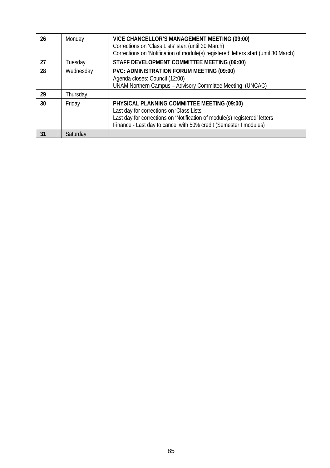| 26 | Monday    | VICE CHANCELLOR'S MANAGEMENT MEETING (09:00)<br>Corrections on 'Class Lists' start (until 30 March)<br>Corrections on 'Notification of module(s) registered' letters start (until 30 March)                                                 |
|----|-----------|---------------------------------------------------------------------------------------------------------------------------------------------------------------------------------------------------------------------------------------------|
| 27 | Tuesdav   | STAFF DEVELOPMENT COMMITTEE MEETING (09:00)                                                                                                                                                                                                 |
| 28 | Wednesday | PVC: ADMINISTRATION FORUM MEETING (09:00)<br>Agenda closes: Council (12:00)<br>UNAM Northern Campus - Advisory Committee Meeting (UNCAC)                                                                                                    |
| 29 | Thursdav  |                                                                                                                                                                                                                                             |
| 30 | Friday    | PHYSICAL PLANNING COMMITTEE MEETING (09:00)<br>Last day for corrections on 'Class Lists'<br>Last day for corrections on 'Notification of module(s) registered' letters<br>Finance - Last day to cancel with 50% credit (Semester I modules) |
| 31 | Saturday  |                                                                                                                                                                                                                                             |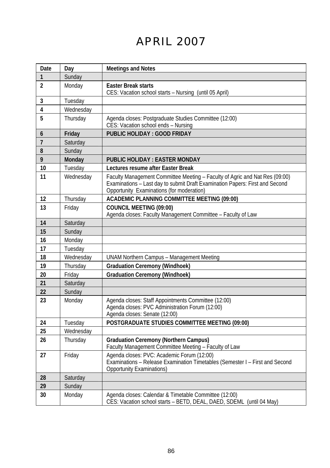# APRIL 2007

| Date             | Day       | <b>Meetings and Notes</b>                                                                                                                                                                                |
|------------------|-----------|----------------------------------------------------------------------------------------------------------------------------------------------------------------------------------------------------------|
| 1                | Sunday    |                                                                                                                                                                                                          |
| $\overline{2}$   | Monday    | <b>Easter Break starts</b><br>CES: Vacation school starts - Nursing (until 05 April)                                                                                                                     |
| 3                | Tuesday   |                                                                                                                                                                                                          |
| 4                | Wednesdav |                                                                                                                                                                                                          |
| 5                | Thursday  | Agenda closes: Postgraduate Studies Committee (12:00)<br>CES: Vacation school ends - Nursing                                                                                                             |
| 6                | Friday    | PUBLIC HOLIDAY : GOOD FRIDAY                                                                                                                                                                             |
| $\overline{7}$   | Saturday  |                                                                                                                                                                                                          |
| 8                | Sundav    |                                                                                                                                                                                                          |
| 9                | Monday    | <b>PUBLIC HOLIDAY: EASTER MONDAY</b>                                                                                                                                                                     |
| 10 <sup>10</sup> | Tuesday   | Lectures resume after Easter Break                                                                                                                                                                       |
| 11               | Wednesday | Faculty Management Committee Meeting - Faculty of Agric and Nat Res (09:00)<br>Examinations - Last day to submit Draft Examination Papers: First and Second<br>Opportunity Examinations (for moderation) |
| 12               | Thursday  | ACADEMIC PLANNING COMMITTEE MEETING (09:00)                                                                                                                                                              |
| 13               | Friday    | <b>COUNCIL MEETING (09:00)</b><br>Agenda closes: Faculty Management Committee - Faculty of Law                                                                                                           |
| 14               | Saturday  |                                                                                                                                                                                                          |
| 15               | Sunday    |                                                                                                                                                                                                          |
| 16               | Monday    |                                                                                                                                                                                                          |
| 17               | Tuesday   |                                                                                                                                                                                                          |
| 18               | Wednesday | <b>UNAM Northern Campus - Management Meeting</b>                                                                                                                                                         |
| 19               | Thursday  | <b>Graduation Ceremony (Windhoek)</b>                                                                                                                                                                    |
| 20               | Friday    | <b>Graduation Ceremony (Windhoek)</b>                                                                                                                                                                    |
| 21               | Saturday  |                                                                                                                                                                                                          |
| 22               | Sunday    |                                                                                                                                                                                                          |
| 23               | Monday    | Agenda closes: Staff Appointments Committee (12:00)<br>Agenda closes: PVC Administration Forum (12:00)<br>Agenda closes: Senate (12:00)                                                                  |
| 24               | Tuesday   | POSTGRADUATE STUDIES COMMITTEE MEETING (09:00)                                                                                                                                                           |
| 25               | Wednesday |                                                                                                                                                                                                          |
| 26               | Thursday  | <b>Graduation Ceremony (Northern Campus)</b><br>Faculty Management Committee Meeting - Faculty of Law                                                                                                    |
| 27               | Friday    | Agenda closes: PVC: Academic Forum (12:00)<br>Examinations - Release Examination Timetables (Semester I - First and Second<br><b>Opportunity Examinations)</b>                                           |
| 28               | Saturday  |                                                                                                                                                                                                          |
| 29               | Sunday    |                                                                                                                                                                                                          |
| 30               | Monday    | Agenda closes: Calendar & Timetable Committee (12:00)<br>CES: Vacation school starts - BETD, DEAL, DAED, SDEML (until 04 May)                                                                            |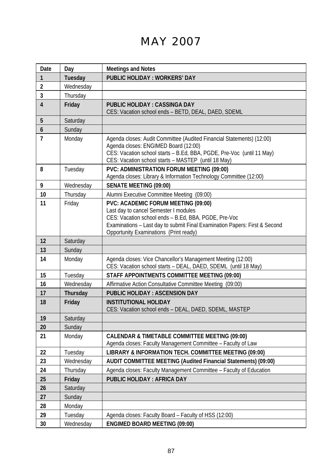# MAY 2007

| Date              | Day       | <b>Meetings and Notes</b>                                                                                                                                                                                                                                    |
|-------------------|-----------|--------------------------------------------------------------------------------------------------------------------------------------------------------------------------------------------------------------------------------------------------------------|
| 1                 | Tuesday   | <b>PUBLIC HOLIDAY: WORKERS' DAY</b>                                                                                                                                                                                                                          |
| $\overline{2}$    | Wednesday |                                                                                                                                                                                                                                                              |
| 3                 | Thursday  |                                                                                                                                                                                                                                                              |
| $\overline{4}$    | Friday    | <b>PUBLIC HOLIDAY: CASSINGA DAY</b><br>CES: Vacation school ends - BETD, DEAL, DAED, SDEML                                                                                                                                                                   |
| 5                 | Saturday  |                                                                                                                                                                                                                                                              |
| 6                 | Sunday    |                                                                                                                                                                                                                                                              |
| 7                 | Monday    | Agenda closes: Audit Committee (Audited Financial Statements) (12:00)<br>Agenda closes: ENGIMED Board (12:00)<br>CES: Vacation school starts - B.Ed, BBA, PGDE, Pre-Voc (until 11 May)<br>CES: Vacation school starts - MASTEP (until 18 May)                |
| 8                 | Tuesday   | PVC: ADMINISTRATION FORUM MEETING (09:00)<br>Agenda closes: Library & Information Technology Committee (12:00)                                                                                                                                               |
| 9                 | Wednesday | <b>SENATE MEETING (09:00)</b>                                                                                                                                                                                                                                |
| 10                | Thursday  | Alumni Executive Committee Meeting (09:00)                                                                                                                                                                                                                   |
| 11                | Friday    | PVC: ACADEMIC FORUM MEETING (09:00)<br>Last day to cancel Semester I modules<br>CES: Vacation school ends - B.Ed, BBA, PGDE, Pre-Voc<br>Examinations - Last day to submit Final Examination Papers: First & Second<br>Opportunity Examinations (Print ready) |
| $12 \overline{ }$ | Saturday  |                                                                                                                                                                                                                                                              |
| 13                | Sunday    |                                                                                                                                                                                                                                                              |
| 14                | Monday    | Agenda closes: Vice Chancellor's Management Meeting (12:00)<br>CES: Vacation school starts - DEAL, DAED, SDEML (until 18 May)                                                                                                                                |
| 15                | Tuesday   | STAFF APPOINTMENTS COMMITTEE MEETING (09:00)                                                                                                                                                                                                                 |
| 16                | Wednesday | Affirmative Action Consultative Committee Meeting (09:00)                                                                                                                                                                                                    |
| 17                | Thursday  | PUBLIC HOLIDAY : ASCENSION DAY                                                                                                                                                                                                                               |
| 18                | Friday    | <b>INSTITUTIONAL HOLIDAY</b><br>CES: Vacation school ends - DEAL, DAED, SDEML, MASTEP                                                                                                                                                                        |
| 19                | Saturday  |                                                                                                                                                                                                                                                              |
| 20                | Sunday    |                                                                                                                                                                                                                                                              |
| 21                | Monday    | CALENDAR & TIMETABLE COMMITTEE MEETING (09:00)<br>Agenda closes: Faculty Management Committee - Faculty of Law                                                                                                                                               |
| 22                | Tuesday   | LIBRARY & INFORMATION TECH. COMMITTEE MEETING (09:00)                                                                                                                                                                                                        |
| 23                | Wednesday | AUDIT COMMITTEE MEETING (Audited Financial Statements) (09:00)                                                                                                                                                                                               |
| 24                | Thursday  | Agenda closes: Faculty Management Committee - Faculty of Education                                                                                                                                                                                           |
| 25                | Friday    | PUBLIC HOLIDAY: AFRICA DAY                                                                                                                                                                                                                                   |
| 26                | Saturday  |                                                                                                                                                                                                                                                              |
| 27                | Sundav    |                                                                                                                                                                                                                                                              |
| 28                | Monday    |                                                                                                                                                                                                                                                              |
| 29                | Tuesday   | Agenda closes: Faculty Board - Faculty of HSS (12:00)                                                                                                                                                                                                        |
| 30                | Wednesdav | <b>ENGIMED BOARD MEETING (09:00)</b>                                                                                                                                                                                                                         |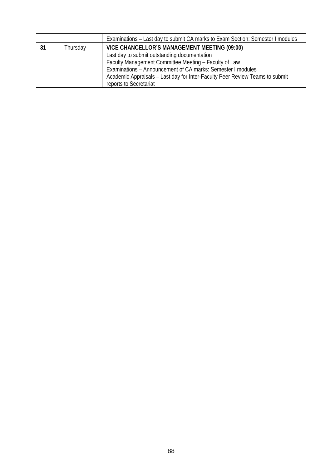|     |          | Examinations – Last day to submit CA marks to Exam Section: Semester I modules |
|-----|----------|--------------------------------------------------------------------------------|
| -31 | Thursday | VICE CHANCELLOR'S MANAGEMENT MEETING (09:00)                                   |
|     |          | Last day to submit outstanding documentation                                   |
|     |          | Faculty Management Committee Meeting - Faculty of Law                          |
|     |          | Examinations – Announcement of CA marks: Semester I modules                    |
|     |          | Academic Appraisals – Last day for Inter-Faculty Peer Review Teams to submit   |
|     |          | reports to Secretariat                                                         |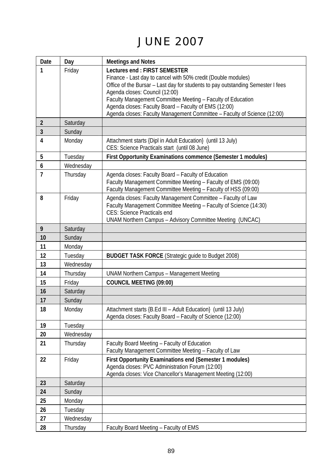# JUNE 2007

| Date           | Day       | <b>Meetings and Notes</b>                                                                                      |
|----------------|-----------|----------------------------------------------------------------------------------------------------------------|
| 1              | Friday    | Lectures end: FIRST SEMESTER                                                                                   |
|                |           | Finance - Last day to cancel with 50% credit (Double modules)                                                  |
|                |           | Office of the Bursar - Last day for students to pay outstanding Semester I fees                                |
|                |           | Agenda closes: Council (12:00)<br>Faculty Management Committee Meeting - Faculty of Education                  |
|                |           | Agenda closes: Faculty Board - Faculty of EMS (12:00)                                                          |
|                |           | Agenda closes: Faculty Management Committee - Faculty of Science (12:00)                                       |
| 2              | Saturday  |                                                                                                                |
| 3              | Sunday    |                                                                                                                |
| 4              | Monday    | Attachment starts {Dipl in Adult Education} (until 13 July)<br>CES: Science Practicals start (until 08 June)   |
| 5              | Tuesday   | First Opportunity Examinations commence (Semester 1 modules)                                                   |
| 6              | Wednesday |                                                                                                                |
| $\overline{1}$ | Thursday  | Agenda closes: Faculty Board - Faculty of Education                                                            |
|                |           | Faculty Management Committee Meeting - Faculty of EMS (09:00)                                                  |
|                |           | Faculty Management Committee Meeting - Faculty of HSS (09:00)                                                  |
| 8              | Friday    | Agenda closes: Faculty Management Committee - Faculty of Law                                                   |
|                |           | Faculty Management Committee Meeting - Faculty of Science (14:30)<br>CES: Science Practicals end               |
|                |           | UNAM Northern Campus - Advisory Committee Meeting (UNCAC)                                                      |
| 9              | Saturday  |                                                                                                                |
| 10             | Sunday    |                                                                                                                |
| 11             | Monday    |                                                                                                                |
| 12             | Tuesday   | <b>BUDGET TASK FORCE (Strategic guide to Budget 2008)</b>                                                      |
| 13             | Wednesday |                                                                                                                |
| 14             | Thursday  | <b>UNAM Northern Campus - Management Meeting</b>                                                               |
| 15             | Friday    | <b>COUNCIL MEETING (09:00)</b>                                                                                 |
| 16             | Saturday  |                                                                                                                |
| 17             | Sunday    |                                                                                                                |
| 18             | Monday    | Attachment starts {B.Ed III - Adult Education} (until 13 July)                                                 |
|                |           | Agenda closes: Faculty Board - Faculty of Science (12:00)                                                      |
| 19             | Tuesday   |                                                                                                                |
| 20             | Wednesday |                                                                                                                |
| 21             | Thursday  | Faculty Board Meeting - Faculty of Education<br>Faculty Management Committee Meeting - Faculty of Law          |
| 22             | Friday    | First Opportunity Examinations end (Semester 1 modules)                                                        |
|                |           | Agenda closes: PVC Administration Forum (12:00)<br>Agenda closes: Vice Chancellor's Management Meeting (12:00) |
| 23             | Saturday  |                                                                                                                |
| 24             | Sunday    |                                                                                                                |
| 25             | Monday    |                                                                                                                |
| 26             | Tuesday   |                                                                                                                |
| 27             | Wednesday |                                                                                                                |
| 28             | Thursdav  | Faculty Board Meeting - Faculty of EMS                                                                         |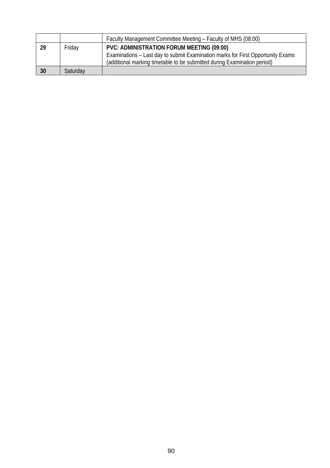|    |          | Faculty Management Committee Meeting - Faculty of MHS (08:00)                                                                                                                                            |
|----|----------|----------------------------------------------------------------------------------------------------------------------------------------------------------------------------------------------------------|
| 29 | Friday   | PVC: ADMINISTRATION FORUM MEETING (09:00)<br>Examinations – Last day to submit Examination marks for First Opportunity Exams<br>(additional marking timetable to be submitted during Examination period) |
| 30 | Saturday |                                                                                                                                                                                                          |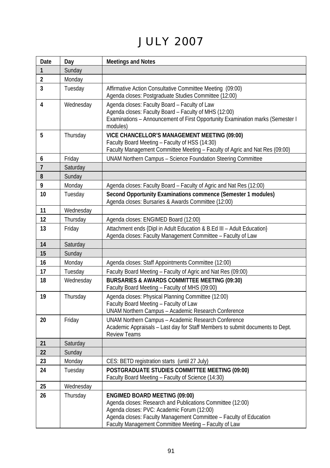# JULY 2007

| Date           | Day       | <b>Meetings and Notes</b>                                                                                                                                                                                                                                                       |
|----------------|-----------|---------------------------------------------------------------------------------------------------------------------------------------------------------------------------------------------------------------------------------------------------------------------------------|
| $\mathbf{1}$   | Sunday    |                                                                                                                                                                                                                                                                                 |
| $\overline{2}$ | Monday    |                                                                                                                                                                                                                                                                                 |
| 3              | Tuesday   | Affirmative Action Consultative Committee Meeting (09:00)<br>Agenda closes: Postgraduate Studies Committee (12:00)                                                                                                                                                              |
| 4              | Wednesday | Agenda closes: Faculty Board - Faculty of Law<br>Agenda closes: Faculty Board - Faculty of MHS (12:00)<br>Examinations - Announcement of First Opportunity Examination marks (Semester I<br>modules)                                                                            |
| 5              | Thursday  | VICE CHANCELLOR'S MANAGEMENT MEETING (09:00)<br>Faculty Board Meeting - Faculty of HSS (14:30)<br>Faculty Management Committee Meeting - Faculty of Agric and Nat Res (09:00)                                                                                                   |
| 6              | Friday    | UNAM Northern Campus - Science Foundation Steering Committee                                                                                                                                                                                                                    |
| $\overline{1}$ | Saturday  |                                                                                                                                                                                                                                                                                 |
| 8              | Sunday    |                                                                                                                                                                                                                                                                                 |
| 9              | Monday    | Agenda closes: Faculty Board - Faculty of Agric and Nat Res (12:00)                                                                                                                                                                                                             |
| 10             | Tuesday   | Second Opportunity Examinations commence (Semester 1 modules)<br>Agenda closes: Bursaries & Awards Committee (12:00)                                                                                                                                                            |
| 11             | Wednesday |                                                                                                                                                                                                                                                                                 |
| 12             | Thursday  | Agenda closes: ENGIMED Board (12:00)                                                                                                                                                                                                                                            |
| 13             | Friday    | Attachment ends {Dipl in Adult Education & B.Ed III - Adult Education}<br>Agenda closes: Faculty Management Committee - Faculty of Law                                                                                                                                          |
| 14             | Saturday  |                                                                                                                                                                                                                                                                                 |
| 15             | Sunday    |                                                                                                                                                                                                                                                                                 |
| 16             | Monday    | Agenda closes: Staff Appointments Committee (12:00)                                                                                                                                                                                                                             |
| 17             | Tuesday   | Faculty Board Meeting - Faculty of Agric and Nat Res (09:00)                                                                                                                                                                                                                    |
| 18             | Wednesday | <b>BURSARIES &amp; AWARDS COMMITTEE MEETING (09:30)</b><br>Faculty Board Meeting - Faculty of MHS (09:00)                                                                                                                                                                       |
| 19             | Thursday  | Agenda closes: Physical Planning Committee (12:00)<br>Faculty Board Meeting - Faculty of Law<br>UNAM Northern Campus - Academic Research Conference                                                                                                                             |
| 20             | Friday    | UNAM Northern Campus - Academic Research Conference<br>Academic Appraisals – Last day for Staff Members to submit documents to Dept.<br><b>Review Teams</b>                                                                                                                     |
| 21             | Saturday  |                                                                                                                                                                                                                                                                                 |
| 22             | Sunday    |                                                                                                                                                                                                                                                                                 |
| 23             | Monday    | CES: BETD registration starts (until 27 July)                                                                                                                                                                                                                                   |
| 24             | Tuesday   | POSTGRADUATE STUDIES COMMITTEE MEETING (09:00)<br>Faculty Board Meeting - Faculty of Science (14:30)                                                                                                                                                                            |
| 25             | Wednesday |                                                                                                                                                                                                                                                                                 |
| 26             | Thursday  | <b>ENGIMED BOARD MEETING (09:00)</b><br>Agenda closes: Research and Publications Committee (12:00)<br>Agenda closes: PVC: Academic Forum (12:00)<br>Agenda closes: Faculty Management Committee - Faculty of Education<br>Faculty Management Committee Meeting - Faculty of Law |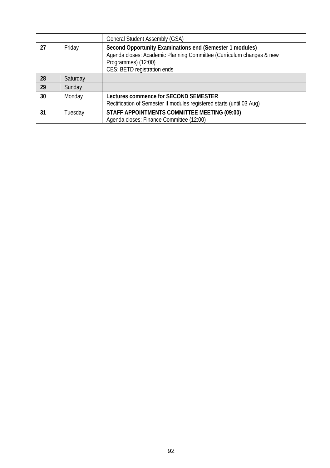|    |          | General Student Assembly (GSA)                                                                                                                                                         |
|----|----------|----------------------------------------------------------------------------------------------------------------------------------------------------------------------------------------|
| 27 | Friday   | Second Opportunity Examinations end (Semester 1 modules)<br>Agenda closes: Academic Planning Committee (Curriculum changes & new<br>Programmes) (12:00)<br>CES: BETD registration ends |
| 28 | Saturday |                                                                                                                                                                                        |
| 29 | Sunday   |                                                                                                                                                                                        |
| 30 | Monday   | Lectures commence for SECOND SEMESTER<br>Rectification of Semester II modules registered starts (until 03 Aug)                                                                         |
| 31 | Tuesday  | STAFF APPOINTMENTS COMMITTEE MEETING (09:00)<br>Agenda closes: Finance Committee (12:00)                                                                                               |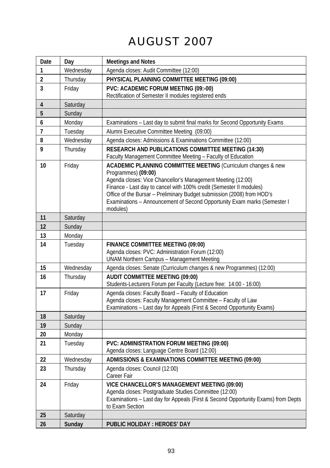# AUGUST 2007

| Date           | Day       | <b>Meetings and Notes</b>                                                                                                                                                                                                                                                                                                                                                                     |
|----------------|-----------|-----------------------------------------------------------------------------------------------------------------------------------------------------------------------------------------------------------------------------------------------------------------------------------------------------------------------------------------------------------------------------------------------|
| 1              | Wednesday | Agenda closes: Audit Committee (12:00)                                                                                                                                                                                                                                                                                                                                                        |
| $\overline{2}$ | Thursday  | PHYSICAL PLANNING COMMITTEE MEETING (09:00)                                                                                                                                                                                                                                                                                                                                                   |
| 3              | Friday    | PVC: ACADEMIC FORUM MEETING (09:-00)                                                                                                                                                                                                                                                                                                                                                          |
|                |           | Rectification of Semester II modules registered ends                                                                                                                                                                                                                                                                                                                                          |
| 4              | Saturday  |                                                                                                                                                                                                                                                                                                                                                                                               |
| 5              | Sunday    |                                                                                                                                                                                                                                                                                                                                                                                               |
| 6              | Monday    | Examinations - Last day to submit final marks for Second Opportunity Exams                                                                                                                                                                                                                                                                                                                    |
| $\overline{1}$ | Tuesday   | Alumni Executive Committee Meeting (09:00)                                                                                                                                                                                                                                                                                                                                                    |
| 8              | Wednesday | Agenda closes: Admissions & Examinations Committee (12:00)                                                                                                                                                                                                                                                                                                                                    |
| 9              | Thursday  | RESEARCH AND PUBLICATIONS COMMITTEE MEETING (14:30)<br>Faculty Management Committee Meeting - Faculty of Education                                                                                                                                                                                                                                                                            |
| 10             | Friday    | ACADEMIC PLANNING COMMITTEE MEETING (Curriculum changes & new<br>Programmes) (09:00)<br>Agenda closes: Vice Chancellor's Management Meeting (12:00)<br>Finance - Last day to cancel with 100% credit (Semester II modules)<br>Office of the Bursar - Preliminary Budget submission (2008) from HOD's<br>Examinations - Announcement of Second Opportunity Exam marks (Semester I)<br>modules) |
| 11             | Saturday  |                                                                                                                                                                                                                                                                                                                                                                                               |
| 12             | Sunday    |                                                                                                                                                                                                                                                                                                                                                                                               |
| 13             | Monday    |                                                                                                                                                                                                                                                                                                                                                                                               |
| 14             | Tuesday   | FINANCE COMMITTEE MEETING (09:00)<br>Agenda closes: PVC: Administration Forum (12:00)<br><b>UNAM Northern Campus - Management Meeting</b>                                                                                                                                                                                                                                                     |
| 15             | Wednesday | Agenda closes: Senate (Curriculum changes & new Programmes) (12:00)                                                                                                                                                                                                                                                                                                                           |
| 16             | Thursday  | <b>AUDIT COMMITTEE MEETING (09:00)</b><br>Students-Lecturers Forum per Faculty (Lecture free: 14:00 - 16:00)                                                                                                                                                                                                                                                                                  |
| 17             | Friday    | Agenda closes: Faculty Board - Faculty of Education<br>Agenda closes: Faculty Management Committee - Faculty of Law<br>Examinations - Last day for Appeals (First & Second Opportunity Exams)                                                                                                                                                                                                 |
| 18             | Saturday  |                                                                                                                                                                                                                                                                                                                                                                                               |
| 19             | Sunday    |                                                                                                                                                                                                                                                                                                                                                                                               |
| 20             | Monday    |                                                                                                                                                                                                                                                                                                                                                                                               |
| 21             | Tuesday   | PVC: ADMINISTRATION FORUM MEETING (09:00)<br>Agenda closes: Language Centre Board (12:00)                                                                                                                                                                                                                                                                                                     |
| 22             | Wednesday | ADMISSIONS & EXAMINATIONS COMMITTEE MEETING (09:00)                                                                                                                                                                                                                                                                                                                                           |
| 23             | Thursday  | Agenda closes: Council (12:00)<br>Career Fair                                                                                                                                                                                                                                                                                                                                                 |
| 24             | Friday    | VICE CHANCELLOR'S MANAGEMENT MEETING (09:00)<br>Agenda closes: Postgraduate Studies Committee (12:00)<br>Examinations - Last day for Appeals (First & Second Opportunity Exams) from Depts<br>to Exam Section                                                                                                                                                                                 |
| 25             | Saturday  |                                                                                                                                                                                                                                                                                                                                                                                               |
| 26             | Sunday    | PUBLIC HOLIDAY: HEROES' DAY                                                                                                                                                                                                                                                                                                                                                                   |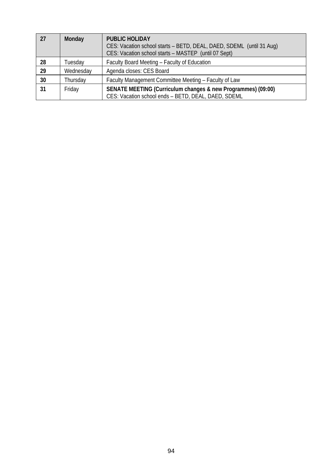| 27 | Monday    | <b>PUBLIC HOLIDAY</b><br>CES: Vacation school starts - BETD, DEAL, DAED, SDEML (until 31 Aug)<br>CES: Vacation school starts - MASTEP (until 07 Sept) |
|----|-----------|-------------------------------------------------------------------------------------------------------------------------------------------------------|
| 28 | Tuesdav   | Faculty Board Meeting - Faculty of Education                                                                                                          |
| 29 | Wednesday | Agenda closes: CES Board                                                                                                                              |
| 30 | Thursdav  | Faculty Management Committee Meeting - Faculty of Law                                                                                                 |
| 31 | Friday    | SENATE MEETING (Curriculum changes & new Programmes) (09:00)<br>CES: Vacation school ends - BETD, DEAL, DAED, SDEML                                   |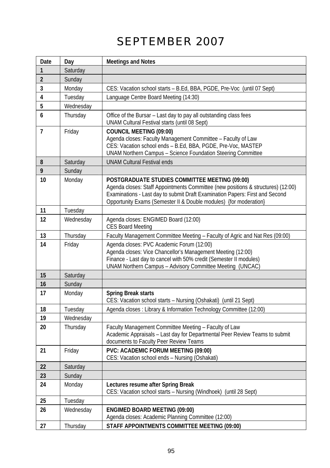# SEPTEMBER 2007

| Date           | Day       | <b>Meetings and Notes</b>                                                                                                                                                                                                                                                               |
|----------------|-----------|-----------------------------------------------------------------------------------------------------------------------------------------------------------------------------------------------------------------------------------------------------------------------------------------|
| 1              | Saturday  |                                                                                                                                                                                                                                                                                         |
| $\overline{2}$ | Sunday    |                                                                                                                                                                                                                                                                                         |
| 3              | Monday    | CES: Vacation school starts - B.Ed, BBA, PGDE, Pre-Voc (until 07 Sept)                                                                                                                                                                                                                  |
| 4              | Tuesday   | Language Centre Board Meeting (14:30)                                                                                                                                                                                                                                                   |
| 5              | Wednesday |                                                                                                                                                                                                                                                                                         |
| 6              | Thursday  | Office of the Bursar - Last day to pay all outstanding class fees<br>UNAM Cultural Festival starts (until 08 Sept)                                                                                                                                                                      |
| $\overline{7}$ | Friday    | <b>COUNCIL MEETING (09:00)</b><br>Agenda closes: Faculty Management Committee - Faculty of Law<br>CES: Vacation school ends - B.Ed, BBA, PGDE, Pre-Voc, MASTEP<br>UNAM Northern Campus - Science Foundation Steering Committee                                                          |
| 8              | Saturday  | <b>UNAM Cultural Festival ends</b>                                                                                                                                                                                                                                                      |
| 9              | Sunday    |                                                                                                                                                                                                                                                                                         |
| 10             | Monday    | POSTGRADUATE STUDIES COMMITTEE MEETING (09:00)<br>Agenda closes: Staff Appointments Committee (new positions & structures) (12:00)<br>Examinations - Last day to submit Draft Examination Papers: First and Second<br>Opportunity Exams (Semester II & Double modules) {for moderation} |
| 11             | Tuesday   |                                                                                                                                                                                                                                                                                         |
| 12             | Wednesday | Agenda closes: ENGIMED Board (12:00)<br><b>CES Board Meeting</b>                                                                                                                                                                                                                        |
| 13             | Thursday  | Faculty Management Committee Meeting - Faculty of Agric and Nat Res (09:00)                                                                                                                                                                                                             |
| 14             | Friday    | Agenda closes: PVC Academic Forum (12:00)<br>Agenda closes: Vice Chancellor's Management Meeting (12:00)<br>Finance - Last day to cancel with 50% credit (Semester II modules)<br>UNAM Northern Campus - Advisory Committee Meeting (UNCAC)                                             |
| 15             | Saturday  |                                                                                                                                                                                                                                                                                         |
| 16             | Sunday    |                                                                                                                                                                                                                                                                                         |
| 17             | Monday    | <b>Spring Break starts</b><br>CES: Vacation school starts - Nursing (Oshakati) (until 21 Sept)                                                                                                                                                                                          |
| 18             | Tuesday   | Agenda closes : Library & Information Technology Committee (12:00)                                                                                                                                                                                                                      |
| 19             | Wednesday |                                                                                                                                                                                                                                                                                         |
| 20             | Thursday  | Faculty Management Committee Meeting - Faculty of Law<br>Academic Appraisals - Last day for Departmental Peer Review Teams to submit<br>documents to Faculty Peer Review Teams                                                                                                          |
| 21             | Friday    | PVC: ACADEMIC FORUM MEETING (09:00)<br>CES: Vacation school ends - Nursing (Oshakati)                                                                                                                                                                                                   |
| 22             | Saturday  |                                                                                                                                                                                                                                                                                         |
| 23             | Sunday    |                                                                                                                                                                                                                                                                                         |
| 24             | Monday    | Lectures resume after Spring Break<br>CES: Vacation school starts - Nursing (Windhoek) (until 28 Sept)                                                                                                                                                                                  |
| 25             | Tuesday   |                                                                                                                                                                                                                                                                                         |
| 26             | Wednesday | <b>ENGIMED BOARD MEETING (09:00)</b><br>Agenda closes: Academic Planning Committee (12:00)                                                                                                                                                                                              |
| 27             | Thursday  | STAFF APPOINTMENTS COMMITTEE MEETING (09:00)                                                                                                                                                                                                                                            |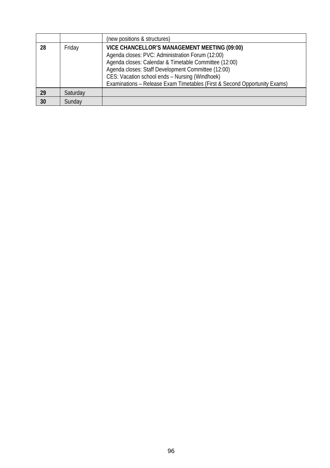|    |          | (new positions & structures)                                                                                                                                                                                                                                                                                                                   |
|----|----------|------------------------------------------------------------------------------------------------------------------------------------------------------------------------------------------------------------------------------------------------------------------------------------------------------------------------------------------------|
| 28 | Friday   | VICE CHANCELLOR'S MANAGEMENT MEETING (09:00)<br>Agenda closes: PVC: Administration Forum (12:00)<br>Agenda closes: Calendar & Timetable Committee (12:00)<br>Agenda closes: Staff Development Committee (12:00)<br>CES: Vacation school ends - Nursing (Windhoek)<br>Examinations - Release Exam Timetables (First & Second Opportunity Exams) |
| 29 | Saturday |                                                                                                                                                                                                                                                                                                                                                |
| 30 | Sundav   |                                                                                                                                                                                                                                                                                                                                                |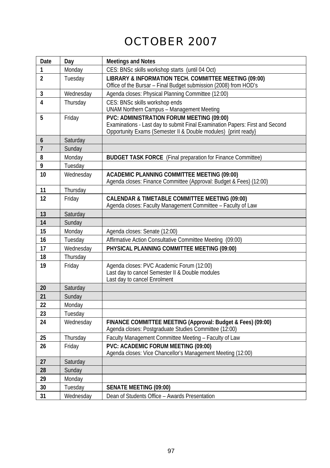# OCTOBER 2007

| Date           | Day       | <b>Meetings and Notes</b>                                                                                                 |
|----------------|-----------|---------------------------------------------------------------------------------------------------------------------------|
| 1              | Monday    | CES: BNSc skills workshop starts (until 04 Oct)                                                                           |
| $\overline{2}$ | Tuesday   | LIBRARY & INFORMATION TECH. COMMITTEE MEETING (09:00)                                                                     |
|                |           | Office of the Bursar - Final Budget submission (2008) from HOD's                                                          |
| 3              | Wednesday | Agenda closes: Physical Planning Committee (12:00)                                                                        |
| 4              | Thursday  | CES: BNSc skills workshop ends                                                                                            |
|                |           | <b>UNAM Northern Campus - Management Meeting</b>                                                                          |
| 5              | Friday    | PVC: ADMINISTRATION FORUM MEETING (09:00)<br>Examinations - Last day to submit Final Examination Papers: First and Second |
|                |           | Opportunity Exams (Semester II & Double modules) {print ready}                                                            |
| 6              | Saturday  |                                                                                                                           |
| $\overline{7}$ | Sunday    |                                                                                                                           |
| 8              | Monday    | <b>BUDGET TASK FORCE</b> (Final preparation for Finance Committee)                                                        |
| 9              | Tuesday   |                                                                                                                           |
| 10             | Wednesday | <b>ACADEMIC PLANNING COMMITTEE MEETING (09:00)</b>                                                                        |
|                |           | Agenda closes: Finance Committee (Approval: Budget & Fees) (12:00)                                                        |
| 11             | Thursday  |                                                                                                                           |
| 12             | Friday    | CALENDAR & TIMETABLE COMMITTEE MEETING (09:00)                                                                            |
|                |           | Agenda closes: Faculty Management Committee - Faculty of Law                                                              |
| 13             | Saturday  |                                                                                                                           |
| 14             | Sunday    |                                                                                                                           |
| 15             | Monday    | Agenda closes: Senate (12:00)                                                                                             |
| 16             | Tuesday   | Affirmative Action Consultative Committee Meeting (09:00)                                                                 |
| 17             | Wednesday | PHYSICAL PLANNING COMMITTEE MEETING (09:00)                                                                               |
| 18             | Thursday  |                                                                                                                           |
| 19             | Friday    | Agenda closes: PVC Academic Forum (12:00)<br>Last day to cancel Semester II & Double modules                              |
|                |           | Last day to cancel Enrolment                                                                                              |
| 20             | Saturday  |                                                                                                                           |
| 21             | Sunday    |                                                                                                                           |
| 22             | Monday    |                                                                                                                           |
| 23             | Tuesday   |                                                                                                                           |
| 24             | Wednesday | FINANCE COMMITTEE MEETING (Approval: Budget & Fees) (09:00)                                                               |
|                |           | Agenda closes: Postgraduate Studies Committee (12:00)                                                                     |
| 25             | Thursday  | Faculty Management Committee Meeting - Faculty of Law                                                                     |
| 26             | Friday    | PVC: ACADEMIC FORUM MEETING (09:00)                                                                                       |
|                |           | Agenda closes: Vice Chancellor's Management Meeting (12:00)                                                               |
| 27             | Saturday  |                                                                                                                           |
| 28             | Sunday    |                                                                                                                           |
| 29             | Monday    |                                                                                                                           |
| 30             | Tuesday   | <b>SENATE MEETING (09:00)</b>                                                                                             |
| 31             | Wednesday | Dean of Students Office - Awards Presentation                                                                             |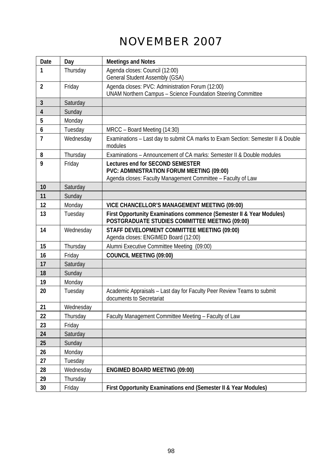# NOVEMBER 2007

| Date           | Day       | <b>Meetings and Notes</b>                                                                                                                     |
|----------------|-----------|-----------------------------------------------------------------------------------------------------------------------------------------------|
| 1              | Thursday  | Agenda closes: Council (12:00)<br>General Student Assembly (GSA)                                                                              |
| $\overline{2}$ | Friday    | Agenda closes: PVC: Administration Forum (12:00)<br>UNAM Northern Campus - Science Foundation Steering Committee                              |
| 3              | Saturday  |                                                                                                                                               |
| $\overline{4}$ | Sunday    |                                                                                                                                               |
| 5              | Monday    |                                                                                                                                               |
| 6              | Tuesday   | MRCC - Board Meeting (14:30)                                                                                                                  |
| $\overline{1}$ | Wednesday | Examinations - Last day to submit CA marks to Exam Section: Semester II & Double<br>modules                                                   |
| 8              | Thursday  | Examinations – Announcement of CA marks: Semester II & Double modules                                                                         |
| 9              | Friday    | Lectures end for SECOND SEMESTER<br>PVC: ADMINISTRATION FORUM MEETING (09:00)<br>Agenda closes: Faculty Management Committee - Faculty of Law |
| 10             | Saturday  |                                                                                                                                               |
| 11             | Sunday    |                                                                                                                                               |
| 12             | Monday    | VICE CHANCELLOR'S MANAGEMENT MEETING (09:00)                                                                                                  |
| 13             | Tuesday   | First Opportunity Examinations commence (Semester II & Year Modules)<br>POSTGRADUATE STUDIES COMMITTEE MEETING (09:00)                        |
| 14             | Wednesday | STAFF DEVELOPMENT COMMITTEE MEETING (09:00)<br>Agenda closes: ENGIMED Board (12:00)                                                           |
| 15             | Thursday  | Alumni Executive Committee Meeting (09:00)                                                                                                    |
| 16             | Friday    | <b>COUNCIL MEETING (09:00)</b>                                                                                                                |
| 17             | Saturday  |                                                                                                                                               |
| 18             | Sunday    |                                                                                                                                               |
| 19             | Monday    |                                                                                                                                               |
| 20             | Tuesday   | Academic Appraisals - Last day for Faculty Peer Review Teams to submit<br>documents to Secretariat                                            |
| 21             | Wednesday |                                                                                                                                               |
| 22             | Thursday  | Faculty Management Committee Meeting - Faculty of Law                                                                                         |
| 23             | Friday    |                                                                                                                                               |
| 24             | Saturday  |                                                                                                                                               |
| 25             | Sunday    |                                                                                                                                               |
| 26             | Monday    |                                                                                                                                               |
| 27             | Tuesday   |                                                                                                                                               |
| 28             | Wednesday | ENGIMED BOARD MEETING (09:00)                                                                                                                 |
| 29             | Thursday  |                                                                                                                                               |
| 30             | Friday    | First Opportunity Examinations end (Semester II & Year Modules)                                                                               |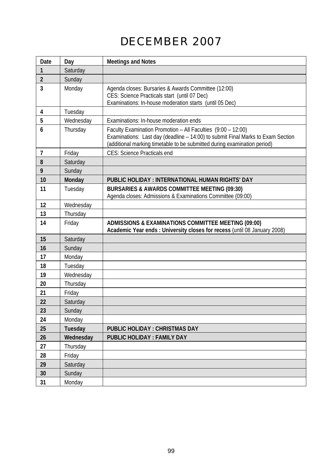# DECEMBER 2007

| Date           | Day       | <b>Meetings and Notes</b>                                                                                                                                                                                                   |
|----------------|-----------|-----------------------------------------------------------------------------------------------------------------------------------------------------------------------------------------------------------------------------|
| 1              | Saturday  |                                                                                                                                                                                                                             |
| $\overline{2}$ | Sunday    |                                                                                                                                                                                                                             |
| 3              | Monday    | Agenda closes: Bursaries & Awards Committee (12:00)<br>CES: Science Practicals start (until 07 Dec)<br>Examinations: In-house moderation starts (until 05 Dec)                                                              |
| 4              | Tuesday   |                                                                                                                                                                                                                             |
| 5              | Wednesday | Examinations: In-house moderation ends                                                                                                                                                                                      |
| 6              | Thursday  | Faculty Examination Promotion - All Faculties (9:00 - 12:00)<br>Examinations: Last day (deadline - 14:00) to submit Final Marks to Exam Section<br>(additional marking timetable to be submitted during examination period) |
| 7              | Friday    | CES: Science Practicals end                                                                                                                                                                                                 |
| 8              | Saturday  |                                                                                                                                                                                                                             |
| 9              | Sunday    |                                                                                                                                                                                                                             |
| 10             | Monday    | PUBLIC HOLIDAY: INTERNATIONAL HUMAN RIGHTS' DAY                                                                                                                                                                             |
| 11             | Tuesday   | BURSARIES & AWARDS COMMITTEE MEETING (09:30)<br>Agenda closes: Admissions & Examinations Committee (09:00)                                                                                                                  |
| 12             | Wednesday |                                                                                                                                                                                                                             |
| 13             | Thursday  |                                                                                                                                                                                                                             |
| 14             | Friday    | ADMISSIONS & EXAMINATIONS COMMITTEE MEETING (09:00)<br>Academic Year ends : University closes for recess (until 08 January 2008)                                                                                            |
| 15             | Saturday  |                                                                                                                                                                                                                             |
| 16             | Sunday    |                                                                                                                                                                                                                             |
| 17             | Monday    |                                                                                                                                                                                                                             |
| 18             | Tuesday   |                                                                                                                                                                                                                             |
| 19             | Wednesday |                                                                                                                                                                                                                             |
| 20             | Thursday  |                                                                                                                                                                                                                             |
| 21             | Friday    |                                                                                                                                                                                                                             |
| 22             | Saturday  |                                                                                                                                                                                                                             |
| 23             | Sunday    |                                                                                                                                                                                                                             |
| 24             | Monday    |                                                                                                                                                                                                                             |
| 25             | Tuesday   | PUBLIC HOLIDAY: CHRISTMAS DAY                                                                                                                                                                                               |
| 26             | Wednesday | <b>PUBLIC HOLIDAY: FAMILY DAY</b>                                                                                                                                                                                           |
| 27             | Thursday  |                                                                                                                                                                                                                             |
| 28             | Friday    |                                                                                                                                                                                                                             |
| 29             | Saturday  |                                                                                                                                                                                                                             |
| 30             | Sunday    |                                                                                                                                                                                                                             |
| 31             | Monday    |                                                                                                                                                                                                                             |